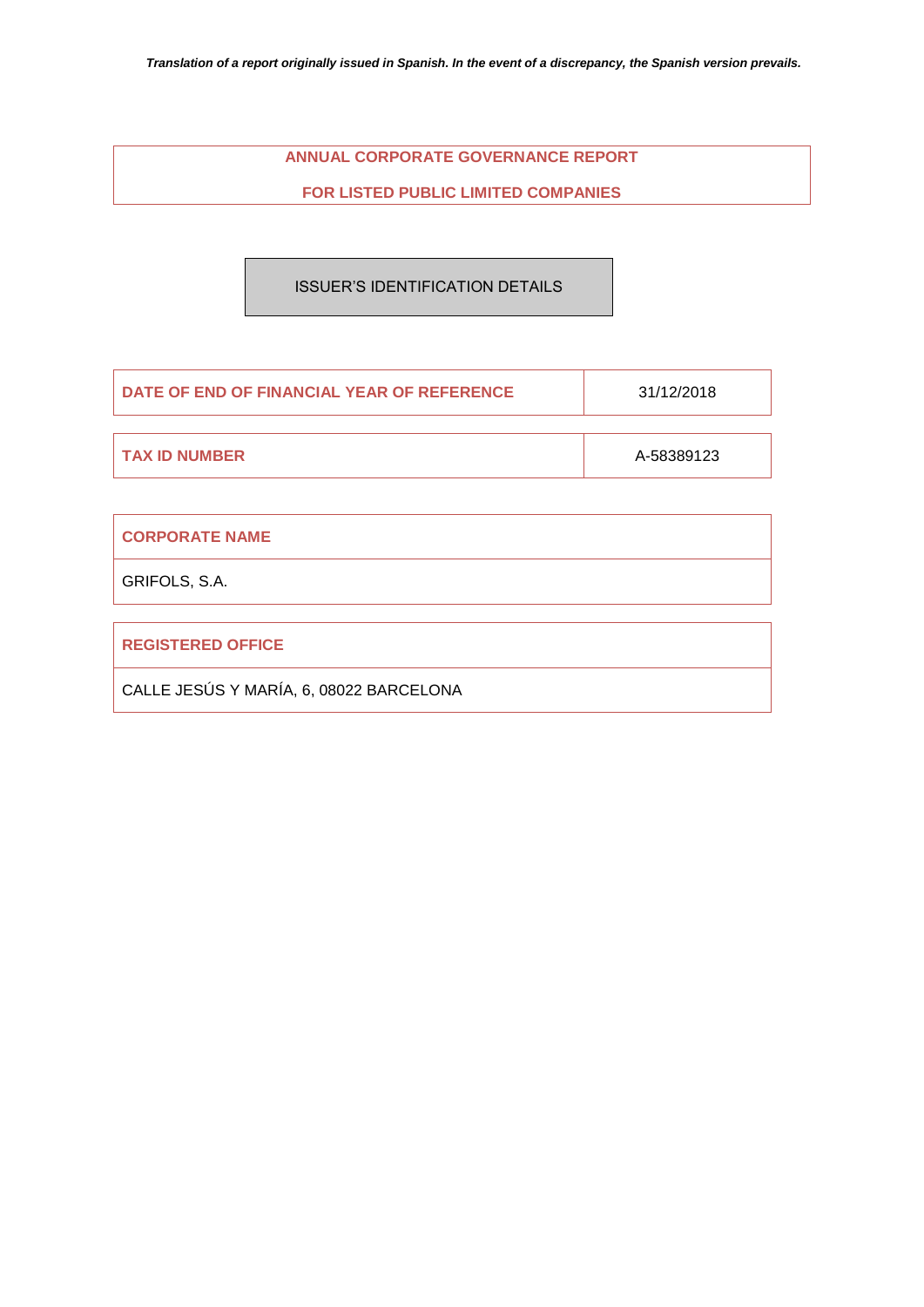# **ANNUAL CORPORATE GOVERNANCE REPORT**

**FOR LISTED PUBLIC LIMITED COMPANIES**

# ISSUER'S IDENTIFICATION DETAILS

| <b>DATE OF END OF FINANCIAL YEAR OF REFERENCE</b> | 31/12/2018 |
|---------------------------------------------------|------------|
|                                                   |            |
| <b>TAX ID NUMBER</b>                              | A-58389123 |

| <b>CORPORATE NAME</b>                   |
|-----------------------------------------|
| GRIFOLS, S.A.                           |
|                                         |
| <b>REGISTERED OFFICE</b>                |
| CALLE JESÚS Y MARÍA, 6, 08022 BARCELONA |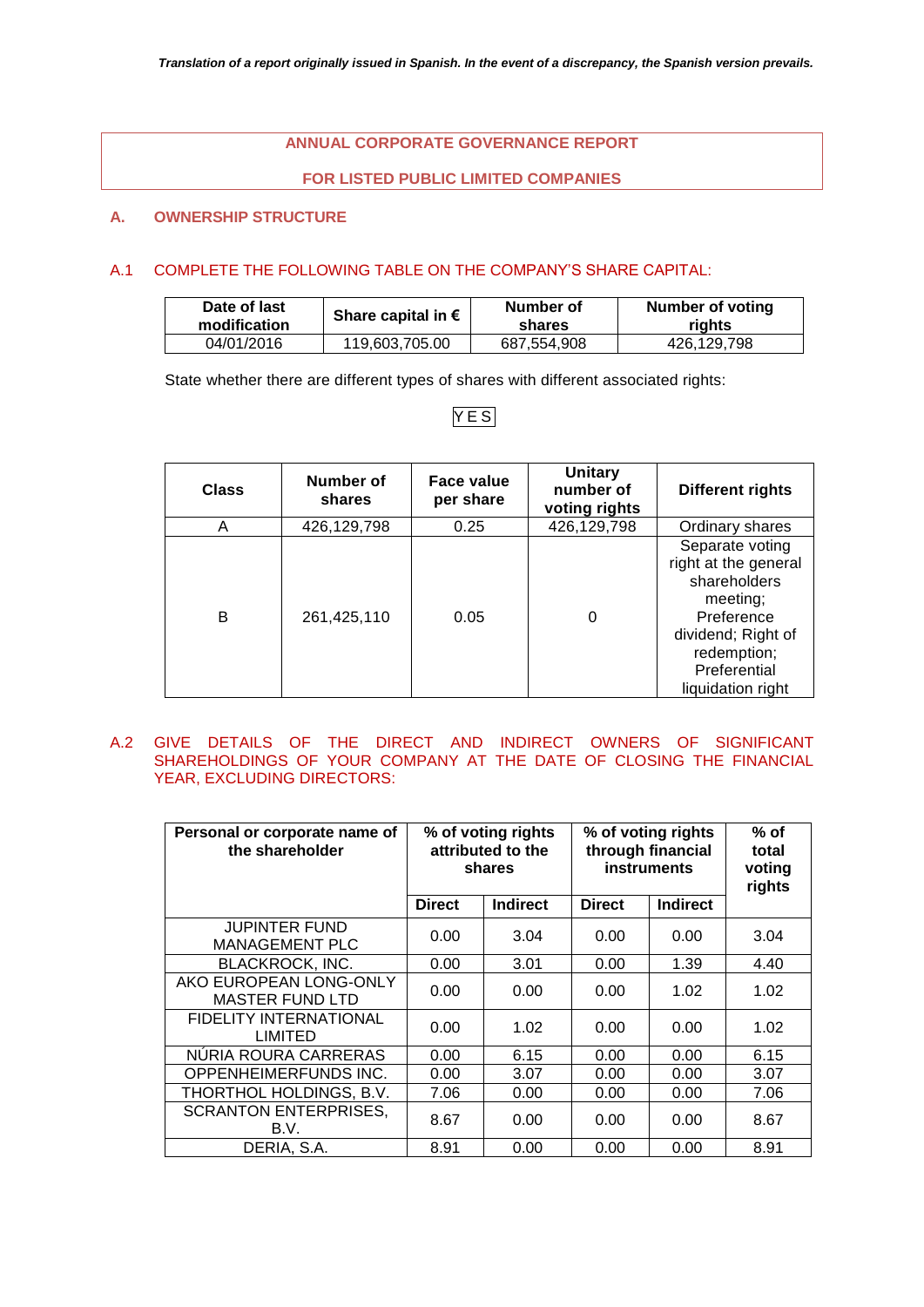# **ANNUAL CORPORATE GOVERNANCE REPORT**

# **FOR LISTED PUBLIC LIMITED COMPANIES**

# **A. OWNERSHIP STRUCTURE**

# A.1 COMPLETE THE FOLLOWING TABLE ON THE COMPANY'S SHARE CAPITAL:

| Date of last<br>modification | Share capital in $\epsilon$ | Number of<br>shares | Number of voting<br>riahts |
|------------------------------|-----------------------------|---------------------|----------------------------|
| 04/01/2016                   | 119,603,705.00              | 687,554,908         | 426.129.798                |

State whether there are different types of shares with different associated rights:

# Y E S

| <b>Class</b> | Number of<br>shares | Face value<br>per share | <b>Unitary</b><br>number of<br>voting rights | <b>Different rights</b>                                                                                                                                     |
|--------------|---------------------|-------------------------|----------------------------------------------|-------------------------------------------------------------------------------------------------------------------------------------------------------------|
| Α            | 426,129,798         | 0.25                    | 426,129,798                                  | Ordinary shares                                                                                                                                             |
| B            | 261,425,110         | 0.05                    | 0                                            | Separate voting<br>right at the general<br>shareholders<br>meeting;<br>Preference<br>dividend; Right of<br>redemption;<br>Preferential<br>liquidation right |

A.2 GIVE DETAILS OF THE DIRECT AND INDIRECT OWNERS OF SIGNIFICANT SHAREHOLDINGS OF YOUR COMPANY AT THE DATE OF CLOSING THE FINANCIAL YEAR, EXCLUDING DIRECTORS:

| Personal or corporate name of<br>the shareholder | % of voting rights<br>attributed to the<br>shares |                 | % of voting rights<br>through financial<br><b>instruments</b> | $%$ of<br>total<br>voting<br>rights |      |
|--------------------------------------------------|---------------------------------------------------|-----------------|---------------------------------------------------------------|-------------------------------------|------|
|                                                  | <b>Direct</b>                                     | <b>Indirect</b> | <b>Direct</b>                                                 | <b>Indirect</b>                     |      |
| <b>JUPINTER FUND</b><br><b>MANAGEMENT PLC</b>    | 0.00                                              | 3.04            | 0.00                                                          | 0.00                                | 3.04 |
| <b>BLACKROCK, INC.</b>                           | 0.00                                              | 3.01            | 0.00                                                          | 1.39                                | 4.40 |
| AKO EUROPEAN LONG-ONLY<br><b>MASTER FUND LTD</b> | 0.00                                              | 0.00            | 0.00                                                          | 1.02                                | 1.02 |
| <b>FIDELITY INTERNATIONAL</b><br>LIMITED         | 0.00                                              | 1.02            | 0.00                                                          | 0.00                                | 1.02 |
| NURIA ROURA CARRERAS                             | 0.00                                              | 6.15            | 0.00                                                          | 0.00                                | 6.15 |
| OPPENHEIMERFUNDS INC.                            | 0.00                                              | 3.07            | 0.00                                                          | 0.00                                | 3.07 |
| THORTHOL HOLDINGS, B.V.                          | 7.06                                              | 0.00            | 0.00                                                          | 0.00                                | 7.06 |
| <b>SCRANTON ENTERPRISES,</b><br>B.V.             | 8.67                                              | 0.00            | 0.00                                                          | 0.00                                | 8.67 |
| DERIA, S.A.                                      | 8.91                                              | 0.00            | 0.00                                                          | 0.00                                | 8.91 |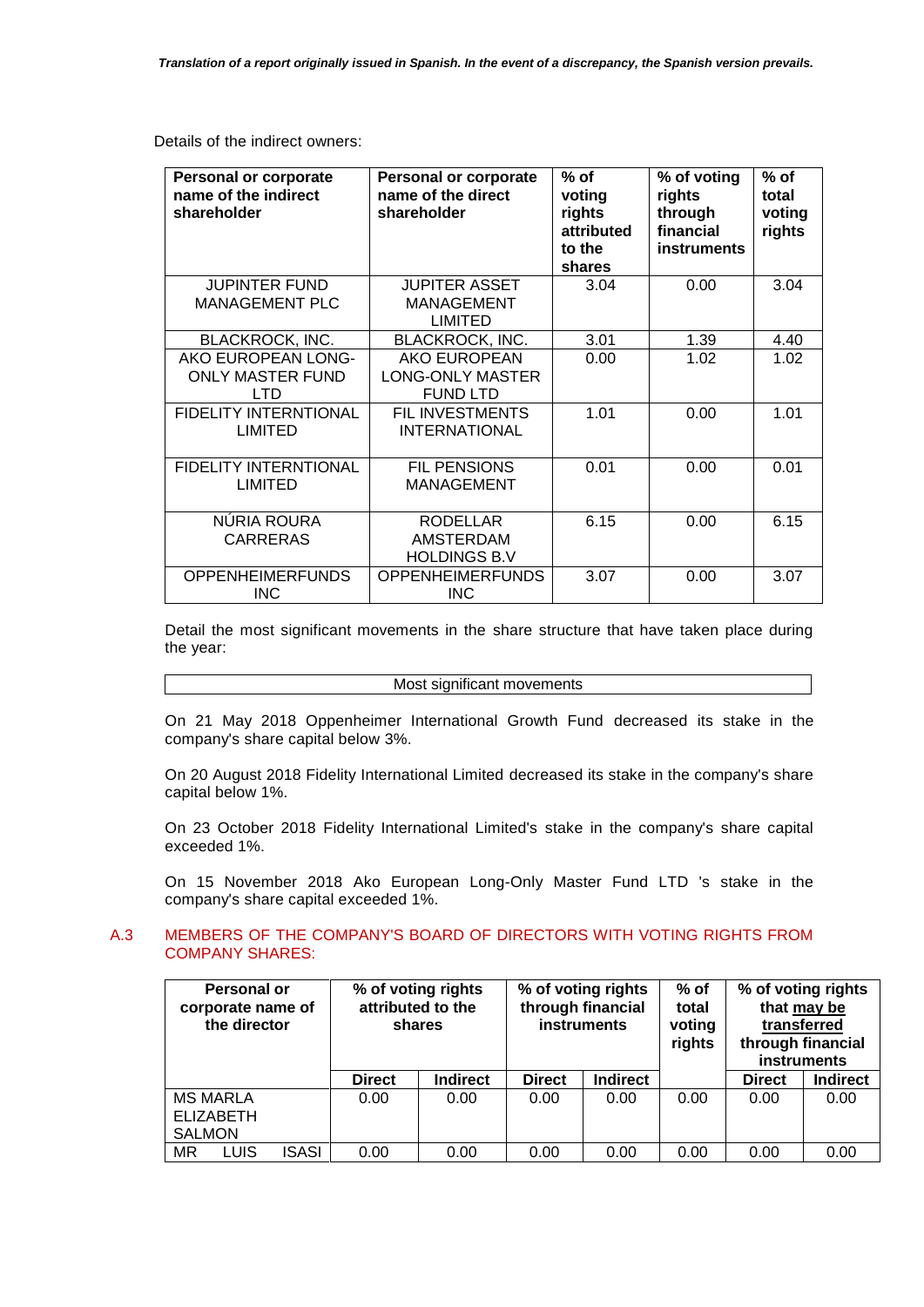Details of the indirect owners:

| <b>Personal or corporate</b><br>name of the indirect<br>shareholder                  | <b>Personal or corporate</b><br>name of the direct<br>shareholder                           | $%$ of<br>voting<br>rights<br>attributed<br>to the<br>shares | % of voting<br>rights<br>through<br>financial<br><b>instruments</b> | $%$ of<br>total<br>voting<br>rights |
|--------------------------------------------------------------------------------------|---------------------------------------------------------------------------------------------|--------------------------------------------------------------|---------------------------------------------------------------------|-------------------------------------|
| <b>JUPINTER FUND</b><br><b>MANAGEMENT PLC</b>                                        | <b>JUPITER ASSET</b><br><b>MANAGEMENT</b><br><b>LIMITED</b>                                 | 3.04                                                         | 0.00                                                                | 3.04                                |
| <b>BLACKROCK, INC.</b>                                                               | <b>BLACKROCK, INC.</b>                                                                      | 3.01                                                         | 1.39                                                                | 4.40                                |
| AKO EUROPEAN LONG-<br><b>ONLY MASTER FUND</b><br>LTD<br><b>FIDELITY INTERNTIONAL</b> | <b>AKO EUROPEAN</b><br><b>LONG-ONLY MASTER</b><br><b>FUND LTD</b><br><b>FIL INVESTMENTS</b> | 0.00<br>1.01                                                 | 1.02<br>0.00                                                        | 1.02<br>1.01                        |
| <b>LIMITED</b>                                                                       | <b>INTERNATIONAL</b>                                                                        |                                                              |                                                                     |                                     |
| <b>FIDELITY INTERNTIONAL</b><br><b>LIMITED</b>                                       | <b>FIL PENSIONS</b><br>MANAGEMENT                                                           | 0.01                                                         | 0.00                                                                | 0.01                                |
| <b>NURIA ROURA</b><br><b>CARRERAS</b>                                                | <b>RODELLAR</b><br>AMSTERDAM<br><b>HOLDINGS B.V</b>                                         | 6.15                                                         | 0.00                                                                | 6.15                                |
| <b>OPPENHEIMERFUNDS</b><br><b>INC</b>                                                | <b>OPPENHEIMERFUNDS</b><br><b>INC</b>                                                       | 3.07                                                         | 0.00                                                                | 3.07                                |

Detail the most significant movements in the share structure that have taken place during the year:

#### Most significant movements

On 21 May 2018 Oppenheimer International Growth Fund decreased its stake in the company's share capital below 3%.

On 20 August 2018 Fidelity International Limited decreased its stake in the company's share capital below 1%.

On 23 October 2018 Fidelity International Limited's stake in the company's share capital exceeded 1%.

On 15 November 2018 Ako European Long-Only Master Fund LTD 's stake in the company's share capital exceeded 1%.

# A.3 MEMBERS OF THE COMPANY'S BOARD OF DIRECTORS WITH VOTING RIGHTS FROM COMPANY SHARES:

|               | <b>Personal or</b><br>corporate name of<br>the director |       | % of voting rights<br>attributed to the<br>shares |                 | % of voting rights<br>through financial<br><b>instruments</b> |                 | $%$ of<br>total<br>voting<br>rights |               | % of voting rights<br>that may be<br>transferred<br>through financial<br>instruments |
|---------------|---------------------------------------------------------|-------|---------------------------------------------------|-----------------|---------------------------------------------------------------|-----------------|-------------------------------------|---------------|--------------------------------------------------------------------------------------|
|               |                                                         |       | <b>Direct</b>                                     | <b>Indirect</b> | <b>Direct</b>                                                 | <b>Indirect</b> |                                     | <b>Direct</b> | <b>Indirect</b>                                                                      |
|               | <b>MS MARLA</b>                                         |       | 0.00                                              | 0.00            | 0.00                                                          | 0.00            | 0.00                                | 0.00          | 0.00                                                                                 |
|               | <b>ELIZABETH</b>                                        |       |                                                   |                 |                                                               |                 |                                     |               |                                                                                      |
| <b>SALMON</b> |                                                         |       |                                                   |                 |                                                               |                 |                                     |               |                                                                                      |
| MR            | LUIS                                                    | ISASI | 0.00                                              | 0.00            | 0.00                                                          | 0.00            | 0.00                                | 0.00          | 0.00                                                                                 |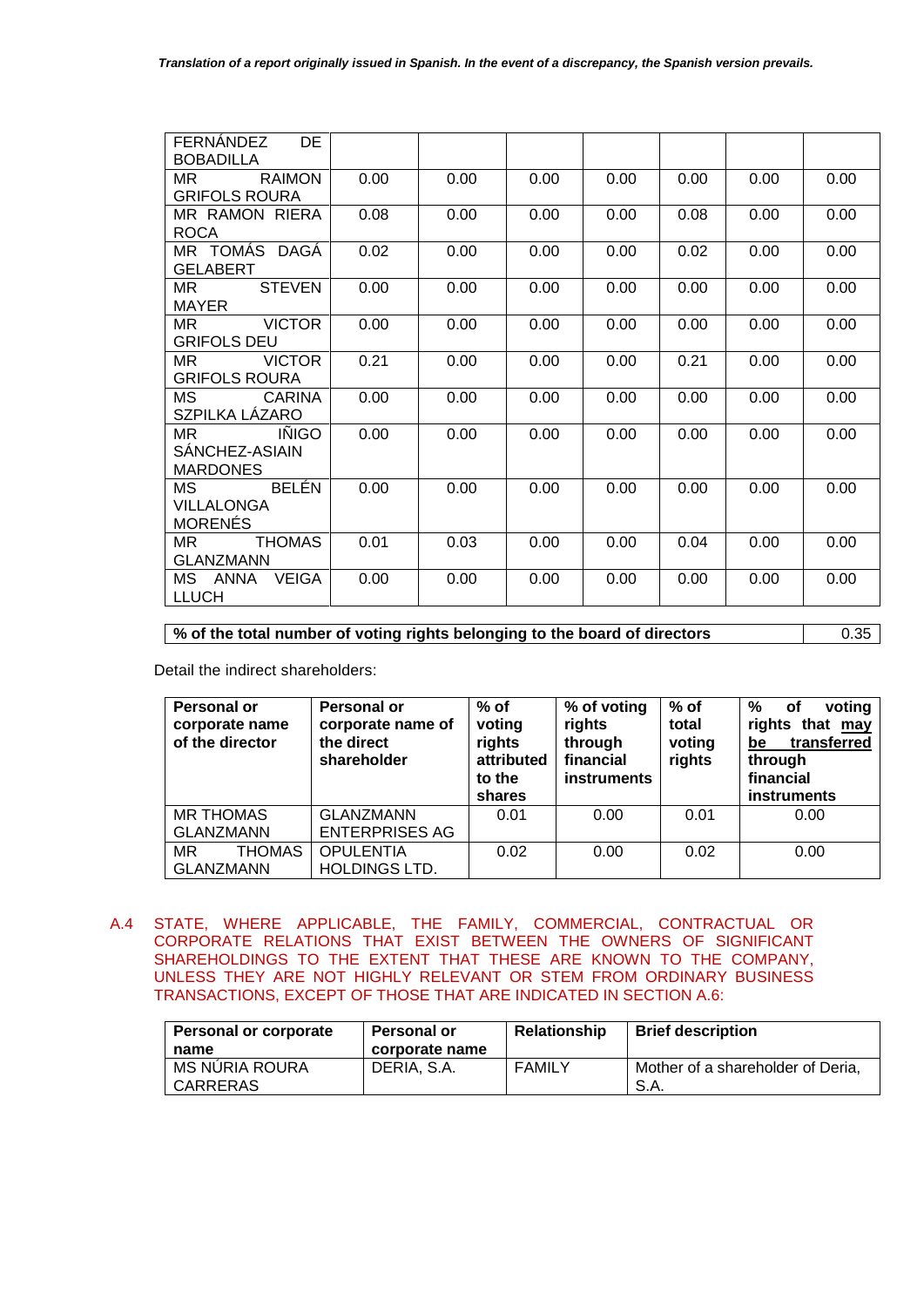| <b>DE</b><br>FERNANDEZ<br><b>BOBADILLA</b>                |      |      |      |      |      |      |      |
|-----------------------------------------------------------|------|------|------|------|------|------|------|
| <b>RAIMON</b><br>MR.<br><b>GRIFOLS ROURA</b>              | 0.00 | 0.00 | 0.00 | 0.00 | 0.00 | 0.00 | 0.00 |
| MR RAMON RIERA<br><b>ROCA</b>                             | 0.08 | 0.00 | 0.00 | 0.00 | 0.08 | 0.00 | 0.00 |
| MR TOMÁS DAGÁ<br><b>GELABERT</b>                          | 0.02 | 0.00 | 0.00 | 0.00 | 0.02 | 0.00 | 0.00 |
| MR.<br><b>STEVEN</b><br><b>MAYER</b>                      | 0.00 | 0.00 | 0.00 | 0.00 | 0.00 | 0.00 | 0.00 |
| <b>VICTOR</b><br>MR.<br><b>GRIFOLS DEU</b>                | 0.00 | 0.00 | 0.00 | 0.00 | 0.00 | 0.00 | 0.00 |
| <b>VICTOR</b><br>MR.<br><b>GRIFOLS ROURA</b>              | 0.21 | 0.00 | 0.00 | 0.00 | 0.21 | 0.00 | 0.00 |
| MS.<br>CARINA<br>SZPILKA LÁZARO                           | 0.00 | 0.00 | 0.00 | 0.00 | 0.00 | 0.00 | 0.00 |
| <b>INIGO</b><br>MR.<br>SANCHEZ-ASIAIN<br><b>MARDONES</b>  | 0.00 | 0.00 | 0.00 | 0.00 | 0.00 | 0.00 | 0.00 |
| <b>BELÉN</b><br>MS<br><b>VILLALONGA</b><br><b>MORENÉS</b> | 0.00 | 0.00 | 0.00 | 0.00 | 0.00 | 0.00 | 0.00 |
| <b>THOMAS</b><br>MR.<br><b>GLANZMANN</b>                  | 0.01 | 0.03 | 0.00 | 0.00 | 0.04 | 0.00 | 0.00 |
| MS ANNA<br><b>VEIGA</b><br><b>LLUCH</b>                   | 0.00 | 0.00 | 0.00 | 0.00 | 0.00 | 0.00 | 0.00 |

**%** of the total number of voting rights belonging to the board of directors **1988** 0.35

Detail the indirect shareholders:

| <b>Personal or</b><br>corporate name<br>of the director | <b>Personal or</b><br>corporate name of<br>the direct<br>shareholder | $%$ of<br>voting<br>rights<br>attributed<br>to the<br>shares | % of voting<br>rights<br>through<br>financial<br>instruments | $%$ of<br>total<br>voting<br>rights | %<br>voting<br>оf<br>rights that may<br>transferred<br>be<br>through<br>financial<br><b>instruments</b> |
|---------------------------------------------------------|----------------------------------------------------------------------|--------------------------------------------------------------|--------------------------------------------------------------|-------------------------------------|---------------------------------------------------------------------------------------------------------|
| <b>MR THOMAS</b><br><b>GLANZMANN</b>                    | <b>GLANZMANN</b><br><b>ENTERPRISES AG</b>                            | 0.01                                                         | 0.00                                                         | 0.01                                | 0.00                                                                                                    |
| <b>THOMAS</b><br><b>MR</b><br><b>GLANZMANN</b>          | <b>OPULENTIA</b><br><b>HOLDINGS LTD.</b>                             | 0.02                                                         | 0.00                                                         | 0.02                                | 0.00                                                                                                    |

A.4 STATE, WHERE APPLICABLE, THE FAMILY, COMMERCIAL, CONTRACTUAL OR CORPORATE RELATIONS THAT EXIST BETWEEN THE OWNERS OF SIGNIFICANT SHAREHOLDINGS TO THE EXTENT THAT THESE ARE KNOWN TO THE COMPANY, UNLESS THEY ARE NOT HIGHLY RELEVANT OR STEM FROM ORDINARY BUSINESS TRANSACTIONS, EXCEPT OF THOSE THAT ARE INDICATED IN SECTION A.6:

| <b>Personal or corporate</b><br>name | <b>Personal or</b><br>corporate name | Relationship  | <b>Brief description</b>                  |
|--------------------------------------|--------------------------------------|---------------|-------------------------------------------|
| MS NURIA ROURA<br>  CARRERAS         | DERIA, S.A.                          | <b>FAMILY</b> | Mother of a shareholder of Deria,<br>S.A. |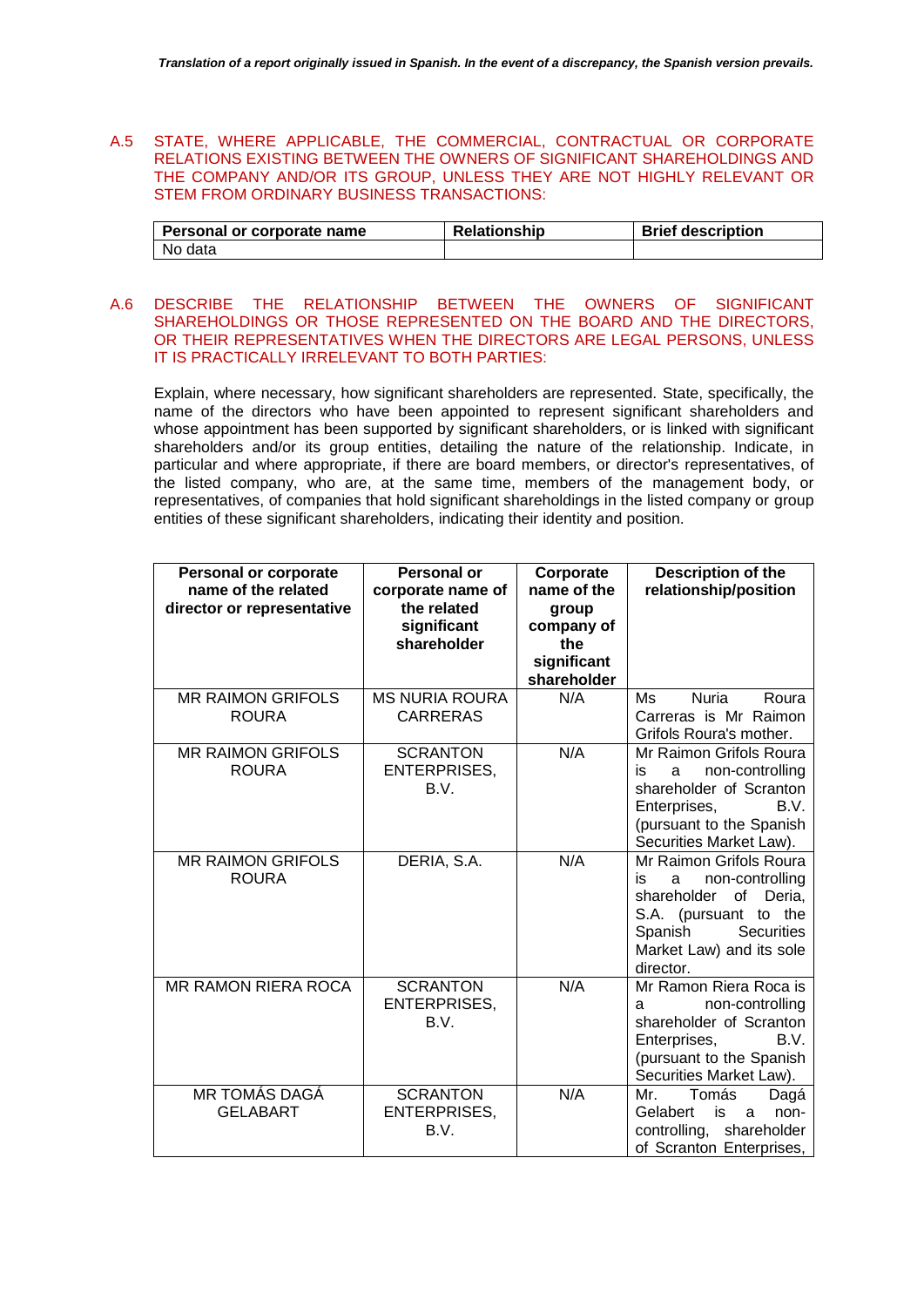# A.5 STATE, WHERE APPLICABLE, THE COMMERCIAL, CONTRACTUAL OR CORPORATE RELATIONS EXISTING BETWEEN THE OWNERS OF SIGNIFICANT SHAREHOLDINGS AND THE COMPANY AND/OR ITS GROUP, UNLESS THEY ARE NOT HIGHLY RELEVANT OR STEM FROM ORDINARY BUSINESS TRANSACTIONS:

| Personal or corporate name | <b>Relationship</b> | <b>Brief description</b> |
|----------------------------|---------------------|--------------------------|
| l No data                  |                     |                          |

# A.6 DESCRIBE THE RELATIONSHIP BETWEEN THE OWNERS OF SIGNIFICANT SHAREHOLDINGS OR THOSE REPRESENTED ON THE BOARD AND THE DIRECTORS, OR THEIR REPRESENTATIVES WHEN THE DIRECTORS ARE LEGAL PERSONS, UNLESS IT IS PRACTICALLY IRRELEVANT TO BOTH PARTIES:

Explain, where necessary, how significant shareholders are represented. State, specifically, the name of the directors who have been appointed to represent significant shareholders and whose appointment has been supported by significant shareholders, or is linked with significant shareholders and/or its group entities, detailing the nature of the relationship. Indicate, in particular and where appropriate, if there are board members, or director's representatives, of the listed company, who are, at the same time, members of the management body, or representatives, of companies that hold significant shareholdings in the listed company or group entities of these significant shareholders, indicating their identity and position.

| <b>Personal or corporate</b><br>name of the related<br>director or representative | <b>Personal or</b><br>corporate name of<br>the related<br>significant<br>shareholder | Corporate<br>name of the<br>group<br>company of<br>the<br>significant<br>shareholder | Description of the<br>relationship/position                                                                                                                                     |
|-----------------------------------------------------------------------------------|--------------------------------------------------------------------------------------|--------------------------------------------------------------------------------------|---------------------------------------------------------------------------------------------------------------------------------------------------------------------------------|
| <b>MR RAIMON GRIFOLS</b><br><b>ROURA</b>                                          | <b>MS NURIA ROURA</b><br><b>CARRERAS</b>                                             | N/A                                                                                  | Ms<br><b>Nuria</b><br>Roura<br>Carreras is Mr Raimon<br>Grifols Roura's mother.                                                                                                 |
| <b>MR RAIMON GRIFOLS</b><br><b>ROURA</b>                                          | <b>SCRANTON</b><br><b>ENTERPRISES,</b><br>B.V.                                       | N/A                                                                                  | Mr Raimon Grifols Roura<br>non-controlling<br>is<br>a<br>shareholder of Scranton<br>Enterprises,<br>B.V.<br>(pursuant to the Spanish<br>Securities Market Law).                 |
| <b>MR RAIMON GRIFOLS</b><br><b>ROURA</b>                                          | DERIA, S.A.                                                                          | N/A                                                                                  | Mr Raimon Grifols Roura<br>non-controlling<br>is<br>a<br>shareholder<br>of<br>Deria,<br>S.A. (pursuant to the<br>Spanish<br>Securities<br>Market Law) and its sole<br>director. |
| MR RAMON RIERA ROCA                                                               | <b>SCRANTON</b><br><b>ENTERPRISES,</b><br>B.V.                                       | N/A                                                                                  | Mr Ramon Riera Roca is<br>non-controlling<br>a<br>shareholder of Scranton<br>Enterprises,<br>B.V.<br>(pursuant to the Spanish<br>Securities Market Law).                        |
| MR TOMÁS DAGÁ<br><b>GELABART</b>                                                  | <b>SCRANTON</b><br><b>ENTERPRISES,</b><br>B.V.                                       | N/A                                                                                  | Mr.<br>Tomás<br>Dagá<br>Gelabert<br>is<br>non-<br>a<br>controlling,<br>shareholder<br>of Scranton Enterprises,                                                                  |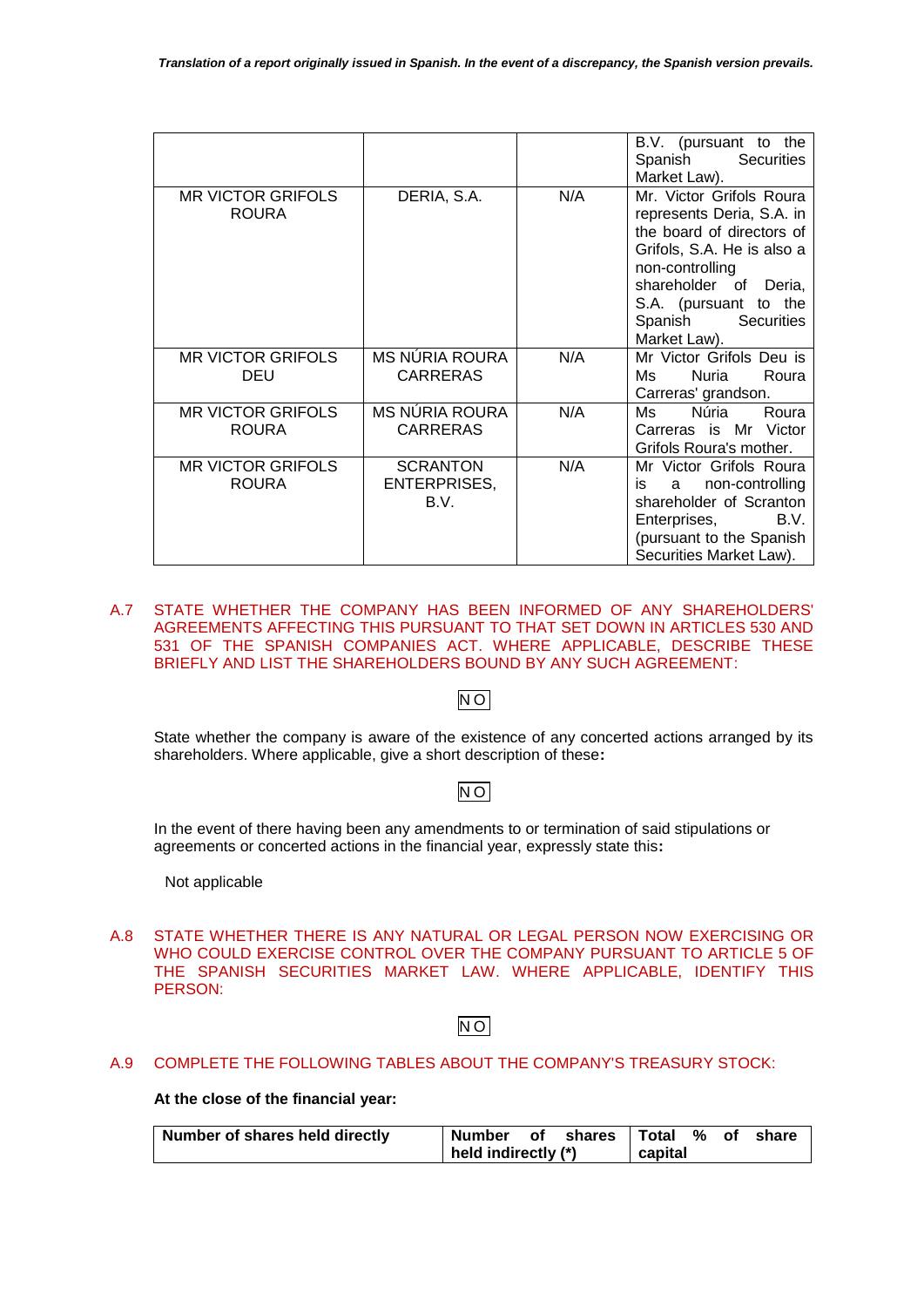|                                          |                                         |     | B.V. (pursuant to the<br>Spanish<br>Securities<br>Market Law).                                                                                                                                                              |
|------------------------------------------|-----------------------------------------|-----|-----------------------------------------------------------------------------------------------------------------------------------------------------------------------------------------------------------------------------|
| <b>MR VICTOR GRIFOLS</b><br><b>ROURA</b> | DERIA, S.A.                             | N/A | Mr. Victor Grifols Roura<br>represents Deria, S.A. in<br>the board of directors of<br>Grifols, S.A. He is also a<br>non-controlling<br>shareholder of Deria,<br>S.A. (pursuant to the<br>Spanish Securities<br>Market Law). |
| <b>MR VICTOR GRIFOLS</b><br>DEU          | MS NÚRIA ROURA<br><b>CARRERAS</b>       | N/A | Mr Victor Grifols Deu is<br>Nuria<br>Ms.<br>Roura<br>Carreras' grandson.                                                                                                                                                    |
| <b>MR VICTOR GRIFOLS</b><br><b>ROURA</b> | MS NÚRIA ROURA<br><b>CARRERAS</b>       | N/A | Núria<br>Ms.<br>Roura<br>Carreras is Mr Victor<br>Grifols Roura's mother.                                                                                                                                                   |
| <b>MR VICTOR GRIFOLS</b><br><b>ROURA</b> | <b>SCRANTON</b><br>ENTERPRISES,<br>B.V. | N/A | Mr Victor Grifols Roura<br>non-controlling<br>is<br>a<br>shareholder of Scranton<br>B.V.<br>Enterprises,<br>(pursuant to the Spanish<br>Securities Market Law).                                                             |

# A.7 STATE WHETHER THE COMPANY HAS BEEN INFORMED OF ANY SHAREHOLDERS' AGREEMENTS AFFECTING THIS PURSUANT TO THAT SET DOWN IN ARTICLES 530 AND 531 OF THE SPANISH COMPANIES ACT. WHERE APPLICABLE, DESCRIBE THESE BRIEFLY AND LIST THE SHAREHOLDERS BOUND BY ANY SUCH AGREEMENT:

# N O

State whether the company is aware of the existence of any concerted actions arranged by its shareholders. Where applicable, give a short description of these**:**

# N O

In the event of there having been any amendments to or termination of said stipulations or agreements or concerted actions in the financial year, expressly state this**:**

Not applicable

A.8 STATE WHETHER THERE IS ANY NATURAL OR LEGAL PERSON NOW EXERCISING OR WHO COULD EXERCISE CONTROL OVER THE COMPANY PURSUANT TO ARTICLE 5 OF THE SPANISH SECURITIES MARKET LAW. WHERE APPLICABLE, IDENTIFY THIS PERSON:

# N O

# A.9 COMPLETE THE FOLLOWING TABLES ABOUT THE COMPANY'S TREASURY STOCK:

**At the close of the financial year:**

| Number of shares held directly | Number of shares Total % of share |  |         |  |  |
|--------------------------------|-----------------------------------|--|---------|--|--|
|                                | held indirectly (*)               |  | capital |  |  |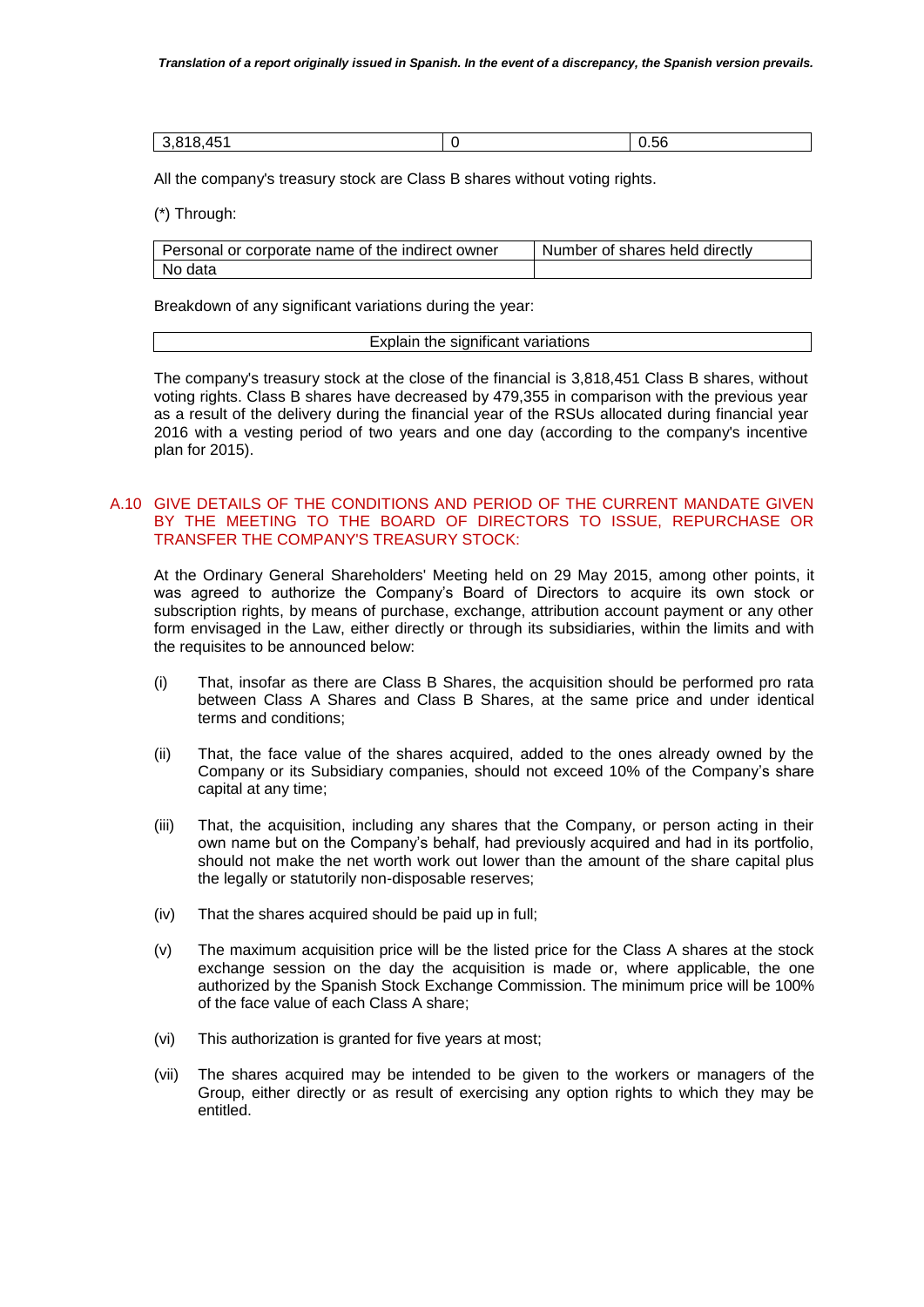| .451<br>04C<br>. | $ -$<br>0.56 |
|------------------|--------------|

All the company's treasury stock are Class B shares without voting rights.

(\*) Through:

| Personal or corporate name of the indirect owner | Number of shares held directly |
|--------------------------------------------------|--------------------------------|
| No data                                          |                                |

Breakdown of any significant variations during the year:

| Explain the significant variations |
|------------------------------------|
|                                    |

The company's treasury stock at the close of the financial is 3,818,451 Class B shares, without voting rights. Class B shares have decreased by 479,355 in comparison with the previous year as a result of the delivery during the financial year of the RSUs allocated during financial year 2016 with a vesting period of two years and one day (according to the company's incentive plan for 2015).

# A.10 GIVE DETAILS OF THE CONDITIONS AND PERIOD OF THE CURRENT MANDATE GIVEN BY THE MEETING TO THE BOARD OF DIRECTORS TO ISSUE, REPURCHASE OR TRANSFER THE COMPANY'S TREASURY STOCK:

At the Ordinary General Shareholders' Meeting held on 29 May 2015, among other points, it was agreed to authorize the Company's Board of Directors to acquire its own stock or subscription rights, by means of purchase, exchange, attribution account payment or any other form envisaged in the Law, either directly or through its subsidiaries, within the limits and with the requisites to be announced below:

- (i) That, insofar as there are Class B Shares, the acquisition should be performed pro rata between Class A Shares and Class B Shares, at the same price and under identical terms and conditions;
- (ii) That, the face value of the shares acquired, added to the ones already owned by the Company or its Subsidiary companies, should not exceed 10% of the Company's share capital at any time;
- (iii) That, the acquisition, including any shares that the Company, or person acting in their own name but on the Company's behalf, had previously acquired and had in its portfolio, should not make the net worth work out lower than the amount of the share capital plus the legally or statutorily non-disposable reserves;
- (iv) That the shares acquired should be paid up in full;
- (v) The maximum acquisition price will be the listed price for the Class A shares at the stock exchange session on the day the acquisition is made or, where applicable, the one authorized by the Spanish Stock Exchange Commission. The minimum price will be 100% of the face value of each Class A share;
- (vi) This authorization is granted for five years at most;
- (vii) The shares acquired may be intended to be given to the workers or managers of the Group, either directly or as result of exercising any option rights to which they may be entitled.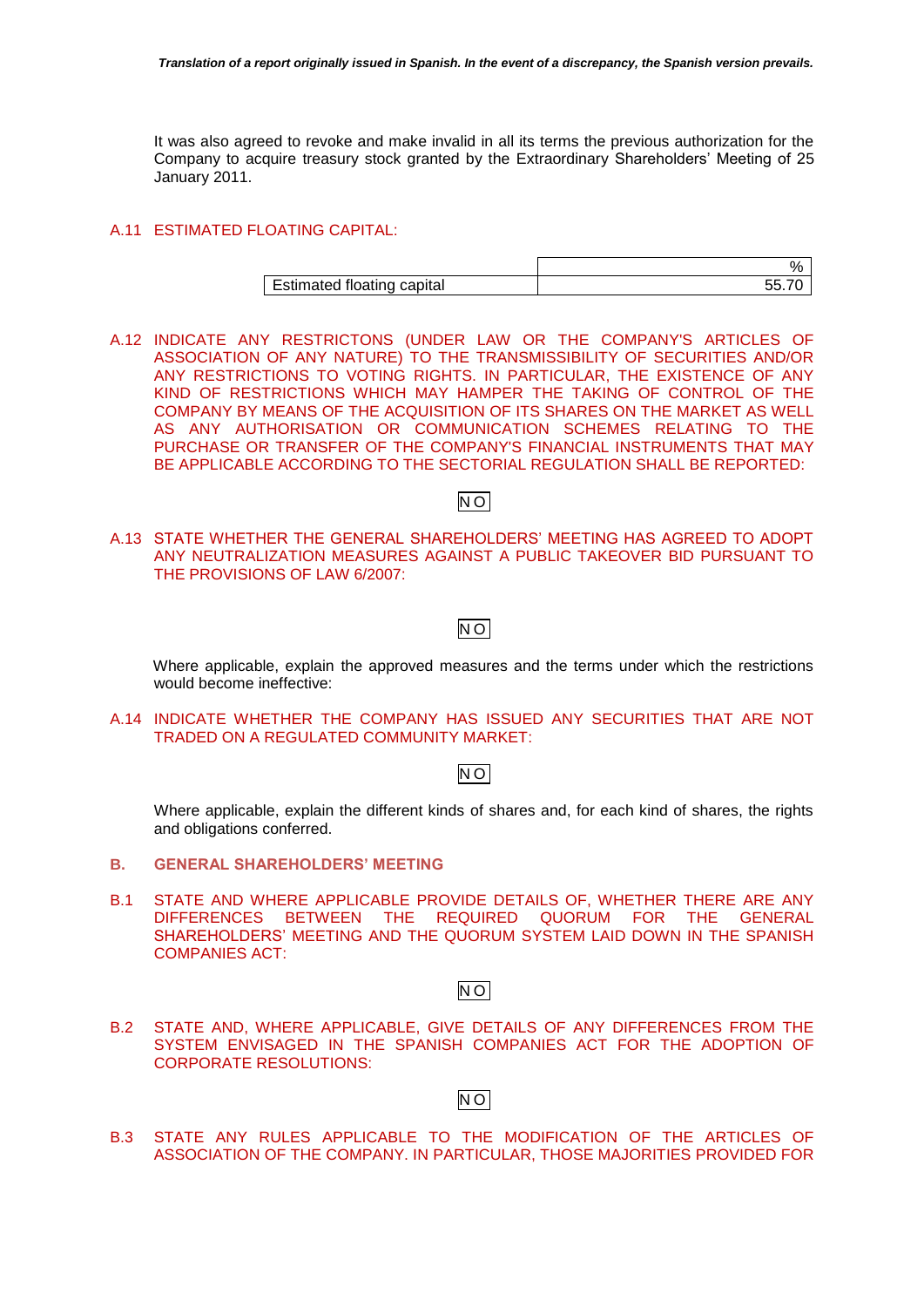It was also agreed to revoke and make invalid in all its terms the previous authorization for the Company to acquire treasury stock granted by the Extraordinary Shareholders' Meeting of 25 January 2011.

# A.11 ESTIMATED FLOATING CAPITAL:

|                            | ν, |
|----------------------------|----|
| Estimated floating capital |    |

A.12 INDICATE ANY RESTRICTONS (UNDER LAW OR THE COMPANY'S ARTICLES OF ASSOCIATION OF ANY NATURE) TO THE TRANSMISSIBILITY OF SECURITIES AND/OR ANY RESTRICTIONS TO VOTING RIGHTS. IN PARTICULAR, THE EXISTENCE OF ANY KIND OF RESTRICTIONS WHICH MAY HAMPER THE TAKING OF CONTROL OF THE COMPANY BY MEANS OF THE ACQUISITION OF ITS SHARES ON THE MARKET AS WELL AS ANY AUTHORISATION OR COMMUNICATION SCHEMES RELATING TO THE PURCHASE OR TRANSFER OF THE COMPANY'S FINANCIAL INSTRUMENTS THAT MAY BE APPLICABLE ACCORDING TO THE SECTORIAL REGULATION SHALL BE REPORTED:

# N O

A.13 STATE WHETHER THE GENERAL SHAREHOLDERS' MEETING HAS AGREED TO ADOPT ANY NEUTRALIZATION MEASURES AGAINST A PUBLIC TAKEOVER BID PURSUANT TO THE PROVISIONS OF LAW 6/2007:

# N O

Where applicable, explain the approved measures and the terms under which the restrictions would become ineffective:

A.14 INDICATE WHETHER THE COMPANY HAS ISSUED ANY SECURITIES THAT ARE NOT TRADED ON A REGULATED COMMUNITY MARKET:

# N O

Where applicable, explain the different kinds of shares and, for each kind of shares, the rights and obligations conferred.

- **B. GENERAL SHAREHOLDERS' MEETING**
- B.1 STATE AND WHERE APPLICABLE PROVIDE DETAILS OF, WHETHER THERE ARE ANY DIFFERENCES BETWEEN THE REQUIRED QUORUM FOR THE GENERAL SHAREHOLDERS' MEETING AND THE QUORUM SYSTEM LAID DOWN IN THE SPANISH COMPANIES ACT:

# N O

B.2 STATE AND, WHERE APPLICABLE, GIVE DETAILS OF ANY DIFFERENCES FROM THE SYSTEM ENVISAGED IN THE SPANISH COMPANIES ACT FOR THE ADOPTION OF CORPORATE RESOLUTIONS:

# N O

B.3 STATE ANY RULES APPLICABLE TO THE MODIFICATION OF THE ARTICLES OF ASSOCIATION OF THE COMPANY. IN PARTICULAR, THOSE MAJORITIES PROVIDED FOR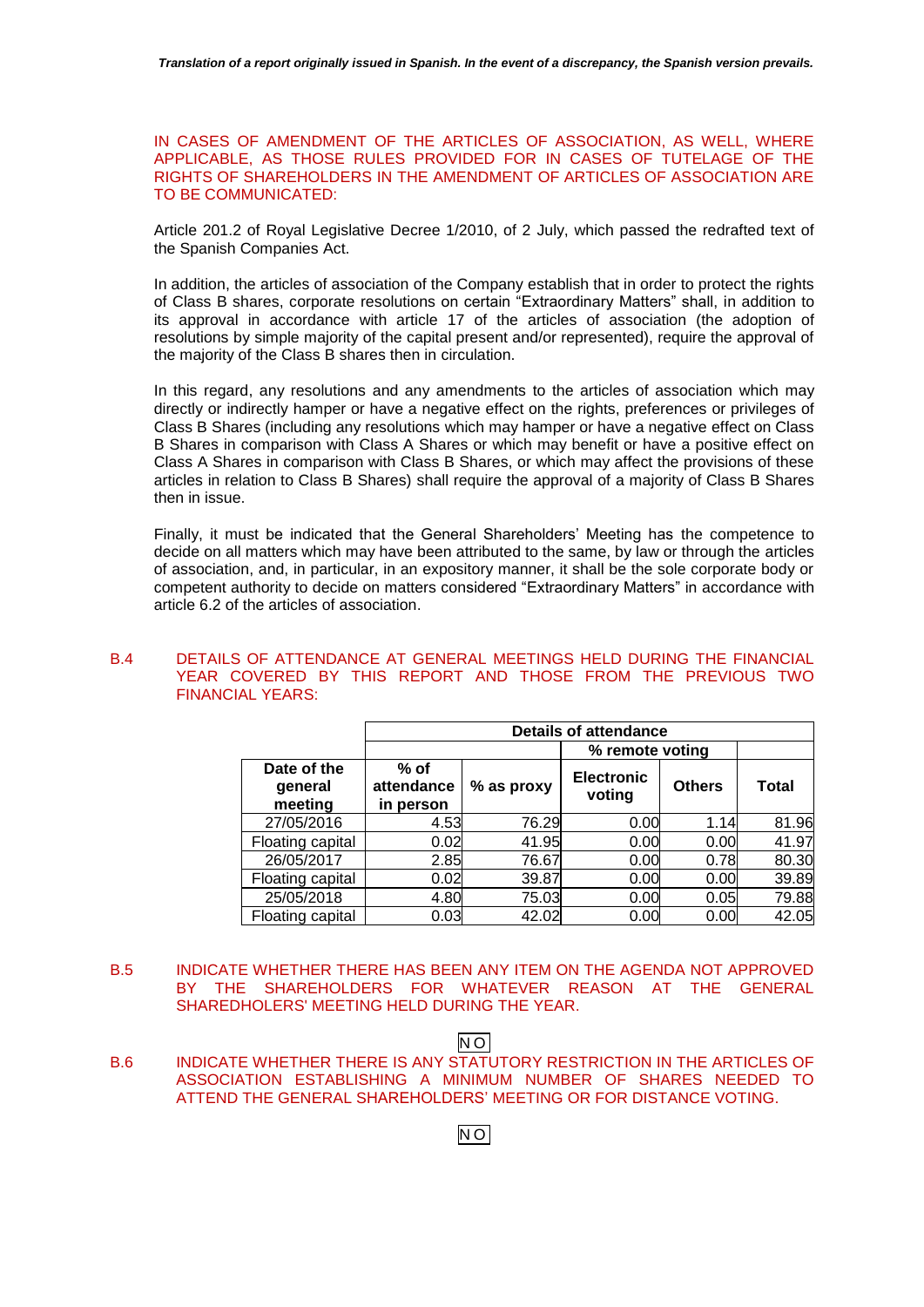IN CASES OF AMENDMENT OF THE ARTICLES OF ASSOCIATION, AS WELL, WHERE APPLICABLE, AS THOSE RULES PROVIDED FOR IN CASES OF TUTELAGE OF THE RIGHTS OF SHAREHOLDERS IN THE AMENDMENT OF ARTICLES OF ASSOCIATION ARE TO BE COMMUNICATED:

Article 201.2 of Royal Legislative Decree 1/2010, of 2 July, which passed the redrafted text of the Spanish Companies Act.

In addition, the articles of association of the Company establish that in order to protect the rights of Class B shares, corporate resolutions on certain "Extraordinary Matters" shall, in addition to its approval in accordance with article 17 of the articles of association (the adoption of resolutions by simple majority of the capital present and/or represented), require the approval of the majority of the Class B shares then in circulation.

In this regard, any resolutions and any amendments to the articles of association which may directly or indirectly hamper or have a negative effect on the rights, preferences or privileges of Class B Shares (including any resolutions which may hamper or have a negative effect on Class B Shares in comparison with Class A Shares or which may benefit or have a positive effect on Class A Shares in comparison with Class B Shares, or which may affect the provisions of these articles in relation to Class B Shares) shall require the approval of a majority of Class B Shares then in issue.

Finally, it must be indicated that the General Shareholders' Meeting has the competence to decide on all matters which may have been attributed to the same, by law or through the articles of association, and, in particular, in an expository manner, it shall be the sole corporate body or competent authority to decide on matters considered "Extraordinary Matters" in accordance with article 6.2 of the articles of association.

## B.4 DETAILS OF ATTENDANCE AT GENERAL MEETINGS HELD DURING THE FINANCIAL YEAR COVERED BY THIS REPORT AND THOSE FROM THE PREVIOUS TWO FINANCIAL YEARS:

|                        | <b>Details of attendance</b> |            |                             |               |              |  |  |
|------------------------|------------------------------|------------|-----------------------------|---------------|--------------|--|--|
|                        |                              |            | % remote voting             |               |              |  |  |
| Date of the<br>qeneral | % of<br>attendance           | % as proxy | <b>Electronic</b><br>voting | <b>Others</b> | <b>Total</b> |  |  |
| meeting                | in person                    |            |                             |               |              |  |  |
| 27/05/2016             | 4.53                         | 76.29      | 0.00                        | 1.14          | 81.96        |  |  |
| Floating capital       | 0.02                         | 41.95      | 0.00                        | 0.00          | 41.97        |  |  |
| 26/05/2017             | 2.85                         | 76.67      | 0.00                        | 0.78          | 80.30        |  |  |
| Floating capital       | 0.02                         | 39.87      | 0.00                        | 0.00          | 39.89        |  |  |
| 25/05/2018             | 4.80                         | 75.03      | 0.00                        | 0.05          | 79.88        |  |  |
| Floating capital       | 0.03                         | 42.02      | 0.00                        | 0.00          | 42.05        |  |  |

B.5 INDICATE WHETHER THERE HAS BEEN ANY ITEM ON THE AGENDA NOT APPROVED BY THE SHAREHOLDERS FOR WHATEVER REASON AT THE GENERAL SHAREDHOLERS' MEETING HELD DURING THE YEAR.

# N O

B.6 INDICATE WHETHER THERE IS ANY STATUTORY RESTRICTION IN THE ARTICLES OF ASSOCIATION ESTABLISHING A MINIMUM NUMBER OF SHARES NEEDED TO ATTEND THE GENERAL SHAREHOLDERS' MEETING OR FOR DISTANCE VOTING.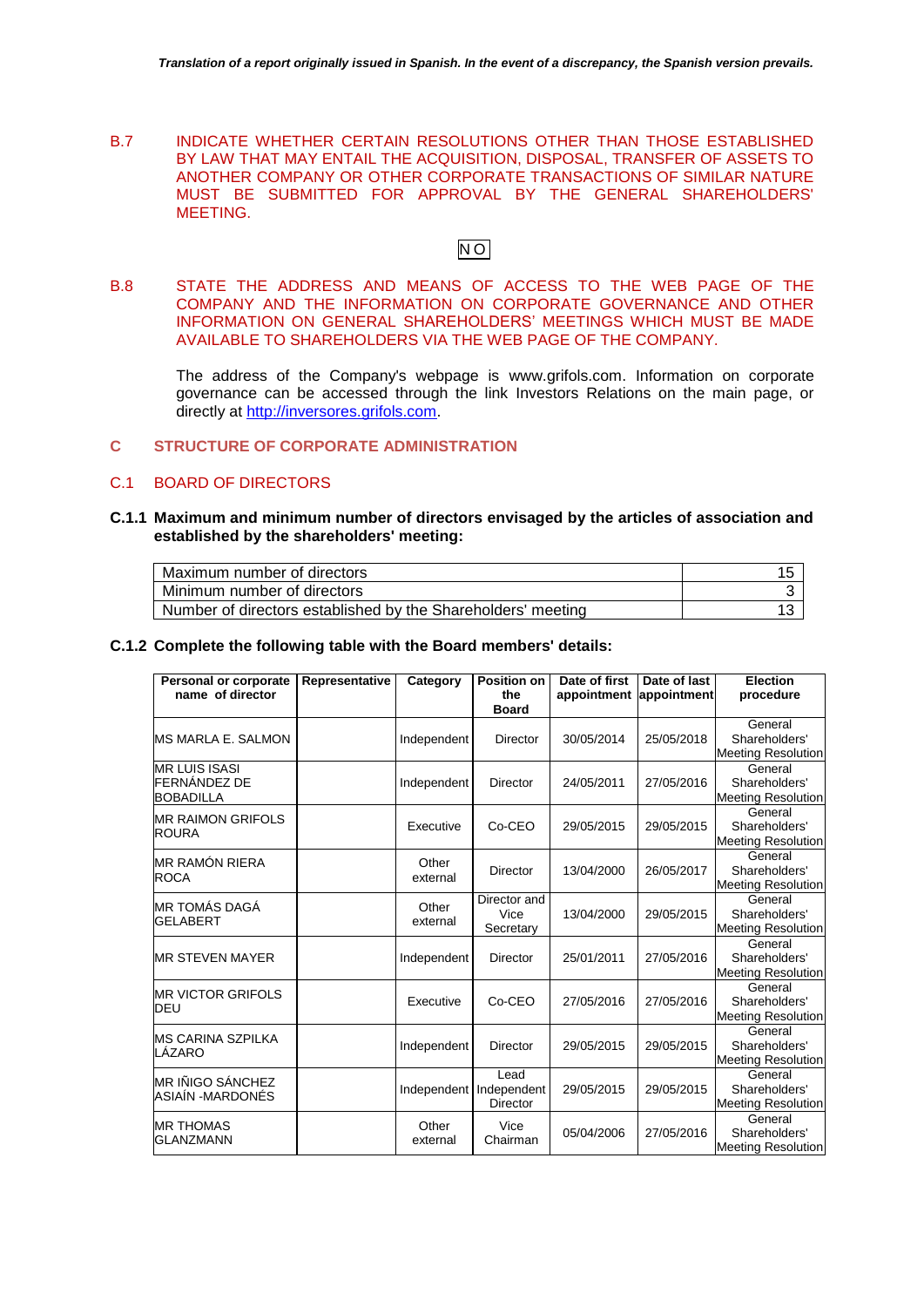B.7 INDICATE WHETHER CERTAIN RESOLUTIONS OTHER THAN THOSE ESTABLISHED BY LAW THAT MAY ENTAIL THE ACQUISITION, DISPOSAL, TRANSFER OF ASSETS TO ANOTHER COMPANY OR OTHER CORPORATE TRANSACTIONS OF SIMILAR NATURE MUST BE SUBMITTED FOR APPROVAL BY THE GENERAL SHAREHOLDERS' MEETING.

# $\overline{NO}$

B.8 STATE THE ADDRESS AND MEANS OF ACCESS TO THE WEB PAGE OF THE COMPANY AND THE INFORMATION ON CORPORATE GOVERNANCE AND OTHER INFORMATION ON GENERAL SHAREHOLDERS' MEETINGS WHICH MUST BE MADE AVAILABLE TO SHAREHOLDERS VIA THE WEB PAGE OF THE COMPANY.

The address of the Company's webpage is [www.grifols.com.](http://www.grifols.com/) Information on corporate governance can be accessed through the link Investors Relations on the main page, or directly at [http://inversores.grifols.com.](http://inversores.grifols.com/)

# **C STRUCTURE OF CORPORATE ADMINISTRATION**

#### C.1 BOARD OF DIRECTORS

**C.1.1 Maximum and minimum number of directors envisaged by the articles of association and established by the shareholders' meeting:**

| Maximum number of directors                                  |  |
|--------------------------------------------------------------|--|
| Minimum number of directors                                  |  |
| Number of directors established by the Shareholders' meeting |  |

#### **C.1.2 Complete the following table with the Board members' details:**

| <b>Personal or corporate</b><br>name of director         | Representative | Category          | <b>Position on</b><br>the<br><b>Board</b> | Date of first<br>appointment appointment | Date of last | <b>Election</b><br>procedure                          |
|----------------------------------------------------------|----------------|-------------------|-------------------------------------------|------------------------------------------|--------------|-------------------------------------------------------|
| <b>MS MARLA E. SALMON</b>                                |                | Independent       | Director                                  | 30/05/2014                               | 25/05/2018   | General<br>Shareholders'<br><b>Meeting Resolution</b> |
| <b>MR LUIS ISASI</b><br>FERNÁNDEZ DE<br><b>BOBADILLA</b> |                | Independent       | <b>Director</b>                           | 24/05/2011                               | 27/05/2016   | General<br>Shareholders'<br><b>Meeting Resolution</b> |
| <b>MR RAIMON GRIFOLS</b><br><b>ROURA</b>                 |                | Executive         | Co-CEO                                    | 29/05/2015                               | 29/05/2015   | General<br>Shareholders'<br><b>Meeting Resolution</b> |
| <b>MR RAMÓN RIERA</b><br><b>ROCA</b>                     |                | Other<br>external | <b>Director</b>                           | 13/04/2000                               | 26/05/2017   | General<br>Shareholders'<br><b>Meeting Resolution</b> |
| MR TOMÁS DAGÁ<br><b>GELABERT</b>                         |                | Other<br>external | Director and<br>Vice<br>Secretary         | 13/04/2000                               | 29/05/2015   | General<br>Shareholders'<br><b>Meeting Resolution</b> |
| <b>MR STEVEN MAYER</b>                                   |                | Independent       | Director                                  | 25/01/2011                               | 27/05/2016   | General<br>Shareholders'<br><b>Meeting Resolution</b> |
| <b>MR VICTOR GRIFOLS</b><br>DEU                          |                | Executive         | Co-CEO                                    | 27/05/2016                               | 27/05/2016   | General<br>Shareholders'<br><b>Meeting Resolution</b> |
| <b>IMS CARINA SZPILKA</b><br>LÁZARO                      |                | Independent       | <b>Director</b>                           | 29/05/2015                               | 29/05/2015   | General<br>Shareholders'<br><b>Meeting Resolution</b> |
| <b>MR IÑIGO SÁNCHEZ</b><br>ASIAÍN -MARDONÉS              |                | Independent       | Lead<br>Independent<br>Director           | 29/05/2015                               | 29/05/2015   | General<br>Shareholders'<br><b>Meeting Resolution</b> |
| <b>MR THOMAS</b><br><b>GLANZMANN</b>                     |                | Other<br>external | Vice<br>Chairman                          | 05/04/2006                               | 27/05/2016   | General<br>Shareholders'<br><b>Meeting Resolution</b> |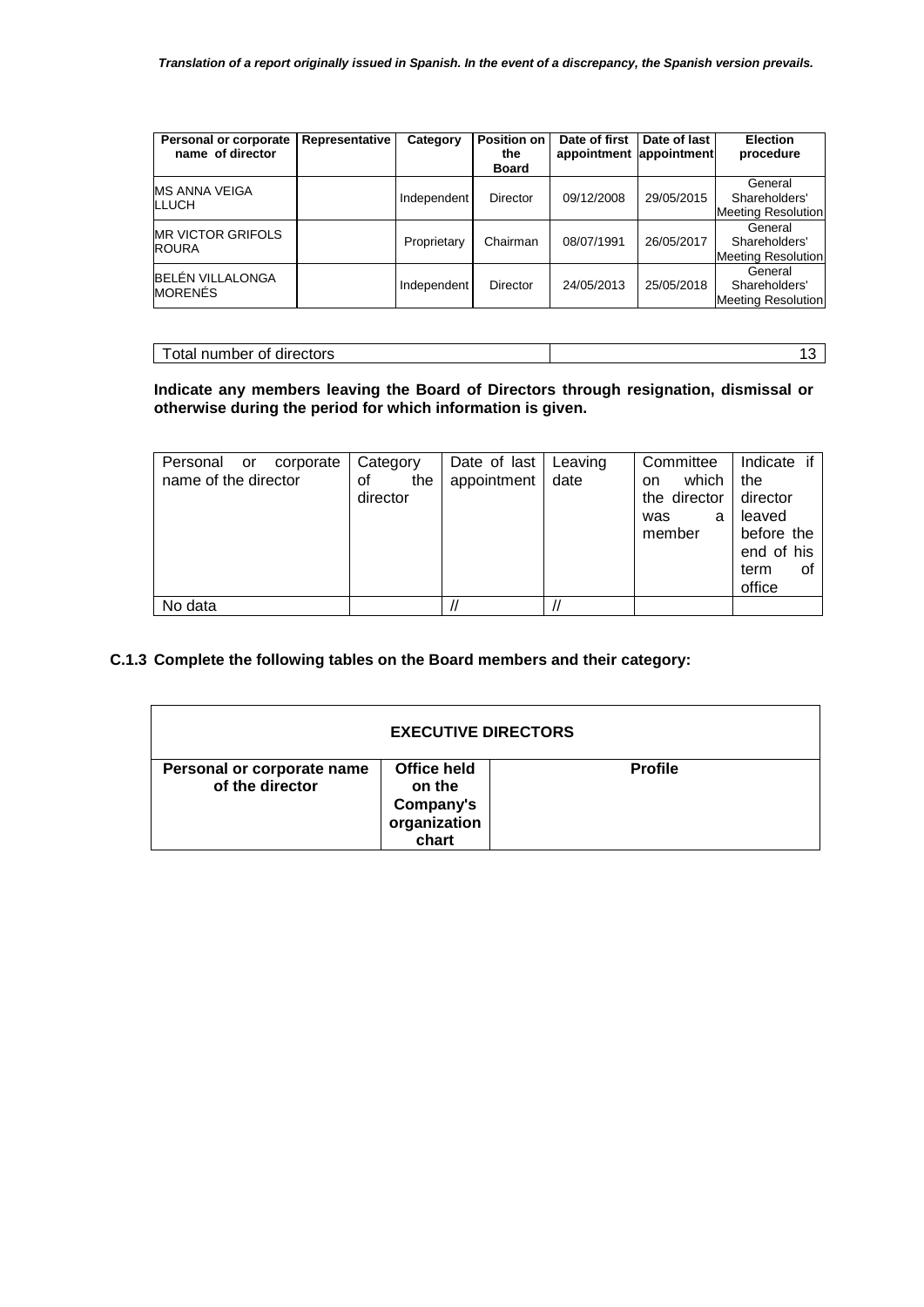| Personal or corporate<br>name of director | Representative | Category    | <b>Position on</b><br>the<br><b>Board</b> | Date of first<br>appointment appointment | Date of last | <b>Election</b><br>procedure                          |
|-------------------------------------------|----------------|-------------|-------------------------------------------|------------------------------------------|--------------|-------------------------------------------------------|
| <b>MS ANNA VEIGA</b><br><b>LLUCH</b>      |                | Independent | Director                                  | 09/12/2008                               | 29/05/2015   | General<br>Shareholders'<br><b>Meeting Resolution</b> |
| <b>MR VICTOR GRIFOLS</b><br><b>ROURA</b>  |                | Proprietary | Chairman                                  | 08/07/1991                               | 26/05/2017   | General<br>Shareholders'<br><b>Meeting Resolution</b> |
| <b>BELÉN VILLALONGA</b><br><b>MORENES</b> |                | Independent | Director                                  | 24/05/2013                               | 25/05/2018   | General<br>Shareholders'<br><b>Meeting Resolution</b> |

| Total number of directors | . |
|---------------------------|---|

# **Indicate any members leaving the Board of Directors through resignation, dismissal or otherwise during the period for which information is given.**

| Personal<br>corporate<br>or<br>name of the director | Category<br>οf<br>the<br>director | Date of last<br>appointment | Leaving<br>date | Committee<br>which<br>on.<br>the director<br>was<br>a<br>member | Indicate if<br>the<br>director<br>leaved<br>before the<br>end of his<br>term<br>οt<br>office |
|-----------------------------------------------------|-----------------------------------|-----------------------------|-----------------|-----------------------------------------------------------------|----------------------------------------------------------------------------------------------|
| No data                                             |                                   |                             |                 |                                                                 |                                                                                              |

# **C.1.3 Complete the following tables on the Board members and their category:**

| <b>EXECUTIVE DIRECTORS</b>                    |                                                             |                |  |
|-----------------------------------------------|-------------------------------------------------------------|----------------|--|
| Personal or corporate name<br>of the director | Office held<br>on the<br>Company's<br>organization<br>chart | <b>Profile</b> |  |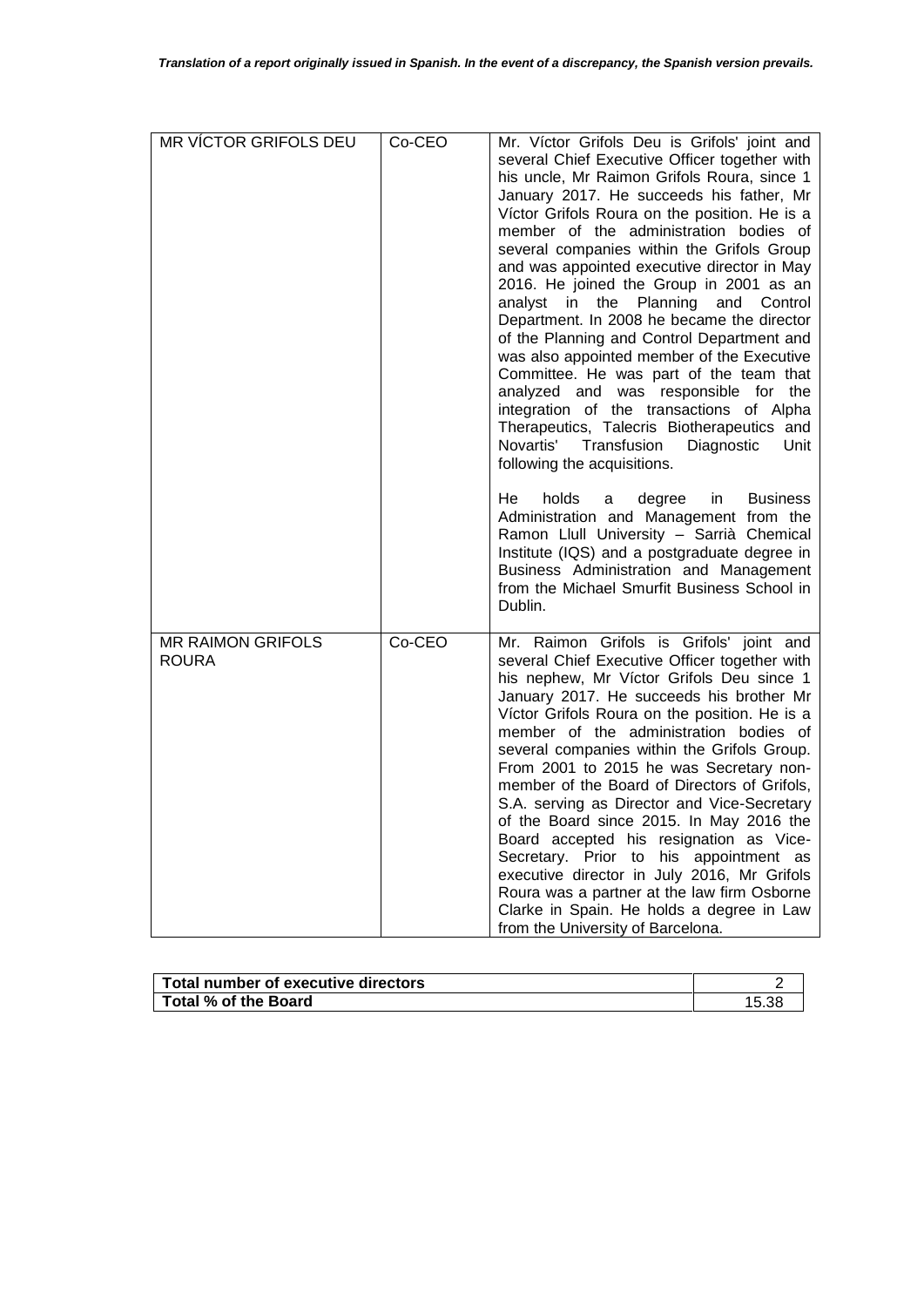| MR VÍCTOR GRIFOLS DEU                    | Co-CEO | Mr. Víctor Grifols Deu is Grifols' joint and<br>several Chief Executive Officer together with<br>his uncle, Mr Raimon Grifols Roura, since 1<br>January 2017. He succeeds his father, Mr<br>Víctor Grifols Roura on the position. He is a<br>member of the administration bodies of<br>several companies within the Grifols Group<br>and was appointed executive director in May<br>2016. He joined the Group in 2001 as an<br>analyst<br>the<br>Planning<br>and<br>Control<br>in.<br>Department. In 2008 he became the director<br>of the Planning and Control Department and<br>was also appointed member of the Executive<br>Committee. He was part of the team that<br>analyzed and was responsible for<br>the<br>integration of the transactions of Alpha<br>Therapeutics, Talecris Biotherapeutics and<br>Novartis'<br>Transfusion<br>Diagnostic<br>Unit<br>following the acquisitions.<br><b>Business</b><br>He<br>holds<br>degree<br>in<br>a<br>Administration and Management from the<br>Ramon Llull University - Sarrià Chemical<br>Institute (IQS) and a postgraduate degree in |
|------------------------------------------|--------|--------------------------------------------------------------------------------------------------------------------------------------------------------------------------------------------------------------------------------------------------------------------------------------------------------------------------------------------------------------------------------------------------------------------------------------------------------------------------------------------------------------------------------------------------------------------------------------------------------------------------------------------------------------------------------------------------------------------------------------------------------------------------------------------------------------------------------------------------------------------------------------------------------------------------------------------------------------------------------------------------------------------------------------------------------------------------------------------|
| <b>MR RAIMON GRIFOLS</b><br><b>ROURA</b> | Co-CEO | from the Michael Smurfit Business School in<br>Dublin.<br>Mr. Raimon Grifols is Grifols' joint and<br>several Chief Executive Officer together with<br>his nephew, Mr Víctor Grifols Deu since 1<br>January 2017. He succeeds his brother Mr<br>Víctor Grifols Roura on the position. He is a<br>member of the administration bodies of<br>several companies within the Grifols Group.<br>From 2001 to 2015 he was Secretary non-<br>member of the Board of Directors of Grifols,<br>S.A. serving as Director and Vice-Secretary<br>of the Board since 2015. In May 2016 the<br>Board accepted his resignation as Vice-<br>Secretary. Prior to his appointment as<br>executive director in July 2016, Mr Grifols<br>Roura was a partner at the law firm Osborne<br>Clarke in Spain. He holds a degree in Law<br>from the University of Barcelona.                                                                                                                                                                                                                                          |

| Total number of executive directors |  |
|-------------------------------------|--|
| l Total % of the Board l            |  |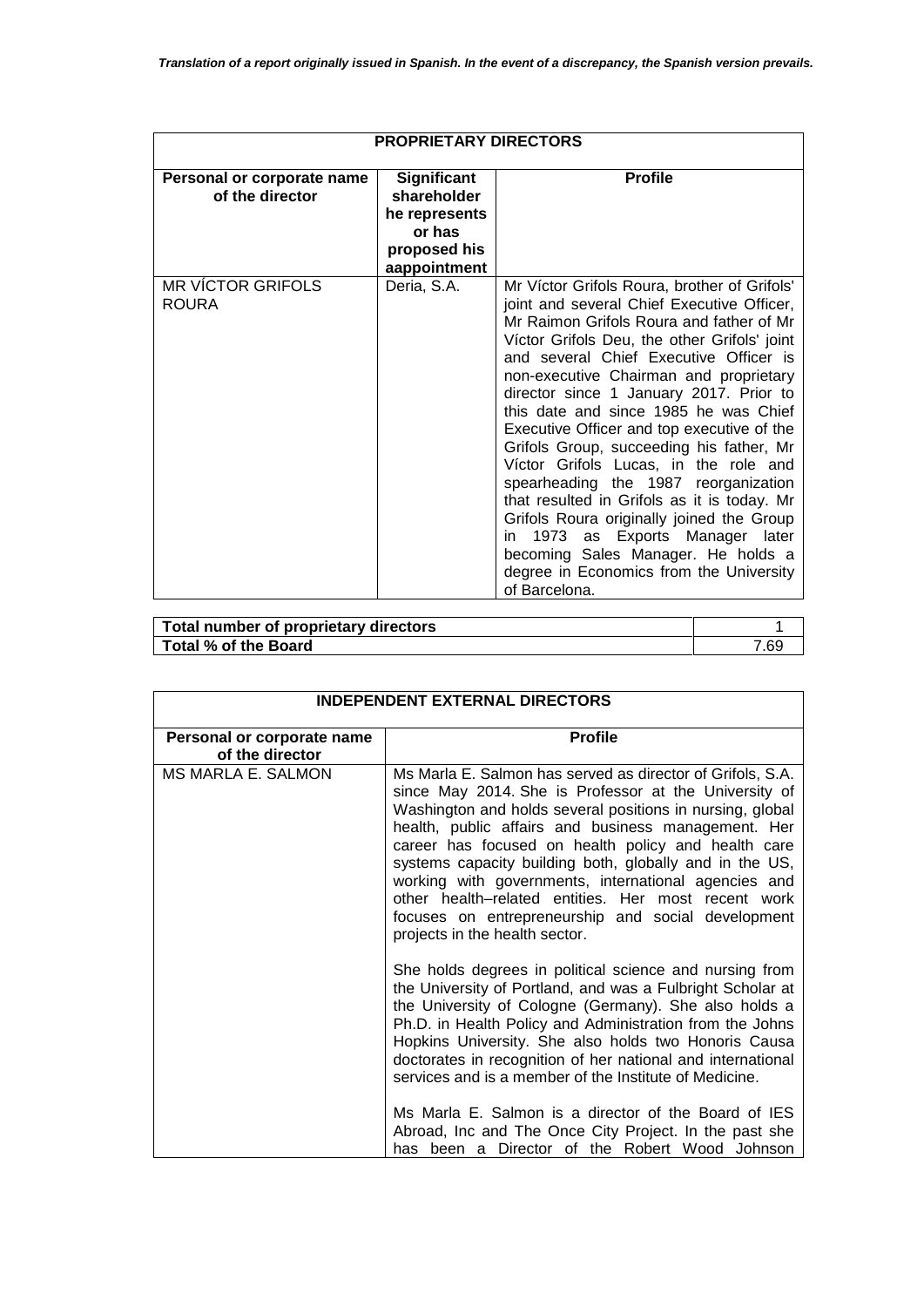| <b>PROPRIETARY DIRECTORS</b>                  |                                                                                       |                                                                                                                                                                                                                                                                                                                                                                                                                                                                                                                                                                                                                                                                                                                                                                                    |  |
|-----------------------------------------------|---------------------------------------------------------------------------------------|------------------------------------------------------------------------------------------------------------------------------------------------------------------------------------------------------------------------------------------------------------------------------------------------------------------------------------------------------------------------------------------------------------------------------------------------------------------------------------------------------------------------------------------------------------------------------------------------------------------------------------------------------------------------------------------------------------------------------------------------------------------------------------|--|
| Personal or corporate name<br>of the director | Significant<br>shareholder<br>he represents<br>or has<br>proposed his<br>aappointment | <b>Profile</b>                                                                                                                                                                                                                                                                                                                                                                                                                                                                                                                                                                                                                                                                                                                                                                     |  |
| <b>MR VÍCTOR GRIFOLS</b><br><b>ROURA</b>      | Deria, S.A.                                                                           | Mr Víctor Grifols Roura, brother of Grifols'<br>joint and several Chief Executive Officer,<br>Mr Raimon Grifols Roura and father of Mr<br>Víctor Grifols Deu, the other Grifols' joint<br>and several Chief Executive Officer is<br>non-executive Chairman and proprietary<br>director since 1 January 2017. Prior to<br>this date and since 1985 he was Chief<br>Executive Officer and top executive of the<br>Grifols Group, succeeding his father, Mr<br>Víctor Grifols Lucas, in the role and<br>spearheading the 1987 reorganization<br>that resulted in Grifols as it is today. Mr<br>Grifols Roura originally joined the Group<br>1973 as Exports Manager<br>later<br>in.<br>becoming Sales Manager. He holds a<br>degree in Economics from the University<br>of Barcelona. |  |

| Total number of proprietary directors |      |
|---------------------------------------|------|
| Total % of the Board                  | 7.69 |

| <b>INDEPENDENT EXTERNAL DIRECTORS</b>         |                                                                                                                                                                                                                                                                                                                                                                                                                                                                                                                                                                                                 |  |  |
|-----------------------------------------------|-------------------------------------------------------------------------------------------------------------------------------------------------------------------------------------------------------------------------------------------------------------------------------------------------------------------------------------------------------------------------------------------------------------------------------------------------------------------------------------------------------------------------------------------------------------------------------------------------|--|--|
| Personal or corporate name<br>of the director | <b>Profile</b>                                                                                                                                                                                                                                                                                                                                                                                                                                                                                                                                                                                  |  |  |
| <b>MS MARLA E. SALMON</b>                     | Ms Marla E. Salmon has served as director of Grifols, S.A.<br>since May 2014. She is Professor at the University of<br>Washington and holds several positions in nursing, global<br>health, public affairs and business management. Her<br>career has focused on health policy and health care<br>systems capacity building both, globally and in the US,<br>working with governments, international agencies and<br>other health-related entities. Her most recent work<br>focuses on entrepreneurship and social development<br>projects in the health sector.                                |  |  |
|                                               | She holds degrees in political science and nursing from<br>the University of Portland, and was a Fulbright Scholar at<br>the University of Cologne (Germany). She also holds a<br>Ph.D. in Health Policy and Administration from the Johns<br>Hopkins University. She also holds two Honoris Causa<br>doctorates in recognition of her national and international<br>services and is a member of the Institute of Medicine.<br>Ms Marla E. Salmon is a director of the Board of IES<br>Abroad, Inc and The Once City Project. In the past she<br>has been a Director of the Robert Wood Johnson |  |  |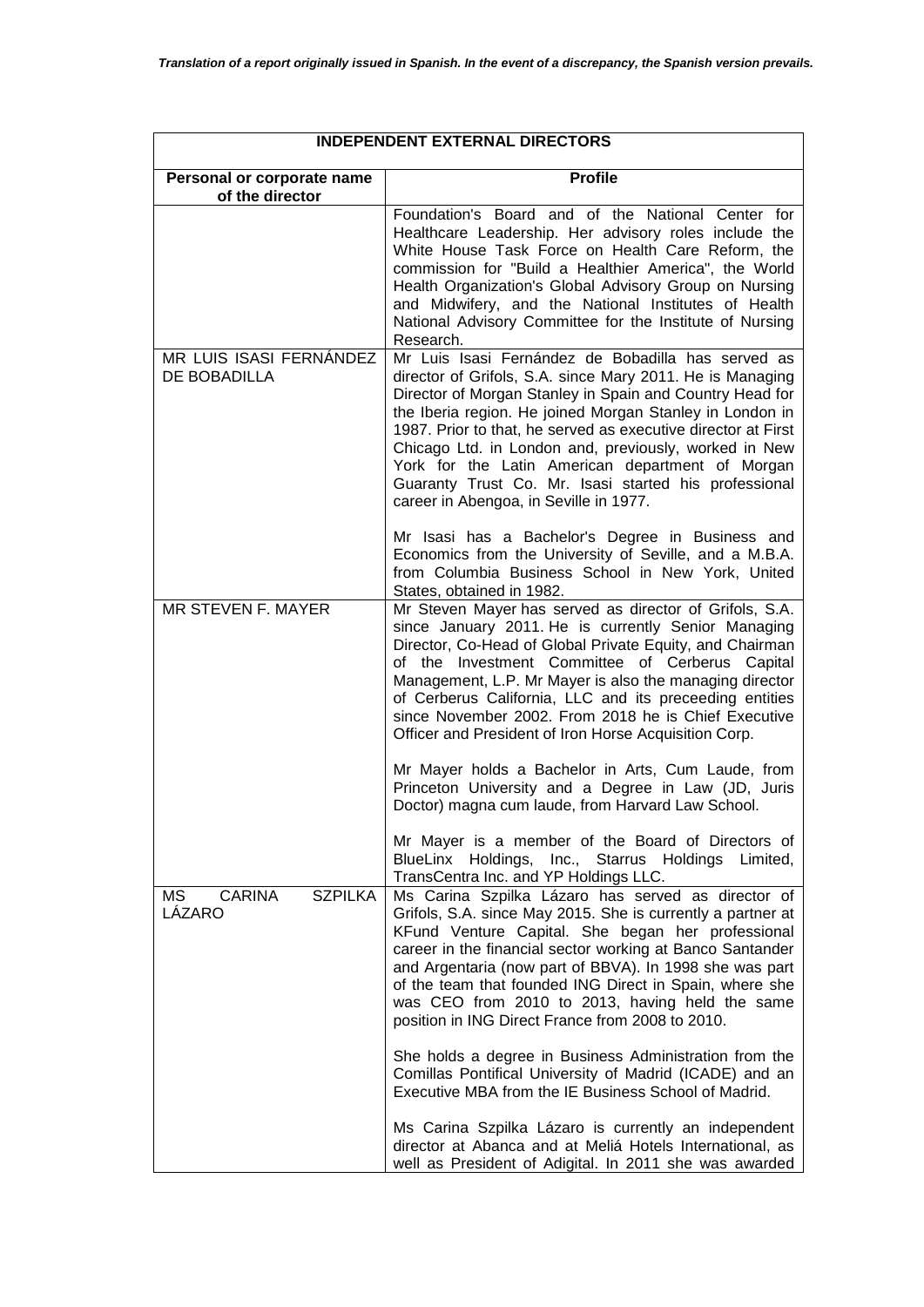| <b>INDEPENDENT EXTERNAL DIRECTORS</b>           |                                                                                                                                                                                                                                                                                                                                                                                                                                                                                                                          |  |  |
|-------------------------------------------------|--------------------------------------------------------------------------------------------------------------------------------------------------------------------------------------------------------------------------------------------------------------------------------------------------------------------------------------------------------------------------------------------------------------------------------------------------------------------------------------------------------------------------|--|--|
| Personal or corporate name<br>of the director   | <b>Profile</b>                                                                                                                                                                                                                                                                                                                                                                                                                                                                                                           |  |  |
|                                                 | Foundation's Board and of the National Center for<br>Healthcare Leadership. Her advisory roles include the<br>White House Task Force on Health Care Reform, the<br>commission for "Build a Healthier America", the World<br>Health Organization's Global Advisory Group on Nursing<br>and Midwifery, and the National Institutes of Health<br>National Advisory Committee for the Institute of Nursing<br>Research.                                                                                                      |  |  |
| MR LUIS ISASI FERNÁNDEZ<br>DE BOBADILLA         | Mr Luis Isasi Fernández de Bobadilla has served as<br>director of Grifols, S.A. since Mary 2011. He is Managing<br>Director of Morgan Stanley in Spain and Country Head for<br>the Iberia region. He joined Morgan Stanley in London in<br>1987. Prior to that, he served as executive director at First<br>Chicago Ltd. in London and, previously, worked in New<br>York for the Latin American department of Morgan<br>Guaranty Trust Co. Mr. Isasi started his professional<br>career in Abengoa, in Seville in 1977. |  |  |
|                                                 | Mr Isasi has a Bachelor's Degree in Business and<br>Economics from the University of Seville, and a M.B.A.<br>from Columbia Business School in New York, United<br>States, obtained in 1982.                                                                                                                                                                                                                                                                                                                             |  |  |
| MR STEVEN F. MAYER                              | Mr Steven Mayer has served as director of Grifols, S.A.<br>since January 2011. He is currently Senior Managing<br>Director, Co-Head of Global Private Equity, and Chairman<br>of the Investment Committee of Cerberus Capital<br>Management, L.P. Mr Mayer is also the managing director<br>of Cerberus California, LLC and its preceeding entities<br>since November 2002. From 2018 he is Chief Executive<br>Officer and President of Iron Horse Acquisition Corp.                                                     |  |  |
|                                                 | Mr Mayer holds a Bachelor in Arts, Cum Laude, from<br>Princeton University and a Degree in Law (JD, Juris<br>Doctor) magna cum laude, from Harvard Law School.                                                                                                                                                                                                                                                                                                                                                           |  |  |
|                                                 | Mr Mayer is a member of the Board of Directors of<br>BlueLinx Holdings, Inc., Starrus Holdings Limited,<br>TransCentra Inc. and YP Holdings LLC.                                                                                                                                                                                                                                                                                                                                                                         |  |  |
| MS<br><b>CARINA</b><br><b>SZPILKA</b><br>LÁZARO | Ms Carina Szpilka Lázaro has served as director of<br>Grifols, S.A. since May 2015. She is currently a partner at<br>KFund Venture Capital. She began her professional<br>career in the financial sector working at Banco Santander<br>and Argentaria (now part of BBVA). In 1998 she was part<br>of the team that founded ING Direct in Spain, where she<br>was CEO from 2010 to 2013, having held the same<br>position in ING Direct France from 2008 to 2010.                                                         |  |  |
|                                                 | She holds a degree in Business Administration from the<br>Comillas Pontifical University of Madrid (ICADE) and an<br>Executive MBA from the IE Business School of Madrid.                                                                                                                                                                                                                                                                                                                                                |  |  |
|                                                 | Ms Carina Szpilka Lázaro is currently an independent<br>director at Abanca and at Meliá Hotels International, as<br>well as President of Adigital. In 2011 she was awarded                                                                                                                                                                                                                                                                                                                                               |  |  |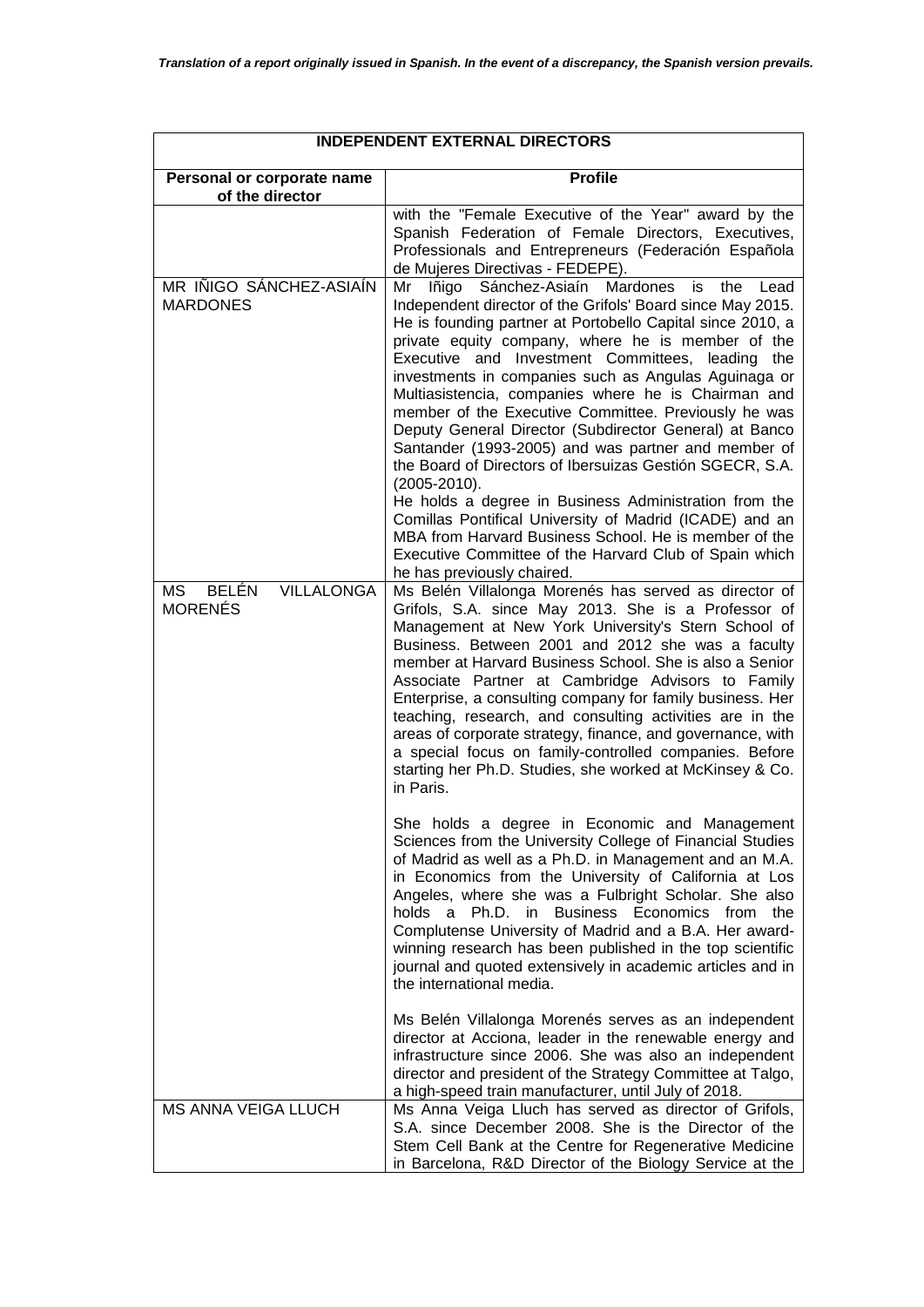| <b>INDEPENDENT EXTERNAL DIRECTORS</b>               |                                                                                                                                                                                                                                                                                                                                                                                                                                                                                                                                                                                                                                                                                                                                                                                                                                                                                                                                               |  |  |
|-----------------------------------------------------|-----------------------------------------------------------------------------------------------------------------------------------------------------------------------------------------------------------------------------------------------------------------------------------------------------------------------------------------------------------------------------------------------------------------------------------------------------------------------------------------------------------------------------------------------------------------------------------------------------------------------------------------------------------------------------------------------------------------------------------------------------------------------------------------------------------------------------------------------------------------------------------------------------------------------------------------------|--|--|
| Personal or corporate name<br>of the director       | <b>Profile</b>                                                                                                                                                                                                                                                                                                                                                                                                                                                                                                                                                                                                                                                                                                                                                                                                                                                                                                                                |  |  |
|                                                     | with the "Female Executive of the Year" award by the<br>Spanish Federation of Female Directors, Executives,<br>Professionals and Entrepreneurs (Federación Española<br>de Mujeres Directivas - FEDEPE).                                                                                                                                                                                                                                                                                                                                                                                                                                                                                                                                                                                                                                                                                                                                       |  |  |
| MR IÑIGO SÁNCHEZ-ASIAÍN<br><b>MARDONES</b>          | Mardones<br>Mr<br>Iñigo Sánchez-Asiaín<br>the<br>Lead<br>is<br>Independent director of the Grifols' Board since May 2015.<br>He is founding partner at Portobello Capital since 2010, a<br>private equity company, where he is member of the<br>Executive and Investment Committees, leading the<br>investments in companies such as Angulas Aguinaga or<br>Multiasistencia, companies where he is Chairman and<br>member of the Executive Committee. Previously he was<br>Deputy General Director (Subdirector General) at Banco<br>Santander (1993-2005) and was partner and member of<br>the Board of Directors of Ibersuizas Gestión SGECR, S.A.<br>$(2005 - 2010).$<br>He holds a degree in Business Administration from the<br>Comillas Pontifical University of Madrid (ICADE) and an<br>MBA from Harvard Business School. He is member of the<br>Executive Committee of the Harvard Club of Spain which<br>he has previously chaired. |  |  |
| BELÉN<br><b>VILLALONGA</b><br>MS.<br><b>MORENÉS</b> | Ms Belén Villalonga Morenés has served as director of<br>Grifols, S.A. since May 2013. She is a Professor of<br>Management at New York University's Stern School of<br>Business. Between 2001 and 2012 she was a faculty<br>member at Harvard Business School. She is also a Senior<br>Associate Partner at Cambridge Advisors to Family<br>Enterprise, a consulting company for family business. Her<br>teaching, research, and consulting activities are in the<br>areas of corporate strategy, finance, and governance, with<br>a special focus on family-controlled companies. Before<br>starting her Ph.D. Studies, she worked at McKinsey & Co.<br>in Paris.                                                                                                                                                                                                                                                                            |  |  |
|                                                     | She holds a degree in Economic and Management<br>Sciences from the University College of Financial Studies<br>of Madrid as well as a Ph.D. in Management and an M.A.<br>in Economics from the University of California at Los<br>Angeles, where she was a Fulbright Scholar. She also<br>holds a Ph.D. in Business Economics from the<br>Complutense University of Madrid and a B.A. Her award-<br>winning research has been published in the top scientific<br>journal and quoted extensively in academic articles and in<br>the international media.                                                                                                                                                                                                                                                                                                                                                                                        |  |  |
|                                                     | Ms Belén Villalonga Morenés serves as an independent<br>director at Acciona, leader in the renewable energy and<br>infrastructure since 2006. She was also an independent<br>director and president of the Strategy Committee at Talgo,<br>a high-speed train manufacturer, until July of 2018.                                                                                                                                                                                                                                                                                                                                                                                                                                                                                                                                                                                                                                               |  |  |
| <b>MS ANNA VEIGA LLUCH</b>                          | Ms Anna Veiga Lluch has served as director of Grifols,<br>S.A. since December 2008. She is the Director of the<br>Stem Cell Bank at the Centre for Regenerative Medicine<br>in Barcelona, R&D Director of the Biology Service at the                                                                                                                                                                                                                                                                                                                                                                                                                                                                                                                                                                                                                                                                                                          |  |  |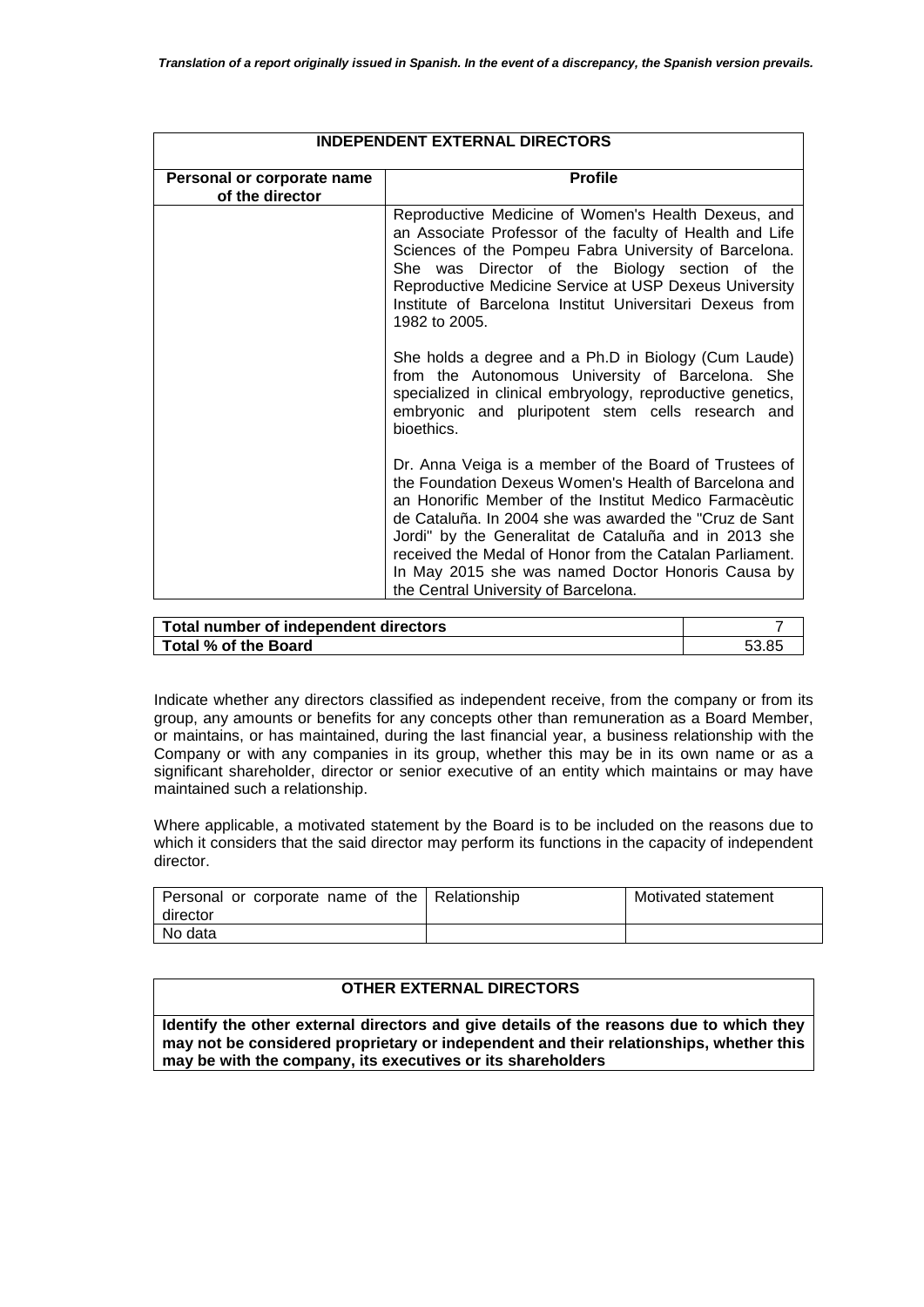| <b>INDEPENDENT EXTERNAL DIRECTORS</b>         |                                                                                                                                                                                                                                                                                                                                                                                                                                                                                                                                                                                                                |  |  |
|-----------------------------------------------|----------------------------------------------------------------------------------------------------------------------------------------------------------------------------------------------------------------------------------------------------------------------------------------------------------------------------------------------------------------------------------------------------------------------------------------------------------------------------------------------------------------------------------------------------------------------------------------------------------------|--|--|
| Personal or corporate name<br>of the director | <b>Profile</b>                                                                                                                                                                                                                                                                                                                                                                                                                                                                                                                                                                                                 |  |  |
|                                               | Reproductive Medicine of Women's Health Dexeus, and<br>an Associate Professor of the faculty of Health and Life<br>Sciences of the Pompeu Fabra University of Barcelona.<br>She was Director of the Biology section of the<br>Reproductive Medicine Service at USP Dexeus University<br>Institute of Barcelona Institut Universitari Dexeus from<br>1982 to 2005.<br>She holds a degree and a Ph.D in Biology (Cum Laude)<br>from the Autonomous University of Barcelona. She<br>specialized in clinical embryology, reproductive genetics,<br>embryonic and pluripotent stem cells research and<br>bioethics. |  |  |
|                                               |                                                                                                                                                                                                                                                                                                                                                                                                                                                                                                                                                                                                                |  |  |
|                                               | Dr. Anna Veiga is a member of the Board of Trustees of<br>the Foundation Dexeus Women's Health of Barcelona and<br>an Honorific Member of the Institut Medico Farmaceutic<br>de Cataluña. In 2004 she was awarded the "Cruz de Sant"<br>Jordi" by the Generalitat de Cataluña and in 2013 she<br>received the Medal of Honor from the Catalan Parliament.<br>In May 2015 she was named Doctor Honoris Causa by<br>the Central University of Barcelona.                                                                                                                                                         |  |  |

| Total number of independent directors |  |
|---------------------------------------|--|
| Total % of the Board                  |  |

Indicate whether any directors classified as independent receive, from the company or from its group, any amounts or benefits for any concepts other than remuneration as a Board Member, or maintains, or has maintained, during the last financial year, a business relationship with the Company or with any companies in its group, whether this may be in its own name or as a significant shareholder, director or senior executive of an entity which maintains or may have maintained such a relationship.

Where applicable, a motivated statement by the Board is to be included on the reasons due to which it considers that the said director may perform its functions in the capacity of independent director.

| Personal or corporate name of the Relationship<br>director | Motivated statement |
|------------------------------------------------------------|---------------------|
| No data                                                    |                     |

### **OTHER EXTERNAL DIRECTORS**

**Identify the other external directors and give details of the reasons due to which they may not be considered proprietary or independent and their relationships, whether this may be with the company, its executives or its shareholders**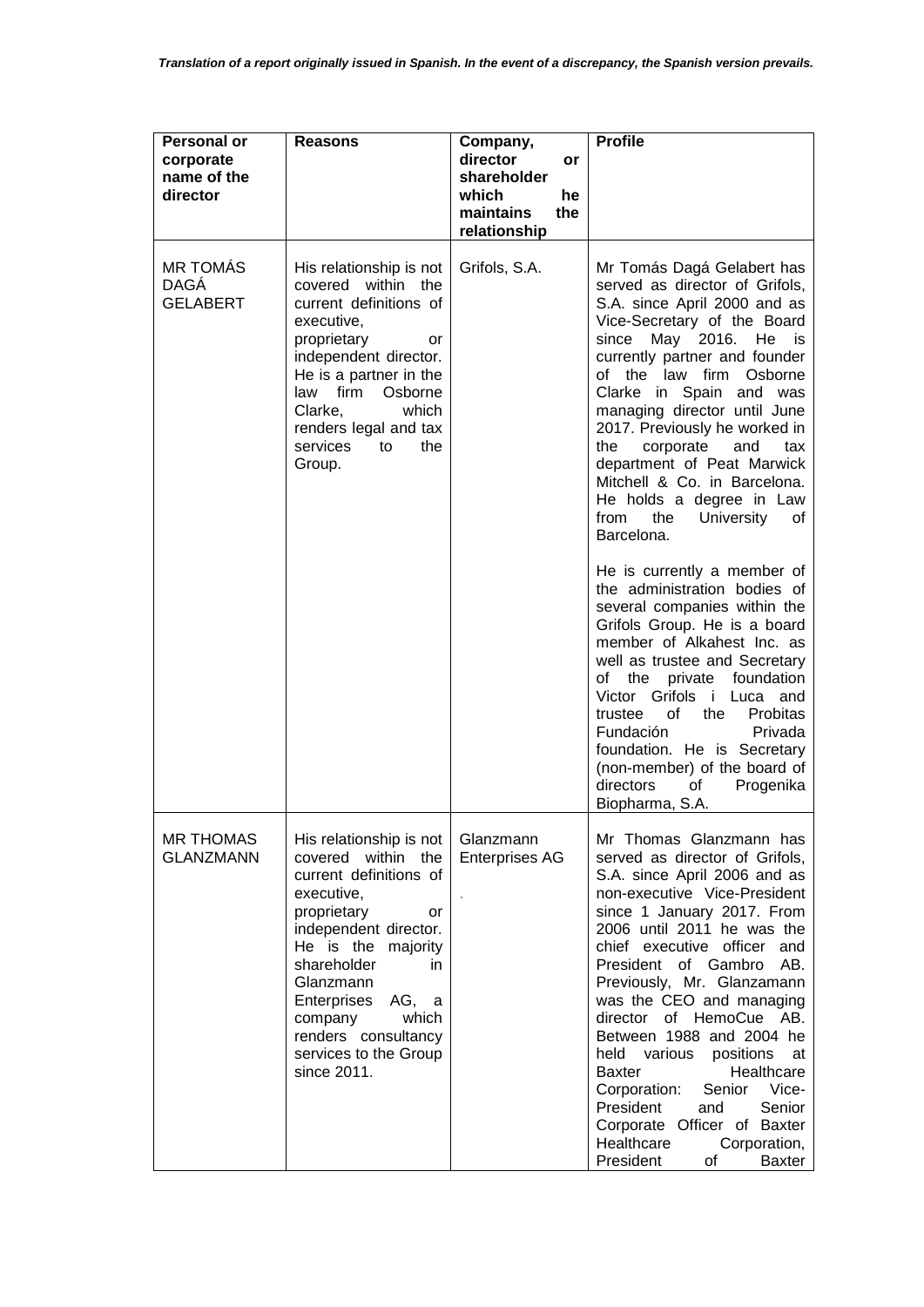| <b>Personal or</b><br>corporate<br>name of the<br>director | <b>Reasons</b>                                                                                                                                                                                                                                                                                          | Company,<br>director<br>or<br>shareholder<br>which<br>he<br>maintains<br>the<br>relationship | <b>Profile</b>                                                                                                                                                                                                                                                                                                                                                                                                                                                                                                                                                                                                                                                                                                                                                                                                             |
|------------------------------------------------------------|---------------------------------------------------------------------------------------------------------------------------------------------------------------------------------------------------------------------------------------------------------------------------------------------------------|----------------------------------------------------------------------------------------------|----------------------------------------------------------------------------------------------------------------------------------------------------------------------------------------------------------------------------------------------------------------------------------------------------------------------------------------------------------------------------------------------------------------------------------------------------------------------------------------------------------------------------------------------------------------------------------------------------------------------------------------------------------------------------------------------------------------------------------------------------------------------------------------------------------------------------|
| <b>MR TOMÁS</b><br>DAGÁ<br><b>GELABERT</b>                 | His relationship is not<br>covered within the<br>current definitions of<br>executive,<br>proprietary<br>or<br>independent director.<br>He is a partner in the<br>law firm<br>Osborne<br>Clarke,<br>which<br>renders legal and tax<br>services<br>the<br>to<br>Group.                                    | Grifols, S.A.                                                                                | Mr Tomás Dagá Gelabert has<br>served as director of Grifols,<br>S.A. since April 2000 and as<br>Vice-Secretary of the Board<br>since May 2016. He is<br>currently partner and founder<br>of the law firm Osborne<br>Clarke in Spain and was<br>managing director until June<br>2017. Previously he worked in<br>the<br>corporate<br>and<br>tax<br>department of Peat Marwick<br>Mitchell & Co. in Barcelona.<br>He holds a degree in Law<br>from<br>the<br><b>University</b><br>οf<br>Barcelona.<br>He is currently a member of<br>the administration bodies of<br>several companies within the<br>Grifols Group. He is a board<br>member of Alkahest Inc. as<br>well as trustee and Secretary<br>the private<br>of<br>foundation<br>Victor Grifols i Luca and<br>the<br>of<br>Probitas<br>trustee<br>Fundación<br>Privada |
|                                                            |                                                                                                                                                                                                                                                                                                         |                                                                                              | foundation. He is Secretary<br>(non-member) of the board of<br>directors<br>of<br>Progenika<br>Biopharma, S.A.                                                                                                                                                                                                                                                                                                                                                                                                                                                                                                                                                                                                                                                                                                             |
| <b>MR THOMAS</b><br><b>GLANZMANN</b>                       | His relationship is not<br>covered within the<br>current definitions of<br>executive,<br>proprietary<br>or<br>independent director.<br>He is the majority<br>shareholder<br>in.<br>Glanzmann<br>Enterprises<br>AG, a<br>company<br>which<br>renders consultancy<br>services to the Group<br>since 2011. | Glanzmann<br><b>Enterprises AG</b>                                                           | Mr Thomas Glanzmann has<br>served as director of Grifols,<br>S.A. since April 2006 and as<br>non-executive Vice-President<br>since 1 January 2017. From<br>2006 until 2011 he was the<br>chief executive officer and<br>President of Gambro AB.<br>Previously, Mr. Glanzamann<br>was the CEO and managing<br>director of HemoCue AB.<br>Between 1988 and 2004 he<br>held various positions at<br>Healthcare<br><b>Baxter</b><br>Corporation:<br>Senior Vice-<br>President<br>Senior<br>and<br>Corporate Officer of Baxter<br>Healthcare<br>Corporation,<br>President<br>of<br>Baxter                                                                                                                                                                                                                                       |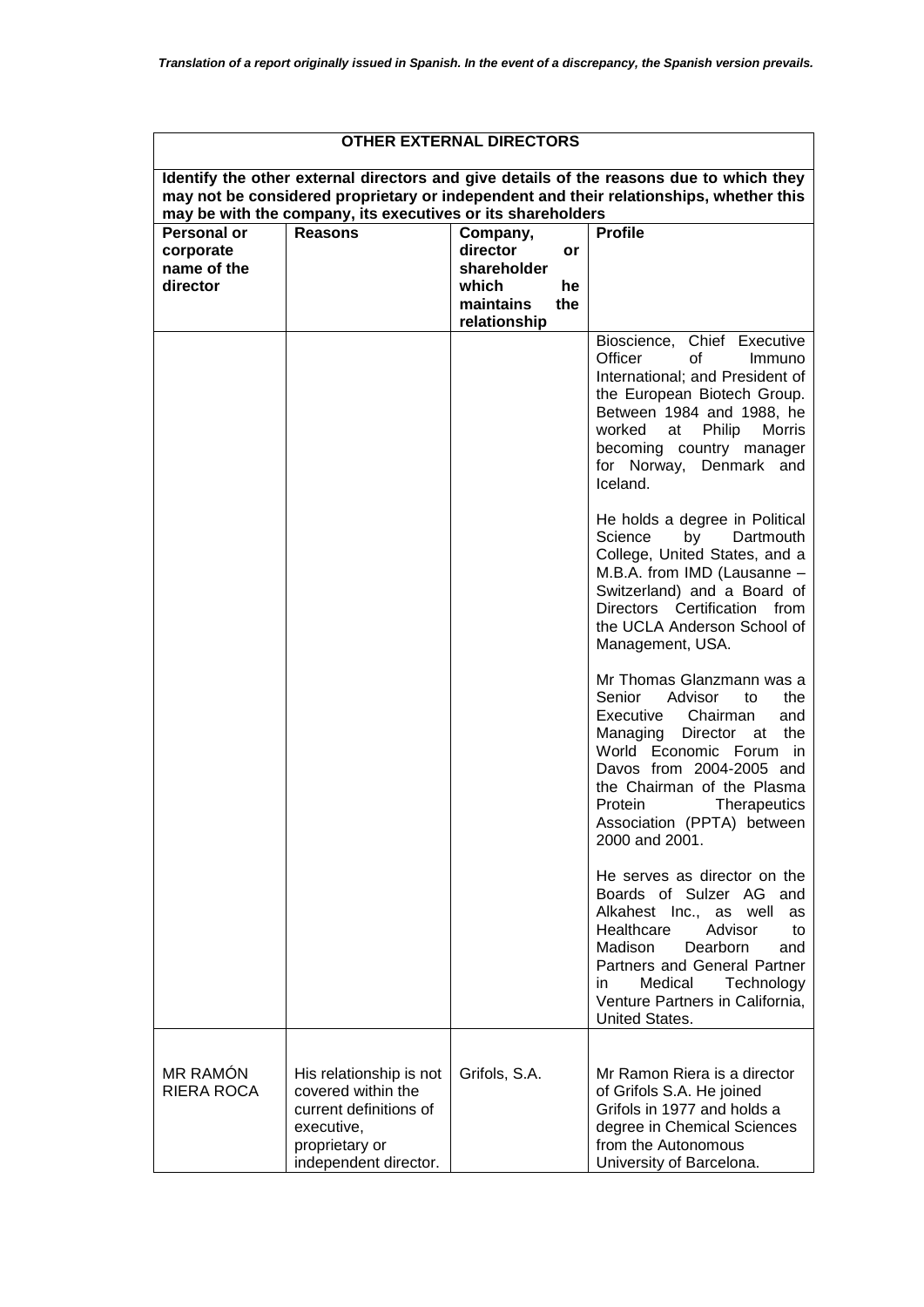# **OTHER EXTERNAL DIRECTORS**

| may not be considered proprietary or independent and their relationships, whether this<br>may be with the company, its executives or its shareholders |                                                                                                                                  |                                  |                                                                                                                                                                                                                                                                                                |  |
|-------------------------------------------------------------------------------------------------------------------------------------------------------|----------------------------------------------------------------------------------------------------------------------------------|----------------------------------|------------------------------------------------------------------------------------------------------------------------------------------------------------------------------------------------------------------------------------------------------------------------------------------------|--|
| Personal or<br>corporate                                                                                                                              | <b>Reasons</b>                                                                                                                   | Company,<br>director<br>or       | <b>Profile</b>                                                                                                                                                                                                                                                                                 |  |
| name of the                                                                                                                                           |                                                                                                                                  | shareholder                      |                                                                                                                                                                                                                                                                                                |  |
| director                                                                                                                                              |                                                                                                                                  | which<br>he                      |                                                                                                                                                                                                                                                                                                |  |
|                                                                                                                                                       |                                                                                                                                  | maintains<br>the<br>relationship |                                                                                                                                                                                                                                                                                                |  |
|                                                                                                                                                       |                                                                                                                                  |                                  | Bioscience, Chief Executive<br>Officer<br>οf<br>Immuno<br>International; and President of<br>the European Biotech Group.<br>Between 1984 and 1988, he<br>worked<br>Philip<br>Morris<br>at<br>becoming country manager<br>for Norway, Denmark and<br>Iceland.                                   |  |
|                                                                                                                                                       |                                                                                                                                  |                                  | He holds a degree in Political<br>Science<br>by<br>Dartmouth<br>College, United States, and a<br>M.B.A. from IMD (Lausanne -<br>Switzerland) and a Board of<br>Directors Certification from<br>the UCLA Anderson School of<br>Management, USA.                                                 |  |
|                                                                                                                                                       |                                                                                                                                  |                                  | Mr Thomas Glanzmann was a<br>Senior<br>Advisor<br>the<br>to<br>Executive Chairman<br>and<br>Managing<br>Director at the<br>World Economic Forum in<br>Davos from 2004-2005 and<br>the Chairman of the Plasma<br>Protein<br><b>Therapeutics</b><br>Association (PPTA) between<br>2000 and 2001. |  |
|                                                                                                                                                       |                                                                                                                                  |                                  | He serves as director on the<br>Boards of Sulzer AG and<br>Alkahest Inc., as well<br>as<br>Advisor<br>Healthcare<br>to<br>Madison<br>Dearborn<br>and<br>Partners and General Partner<br>Medical<br>Technology<br>in.<br>Venture Partners in California.<br>United States.                      |  |
| <b>MR RAMÓN</b><br><b>RIERA ROCA</b>                                                                                                                  | His relationship is not<br>covered within the<br>current definitions of<br>executive,<br>proprietary or<br>independent director. | Grifols, S.A.                    | Mr Ramon Riera is a director<br>of Grifols S.A. He joined<br>Grifols in 1977 and holds a<br>degree in Chemical Sciences<br>from the Autonomous<br>University of Barcelona.                                                                                                                     |  |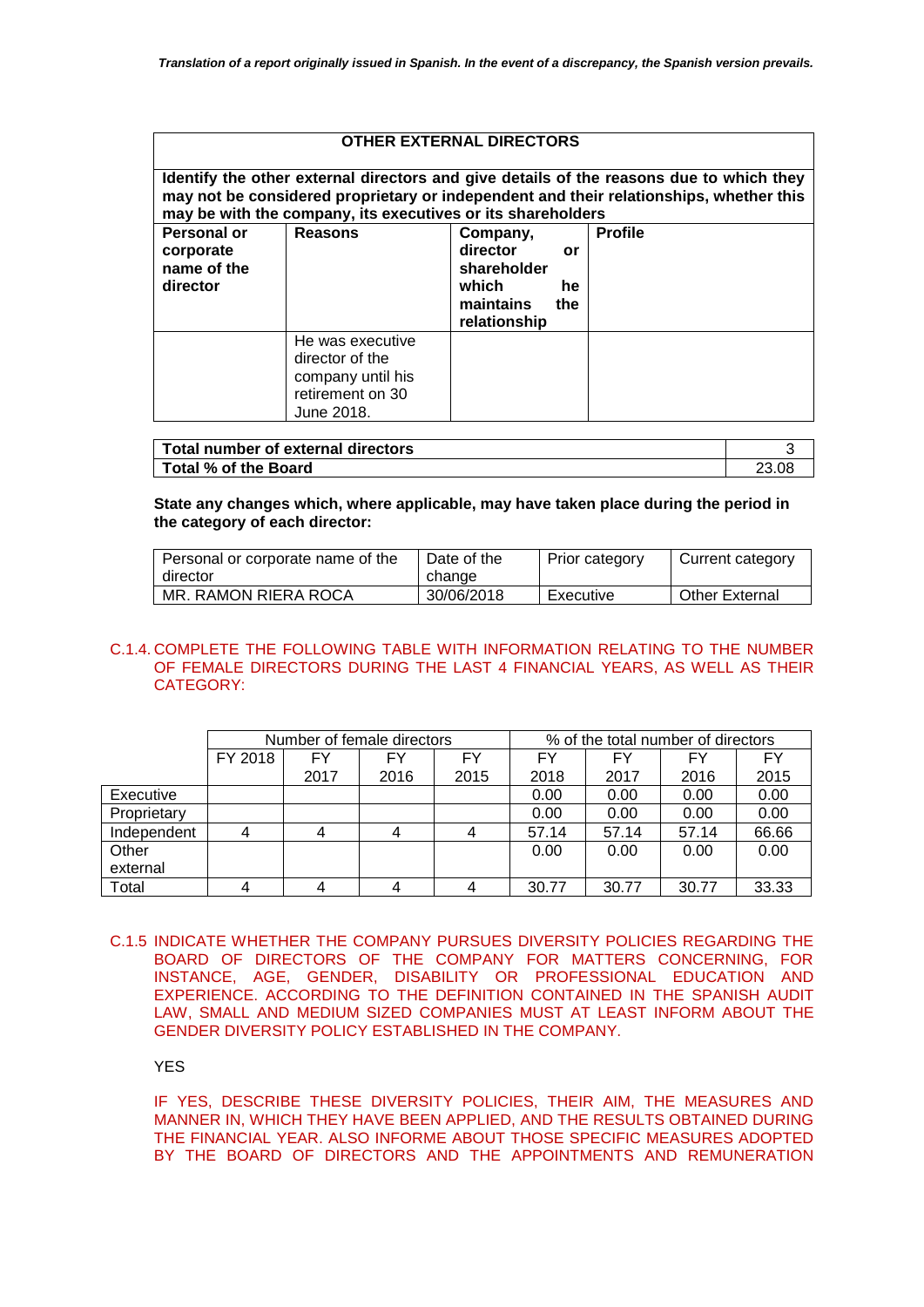## **OTHER EXTERNAL DIRECTORS**

| Identify the other external directors and give details of the reasons due to which they<br>may not be considered proprietary or independent and their relationships, whether this<br>may be with the company, its executives or its shareholders |                                                                                            |                                                                           |                 |                |
|--------------------------------------------------------------------------------------------------------------------------------------------------------------------------------------------------------------------------------------------------|--------------------------------------------------------------------------------------------|---------------------------------------------------------------------------|-----------------|----------------|
| Personal or<br>corporate<br>name of the<br>director                                                                                                                                                                                              | Reasons                                                                                    | Company,<br>director<br>shareholder<br>which<br>maintains<br>relationship | or<br>he<br>the | <b>Profile</b> |
|                                                                                                                                                                                                                                                  | He was executive<br>director of the<br>company until his<br>retirement on 30<br>June 2018. |                                                                           |                 |                |

| Total number of external directors |  |
|------------------------------------|--|
| Total % of the Board               |  |

### **State any changes which, where applicable, may have taken place during the period in the category of each director:**

| Personal or corporate name of the | Date of the | Prior category | Current category      |
|-----------------------------------|-------------|----------------|-----------------------|
| director                          | change      |                |                       |
| MR. RAMON RIERA ROCA              | 30/06/2018  | Executive      | <b>Other External</b> |

## C.1.4. COMPLETE THE FOLLOWING TABLE WITH INFORMATION RELATING TO THE NUMBER OF FEMALE DIRECTORS DURING THE LAST 4 FINANCIAL YEARS, AS WELL AS THEIR CATEGORY:

|             | Number of female directors |      |      | % of the total number of directors |       |       |       |       |
|-------------|----------------------------|------|------|------------------------------------|-------|-------|-------|-------|
|             | FY 2018                    | FY   | FY   | FY                                 | FY    | FY    | FY    | FY    |
|             |                            | 2017 | 2016 | 2015                               | 2018  | 2017  | 2016  | 2015  |
| Executive   |                            |      |      |                                    | 0.00  | 0.00  | 0.00  | 0.00  |
| Proprietary |                            |      |      |                                    | 0.00  | 0.00  | 0.00  | 0.00  |
| Independent | $\overline{4}$             | 4    | 4    |                                    | 57.14 | 57.14 | 57.14 | 66.66 |
| Other       |                            |      |      |                                    | 0.00  | 0.00  | 0.00  | 0.00  |
| external    |                            |      |      |                                    |       |       |       |       |
| Total       |                            |      |      |                                    | 30.77 | 30.77 | 30.77 | 33.33 |

C.1.5 INDICATE WHETHER THE COMPANY PURSUES DIVERSITY POLICIES REGARDING THE BOARD OF DIRECTORS OF THE COMPANY FOR MATTERS CONCERNING, FOR INSTANCE, AGE, GENDER, DISABILITY OR PROFESSIONAL EDUCATION AND EXPERIENCE. ACCORDING TO THE DEFINITION CONTAINED IN THE SPANISH AUDIT LAW, SMALL AND MEDIUM SIZED COMPANIES MUST AT LEAST INFORM ABOUT THE GENDER DIVERSITY POLICY ESTABLISHED IN THE COMPANY.

YES

IF YES, DESCRIBE THESE DIVERSITY POLICIES, THEIR AIM, THE MEASURES AND MANNER IN, WHICH THEY HAVE BEEN APPLIED, AND THE RESULTS OBTAINED DURING THE FINANCIAL YEAR. ALSO INFORME ABOUT THOSE SPECIFIC MEASURES ADOPTED BY THE BOARD OF DIRECTORS AND THE APPOINTMENTS AND REMUNERATION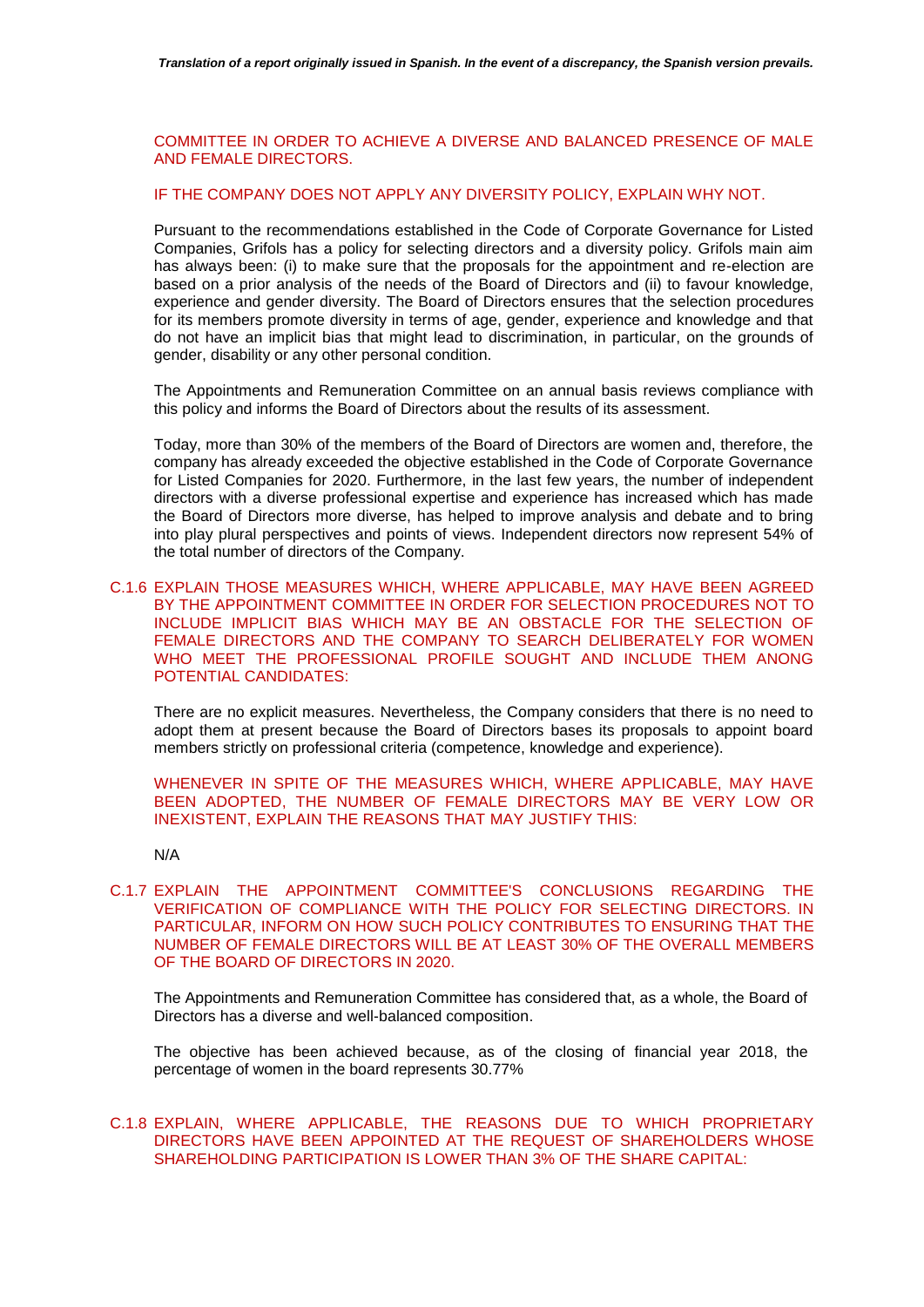COMMITTEE IN ORDER TO ACHIEVE A DIVERSE AND BALANCED PRESENCE OF MALE AND FEMALE DIRECTORS.

# IF THE COMPANY DOES NOT APPLY ANY DIVERSITY POLICY, EXPLAIN WHY NOT.

Pursuant to the recommendations established in the Code of Corporate Governance for Listed Companies, Grifols has a policy for selecting directors and a diversity policy. Grifols main aim has always been: (i) to make sure that the proposals for the appointment and re-election are based on a prior analysis of the needs of the Board of Directors and (ii) to favour knowledge, experience and gender diversity. The Board of Directors ensures that the selection procedures for its members promote diversity in terms of age, gender, experience and knowledge and that do not have an implicit bias that might lead to discrimination, in particular, on the grounds of gender, disability or any other personal condition.

The Appointments and Remuneration Committee on an annual basis reviews compliance with this policy and informs the Board of Directors about the results of its assessment.

Today, more than 30% of the members of the Board of Directors are women and, therefore, the company has already exceeded the objective established in the Code of Corporate Governance for Listed Companies for 2020. Furthermore, in the last few years, the number of independent directors with a diverse professional expertise and experience has increased which has made the Board of Directors more diverse, has helped to improve analysis and debate and to bring into play plural perspectives and points of views. Independent directors now represent 54% of the total number of directors of the Company.

# C.1.6 EXPLAIN THOSE MEASURES WHICH, WHERE APPLICABLE, MAY HAVE BEEN AGREED BY THE APPOINTMENT COMMITTEE IN ORDER FOR SELECTION PROCEDURES NOT TO INCLUDE IMPLICIT BIAS WHICH MAY BE AN OBSTACLE FOR THE SELECTION OF FEMALE DIRECTORS AND THE COMPANY TO SEARCH DELIBERATELY FOR WOMEN WHO MEET THE PROFESSIONAL PROFILE SOUGHT AND INCLUDE THEM ANONG POTENTIAL CANDIDATES:

There are no explicit measures. Nevertheless, the Company considers that there is no need to adopt them at present because the Board of Directors bases its proposals to appoint board members strictly on professional criteria (competence, knowledge and experience).

WHENEVER IN SPITE OF THE MEASURES WHICH, WHERE APPLICABLE, MAY HAVE BEEN ADOPTED, THE NUMBER OF FEMALE DIRECTORS MAY BE VERY LOW OR INEXISTENT, EXPLAIN THE REASONS THAT MAY JUSTIFY THIS:

N/A

C.1.7 EXPLAIN THE APPOINTMENT COMMITTEE'S CONCLUSIONS REGARDING THE VERIFICATION OF COMPLIANCE WITH THE POLICY FOR SELECTING DIRECTORS. IN PARTICULAR, INFORM ON HOW SUCH POLICY CONTRIBUTES TO ENSURING THAT THE NUMBER OF FEMALE DIRECTORS WILL BE AT LEAST 30% OF THE OVERALL MEMBERS OF THE BOARD OF DIRECTORS IN 2020.

The Appointments and Remuneration Committee has considered that, as a whole, the Board of Directors has a diverse and well-balanced composition.

The objective has been achieved because, as of the closing of financial year 2018, the percentage of women in the board represents 30.77%

# C.1.8 EXPLAIN, WHERE APPLICABLE, THE REASONS DUE TO WHICH PROPRIETARY DIRECTORS HAVE BEEN APPOINTED AT THE REQUEST OF SHAREHOLDERS WHOSE SHAREHOLDING PARTICIPATION IS LOWER THAN 3% OF THE SHARE CAPITAL: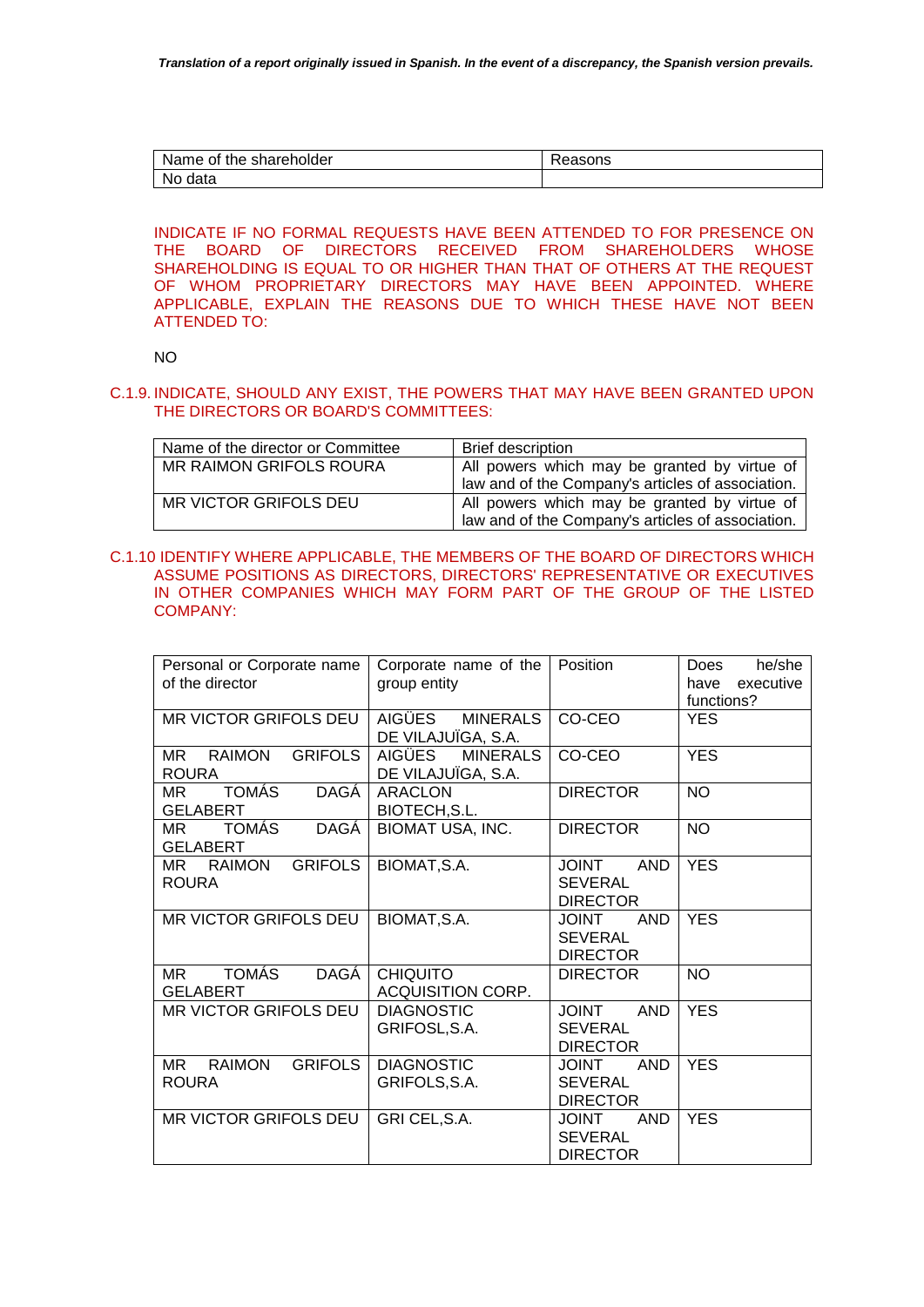| Name of the shareholder | 'easons |
|-------------------------|---------|
| No data                 |         |

INDICATE IF NO FORMAL REQUESTS HAVE BEEN ATTENDED TO FOR PRESENCE ON THE BOARD OF DIRECTORS RECEIVED FROM SHAREHOLDERS WHOSE SHAREHOLDING IS EQUAL TO OR HIGHER THAN THAT OF OTHERS AT THE REQUEST OF WHOM PROPRIETARY DIRECTORS MAY HAVE BEEN APPOINTED. WHERE APPLICABLE, EXPLAIN THE REASONS DUE TO WHICH THESE HAVE NOT BEEN ATTENDED TO:

NO

# C.1.9. INDICATE, SHOULD ANY EXIST, THE POWERS THAT MAY HAVE BEEN GRANTED UPON THE DIRECTORS OR BOARD'S COMMITTEES:

| Name of the director or Committee | <b>Brief description</b>                                                                          |
|-----------------------------------|---------------------------------------------------------------------------------------------------|
| MR RAIMON GRIFOLS ROURA           | All powers which may be granted by virtue of<br>law and of the Company's articles of association. |
| MR VICTOR GRIFOLS DEU             | All powers which may be granted by virtue of<br>law and of the Company's articles of association. |

# C.1.10 IDENTIFY WHERE APPLICABLE, THE MEMBERS OF THE BOARD OF DIRECTORS WHICH ASSUME POSITIONS AS DIRECTORS, DIRECTORS' REPRESENTATIVE OR EXECUTIVES IN OTHER COMPANIES WHICH MAY FORM PART OF THE GROUP OF THE LISTED COMPANY:

| Personal or Corporate name<br>of the director          | Corporate name of the<br>group entity           | Position                                                        | he/she<br>Does<br>have<br>executive<br>functions? |
|--------------------------------------------------------|-------------------------------------------------|-----------------------------------------------------------------|---------------------------------------------------|
| MR VICTOR GRIFOLS DEU                                  | AIGÜES MINERALS<br>DE VILAJUÏGA, S.A.           | CO-CEO                                                          | <b>YES</b>                                        |
| MR RAIMON<br><b>GRIFOLS</b><br><b>ROURA</b>            | AIGÜES<br><b>MINERALS</b><br>DE VILAJUÏGA, S.A. | CO-CEO                                                          | <b>YES</b>                                        |
| DAGÁ<br><b>TOMÁS</b><br>МR<br><b>GELABERT</b>          | <b>ARACLON</b><br>BIOTECH, S.L.                 | <b>DIRECTOR</b>                                                 | <b>NO</b>                                         |
| DAGÁ<br>TOMÁS<br>MR.<br><b>GELABERT</b>                | <b>BIOMAT USA, INC.</b>                         | <b>DIRECTOR</b>                                                 | <b>NO</b>                                         |
| <b>GRIFOLS</b><br>MR RAIMON<br><b>ROURA</b>            | BIOMAT, S.A.                                    | <b>JOINT</b><br><b>AND</b><br><b>SEVERAL</b><br><b>DIRECTOR</b> | <b>YES</b>                                        |
| MR VICTOR GRIFOLS DEU                                  | BIOMAT, S.A.                                    | <b>JOINT</b><br><b>AND</b><br><b>SEVERAL</b><br><b>DIRECTOR</b> | <b>YES</b>                                        |
| TOMÁS<br>DAGÁ<br>MR<br><b>GELABERT</b>                 | <b>CHIQUITO</b><br><b>ACQUISITION CORP.</b>     | <b>DIRECTOR</b>                                                 | <b>NO</b>                                         |
| MR VICTOR GRIFOLS DEU                                  | <b>DIAGNOSTIC</b><br>GRIFOSL, S.A.              | <b>TUIOL</b><br><b>AND</b><br><b>SEVERAL</b><br><b>DIRECTOR</b> | <b>YES</b>                                        |
| <b>GRIFOLS</b><br><b>RAIMON</b><br>MR.<br><b>ROURA</b> | <b>DIAGNOSTIC</b><br>GRIFOLS, S.A.              | <b>JOINT</b><br><b>AND</b><br><b>SEVERAL</b><br><b>DIRECTOR</b> | <b>YES</b>                                        |
| MR VICTOR GRIFOLS DEU                                  | GRI CEL, S.A.                                   | <b>AND</b><br><b>JOINT</b><br><b>SEVERAL</b><br><b>DIRECTOR</b> | <b>YES</b>                                        |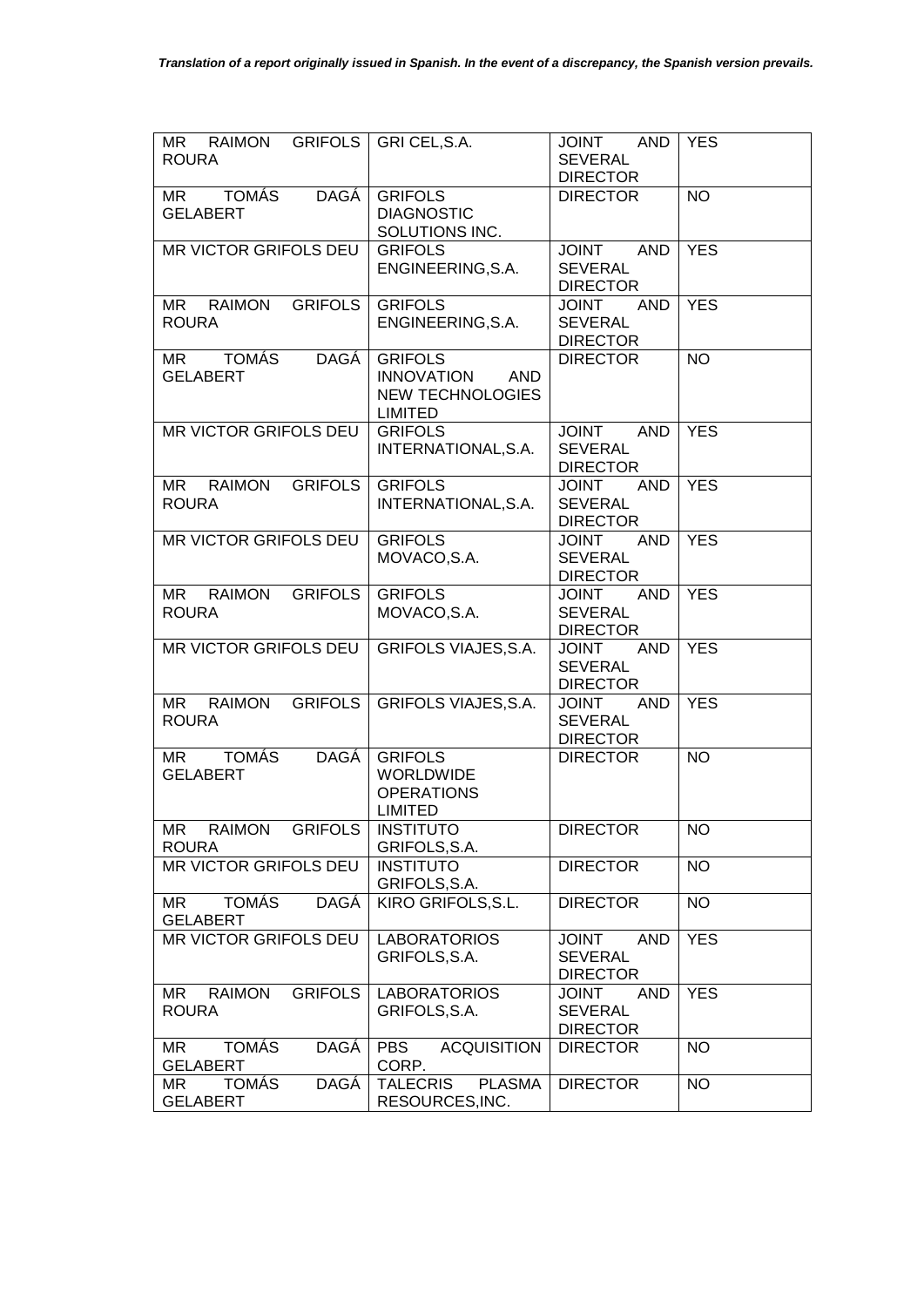| MR RAIMON GRIFOLS GRI CEL, S.A.<br><b>ROURA</b>       |                                                                                         | JOINT AND<br><b>SEVERAL</b><br><b>DIRECTOR</b>                  | <b>YES</b> |
|-------------------------------------------------------|-----------------------------------------------------------------------------------------|-----------------------------------------------------------------|------------|
| <b>DAGÁ</b><br>MR TOMÁS<br><b>GELABERT</b>            | <b>GRIFOLS</b><br><b>DIAGNOSTIC</b><br>SOLUTIONS INC.                                   | <b>DIRECTOR</b>                                                 | <b>NO</b>  |
| MR VICTOR GRIFOLS DEU                                 | <b>GRIFOLS</b><br>ENGINEERING, S.A.                                                     | JOINT AND<br><b>SEVERAL</b><br><b>DIRECTOR</b>                  | <b>YES</b> |
| MR RAIMON GRIFOLS<br><b>ROURA</b>                     | <b>GRIFOLS</b><br>ENGINEERING, S.A.                                                     | <b>AND</b><br><b>JOINT</b><br><b>SEVERAL</b><br><b>DIRECTOR</b> | <b>YES</b> |
| TOMÁS<br><b>DAGÁ</b><br><b>MR</b><br><b>GELABERT</b>  | <b>GRIFOLS</b><br><b>INNOVATION</b><br>AND<br><b>NEW TECHNOLOGIES</b><br><b>LIMITED</b> | <b>DIRECTOR</b>                                                 | <b>NO</b>  |
| MR VICTOR GRIFOLS DEU                                 | <b>GRIFOLS</b><br>INTERNATIONAL, S.A.                                                   | <b>JOINT</b><br><b>AND</b><br><b>SEVERAL</b><br><b>DIRECTOR</b> | <b>YES</b> |
| MR RAIMON<br><b>GRIFOLS</b><br><b>ROURA</b>           | <b>GRIFOLS</b><br>INTERNATIONAL, S.A.                                                   | <b>JOINT</b><br>AND<br><b>SEVERAL</b><br><b>DIRECTOR</b>        | <b>YES</b> |
| MR VICTOR GRIFOLS DEU                                 | <b>GRIFOLS</b><br>MOVACO, S.A.                                                          | AND<br><b>TNIOL</b><br><b>SEVERAL</b><br><b>DIRECTOR</b>        | <b>YES</b> |
| MR RAIMON GRIFOLS<br><b>ROURA</b>                     | <b>GRIFOLS</b><br>MOVACO, S.A.                                                          | AND<br><b>JOINT</b><br><b>SEVERAL</b><br><b>DIRECTOR</b>        | <b>YES</b> |
| MR VICTOR GRIFOLS DEU                                 | <b>GRIFOLS VIAJES, S.A.</b>                                                             | AND<br>JOINT<br><b>SEVERAL</b><br><b>DIRECTOR</b>               | <b>YES</b> |
| <b>GRIFOLS</b><br><b>MR</b><br>RAIMON<br><b>ROURA</b> | <b>GRIFOLS VIAJES, S.A.</b>                                                             | AND<br><b>JOINT</b><br><b>SEVERAL</b><br><b>DIRECTOR</b>        | <b>YES</b> |
| DAGÁ<br>MR TOMÁS<br><b>GELABERT</b>                   | <b>GRIFOLS</b><br>WORLDWIDE<br><b>OPERATIONS</b><br><b>LIMITED</b>                      | <b>DIRECTOR</b>                                                 | <b>NO</b>  |
| MR RAIMON<br><b>GRIFOLS</b><br><b>ROURA</b>           | <b>INSTITUTO</b><br>GRIFOLS, S.A.                                                       | <b>DIRECTOR</b>                                                 | NO.        |
| MR VICTOR GRIFOLS DEU                                 | <b>INSTITUTO</b><br>GRIFOLS, S.A.                                                       | <b>DIRECTOR</b>                                                 | <b>NO</b>  |
| <b>TOMÁS</b><br><b>DAGÁ</b><br>MR<br><b>GELABERT</b>  | KIRO GRIFOLS, S.L.                                                                      | <b>DIRECTOR</b>                                                 | <b>NO</b>  |
| MR VICTOR GRIFOLS DEU                                 | <b>LABORATORIOS</b><br>GRIFOLS, S.A.                                                    | AND<br><b>JOINT</b><br><b>SEVERAL</b><br><b>DIRECTOR</b>        | <b>YES</b> |
| RAIMON<br><b>GRIFOLS</b><br>MR<br><b>ROURA</b>        | <b>LABORATORIOS</b><br>GRIFOLS, S.A.                                                    | <b>JOINT</b><br>AND<br><b>SEVERAL</b><br><b>DIRECTOR</b>        | <b>YES</b> |
| <b>TOMÁS</b><br><b>DAGÁ</b><br>MR.<br><b>GELABERT</b> | <b>ACQUISITION</b><br><b>PBS</b><br>CORP.                                               | <b>DIRECTOR</b>                                                 | <b>NO</b>  |
| <b>TOMÁS</b><br>DAGÁ<br>MR<br><b>GELABERT</b>         | <b>PLASMA</b><br><b>TALECRIS</b><br>RESOURCES, INC.                                     | <b>DIRECTOR</b>                                                 | <b>NO</b>  |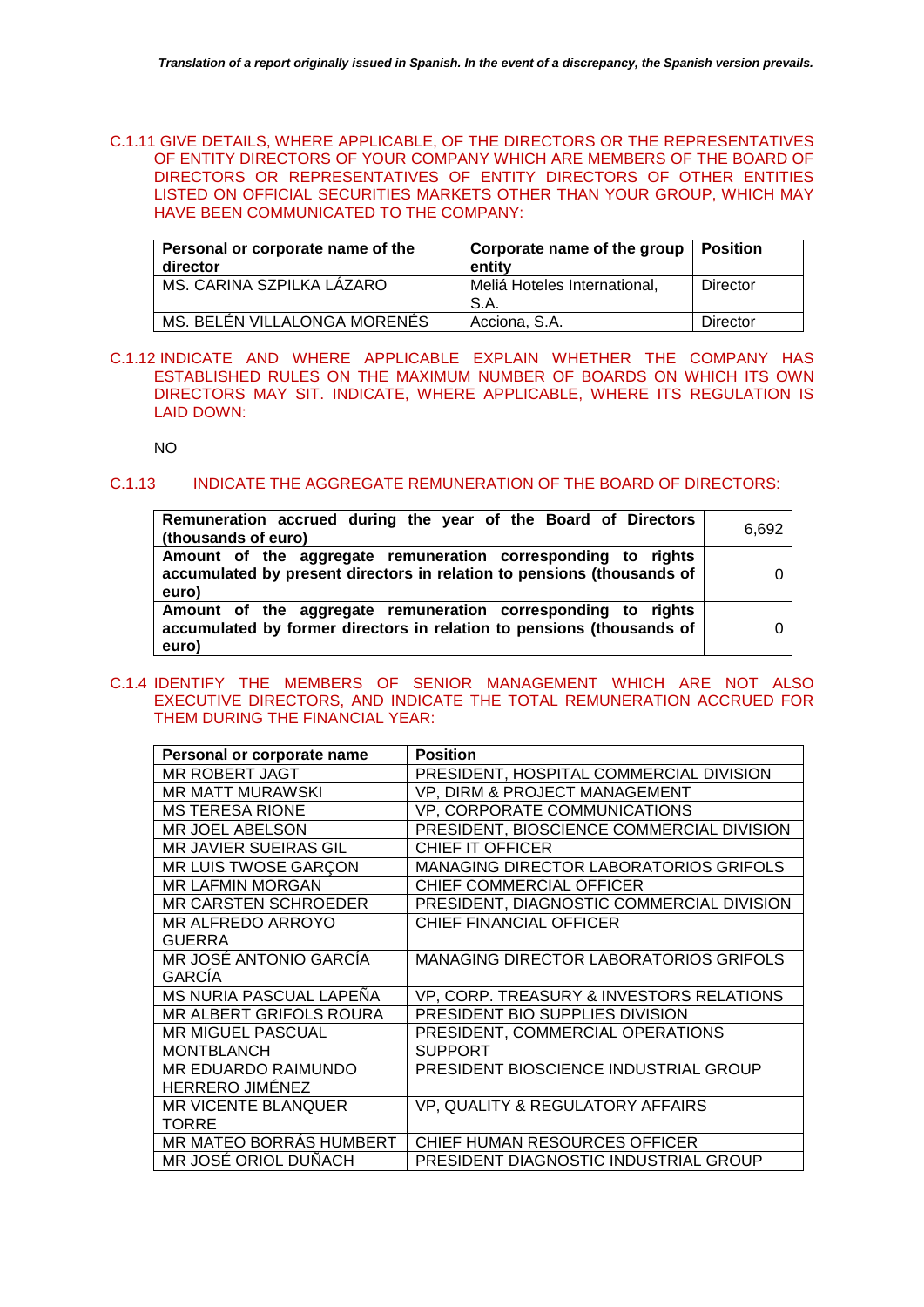C.1.11 GIVE DETAILS, WHERE APPLICABLE, OF THE DIRECTORS OR THE REPRESENTATIVES OF ENTITY DIRECTORS OF YOUR COMPANY WHICH ARE MEMBERS OF THE BOARD OF DIRECTORS OR REPRESENTATIVES OF ENTITY DIRECTORS OF OTHER ENTITIES LISTED ON OFFICIAL SECURITIES MARKETS OTHER THAN YOUR GROUP, WHICH MAY HAVE BEEN COMMUNICATED TO THE COMPANY:

| Personal or corporate name of the<br>director | Corporate name of the group   Position<br>entity |          |
|-----------------------------------------------|--------------------------------------------------|----------|
| MS. CARINA SZPILKA LÁZARO                     | Meliá Hoteles International,<br>S.A.             | Director |
| MS. BELÉN VILLALONGA MORENÉS                  | Acciona, S.A.                                    | Director |

C.1.12 INDICATE AND WHERE APPLICABLE EXPLAIN WHETHER THE COMPANY HAS ESTABLISHED RULES ON THE MAXIMUM NUMBER OF BOARDS ON WHICH ITS OWN DIRECTORS MAY SIT. INDICATE, WHERE APPLICABLE, WHERE ITS REGULATION IS LAID DOWN:

NO

# C.1.13 INDICATE THE AGGREGATE REMUNERATION OF THE BOARD OF DIRECTORS:

| Remuneration accrued during the year of the Board of Directors<br>(thousands of euro)                                                           | 6.692 |
|-------------------------------------------------------------------------------------------------------------------------------------------------|-------|
| Amount of the aggregate remuneration corresponding to rights<br>accumulated by present directors in relation to pensions (thousands of<br>euro) |       |
| Amount of the aggregate remuneration corresponding to rights<br>accumulated by former directors in relation to pensions (thousands of<br>euro)  |       |

# C.1.4 IDENTIFY THE MEMBERS OF SENIOR MANAGEMENT WHICH ARE NOT ALSO EXECUTIVE DIRECTORS, AND INDICATE THE TOTAL REMUNERATION ACCRUED FOR THEM DURING THE FINANCIAL YEAR:

| Personal or corporate name     | <b>Position</b>                               |
|--------------------------------|-----------------------------------------------|
| MR ROBERT JAGT                 | PRESIDENT, HOSPITAL COMMERCIAL DIVISION       |
| <b>MR MATT MURAWSKI</b>        | VP, DIRM & PROJECT MANAGEMENT                 |
| <b>MS TERESA RIONE</b>         | VP, CORPORATE COMMUNICATIONS                  |
| <b>MR JOEL ABELSON</b>         | PRESIDENT, BIOSCIENCE COMMERCIAL DIVISION     |
| <b>MR JAVIER SUEIRAS GIL</b>   | CHIEF IT OFFICER                              |
| MR LUIS TWOSE GARCON           | <b>MANAGING DIRECTOR LABORATORIOS GRIFOLS</b> |
| <b>MR LAFMIN MORGAN</b>        | CHIEF COMMERCIAL OFFICER                      |
| <b>MR CARSTEN SCHROEDER</b>    | PRESIDENT, DIAGNOSTIC COMMERCIAL DIVISION     |
| MR ALFREDO ARROYO              | CHIEF FINANCIAL OFFICER                       |
| <b>GUERRA</b>                  |                                               |
| MR JOSÉ ANTONIO GARCÍA         | <b>MANAGING DIRECTOR LABORATORIOS GRIFOLS</b> |
| <b>GARCIA</b>                  |                                               |
| MS NURIA PASCUAL LAPEÑA        | VP, CORP. TREASURY & INVESTORS RELATIONS      |
| <b>MR ALBERT GRIFOLS ROURA</b> | PRESIDENT BIO SUPPLIES DIVISION               |
| <b>MR MIGUEL PASCUAL</b>       | PRESIDENT, COMMERCIAL OPERATIONS              |
| <b>MONTBLANCH</b>              | <b>SUPPORT</b>                                |
| MR EDUARDO RAIMUNDO            | PRESIDENT BIOSCIENCE INDUSTRIAL GROUP         |
| <b>HERRERO JIMÉNEZ</b>         |                                               |
| <b>MR VICENTE BLANQUER</b>     | VP, QUALITY & REGULATORY AFFAIRS              |
| <b>TORRE</b>                   |                                               |
| MR MATEO BORRÁS HUMBERT        | CHIEF HUMAN RESOURCES OFFICER                 |
| MR JOSÉ ORIOL DUÑACH           | PRESIDENT DIAGNOSTIC INDUSTRIAL GROUP         |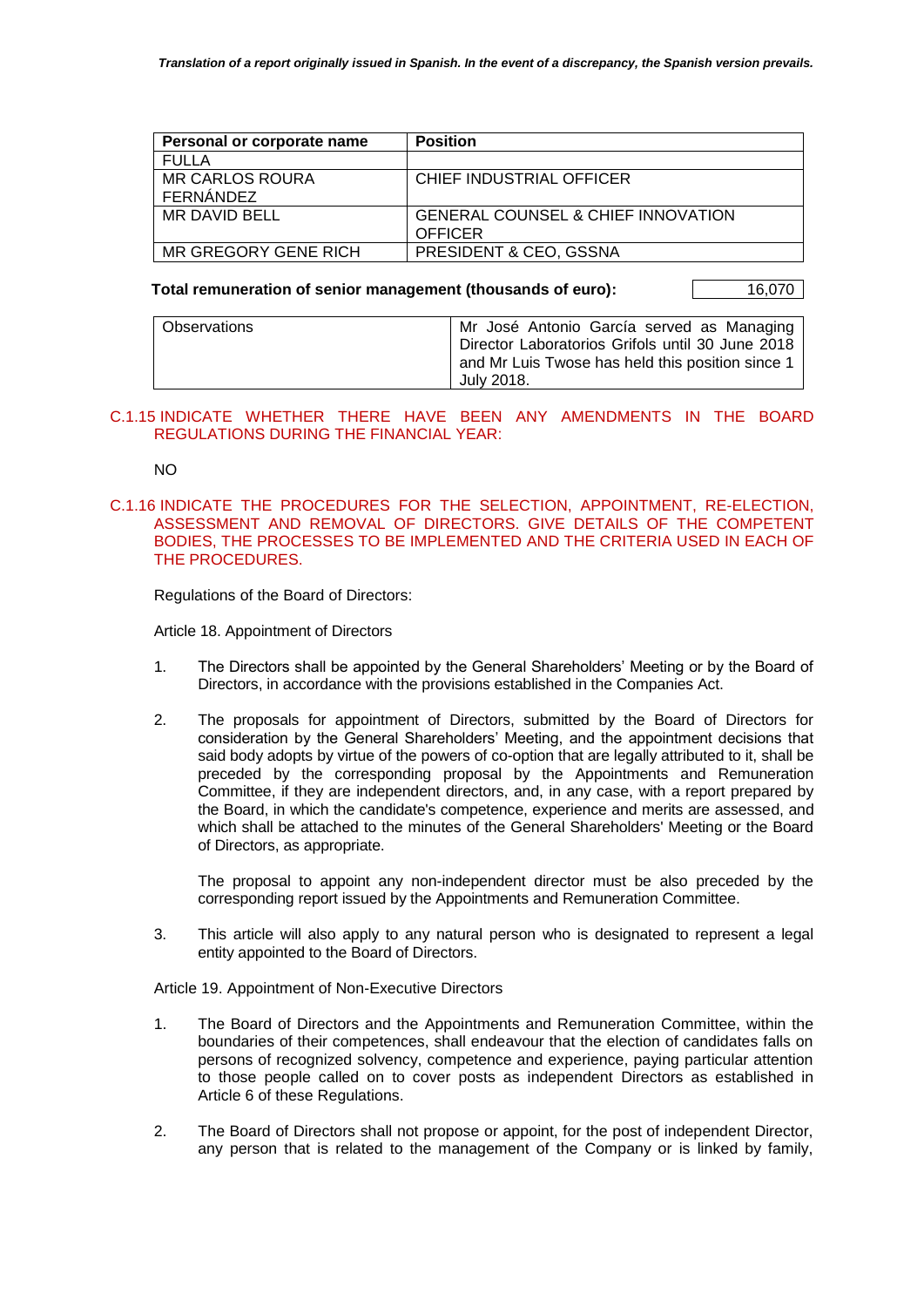| Personal or corporate name | <b>Position</b>                               |
|----------------------------|-----------------------------------------------|
| FULLA                      |                                               |
| <b>MR CARLOS ROURA</b>     | CHIEF INDUSTRIAL OFFICER                      |
| FERNÁNDEZ                  |                                               |
| MR DAVID BELL              | <b>GENERAL COUNSEL &amp; CHIEF INNOVATION</b> |
|                            | <b>OFFICER</b>                                |
| MR GREGORY GENE RICH       | <b>PRESIDENT &amp; CEO, GSSNA</b>             |

# Total remuneration of senior management (thousands of euro): 16,070

| <b>Observations</b> | Mr José Antonio García served as Managing<br>Director Laboratorios Grifols until 30 June 2018 |  |
|---------------------|-----------------------------------------------------------------------------------------------|--|
|                     | and Mr Luis Twose has held this position since 1<br>July 2018.                                |  |

# C.1.15 INDICATE WHETHER THERE HAVE BEEN ANY AMENDMENTS IN THE BOARD REGULATIONS DURING THE FINANCIAL YEAR:

NO

# C.1.16 INDICATE THE PROCEDURES FOR THE SELECTION, APPOINTMENT, RE-ELECTION, ASSESSMENT AND REMOVAL OF DIRECTORS. GIVE DETAILS OF THE COMPETENT BODIES, THE PROCESSES TO BE IMPLEMENTED AND THE CRITERIA USED IN EACH OF THE PROCEDURES.

Regulations of the Board of Directors:

Article 18. Appointment of Directors

- 1. The Directors shall be appointed by the General Shareholders' Meeting or by the Board of Directors, in accordance with the provisions established in the Companies Act.
- 2. The proposals for appointment of Directors, submitted by the Board of Directors for consideration by the General Shareholders' Meeting, and the appointment decisions that said body adopts by virtue of the powers of co-option that are legally attributed to it, shall be preceded by the corresponding proposal by the Appointments and Remuneration Committee, if they are independent directors, and, in any case, with a report prepared by the Board, in which the candidate's competence, experience and merits are assessed, and which shall be attached to the minutes of the General Shareholders' Meeting or the Board of Directors, as appropriate.

The proposal to appoint any non-independent director must be also preceded by the corresponding report issued by the Appointments and Remuneration Committee.

3. This article will also apply to any natural person who is designated to represent a legal entity appointed to the Board of Directors.

Article 19. Appointment of Non-Executive Directors

- 1. The Board of Directors and the Appointments and Remuneration Committee, within the boundaries of their competences, shall endeavour that the election of candidates falls on persons of recognized solvency, competence and experience, paying particular attention to those people called on to cover posts as independent Directors as established in Article 6 of these Regulations.
- 2. The Board of Directors shall not propose or appoint, for the post of independent Director, any person that is related to the management of the Company or is linked by family,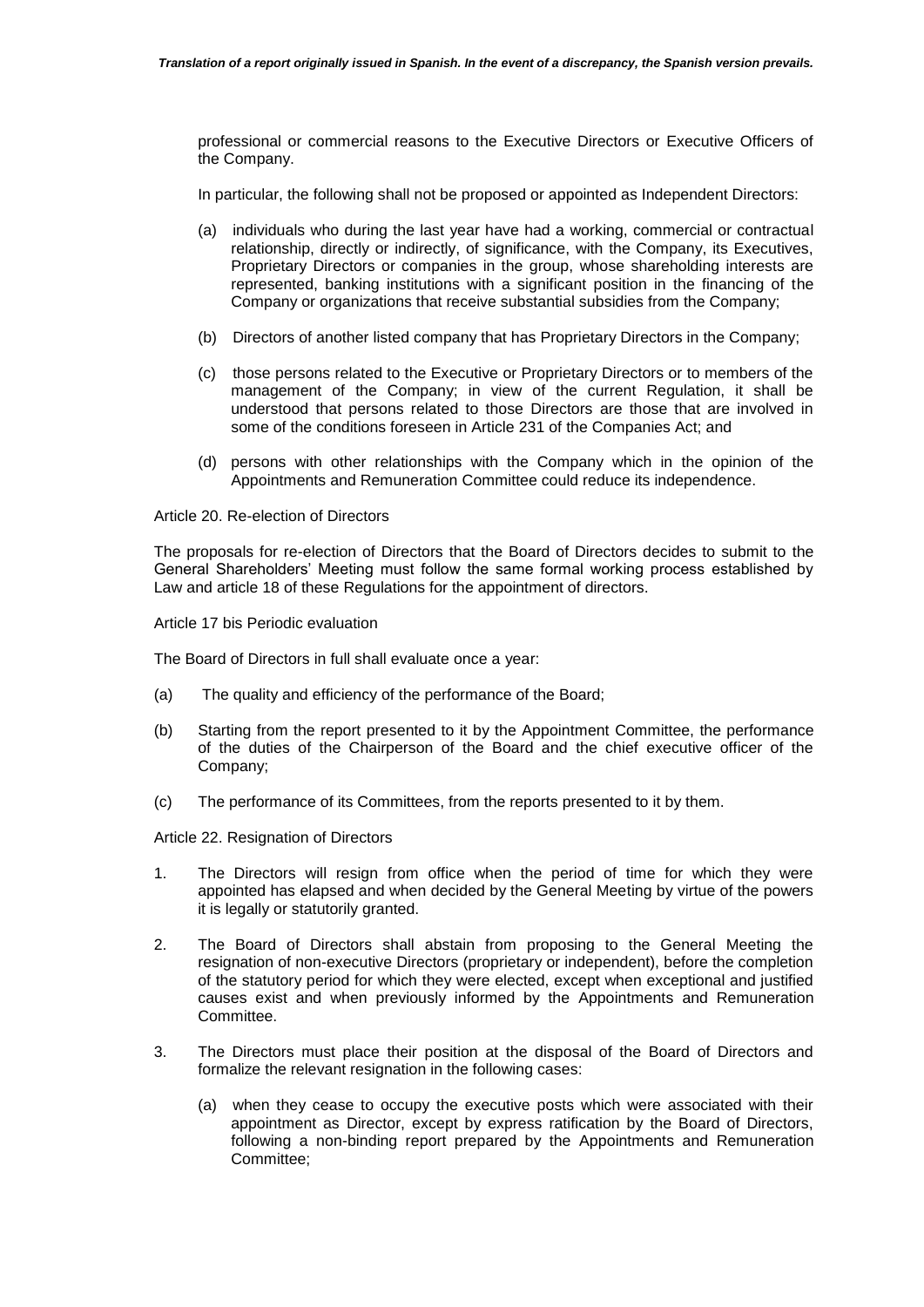professional or commercial reasons to the Executive Directors or Executive Officers of the Company.

In particular, the following shall not be proposed or appointed as Independent Directors:

- (a) individuals who during the last year have had a working, commercial or contractual relationship, directly or indirectly, of significance, with the Company, its Executives, Proprietary Directors or companies in the group, whose shareholding interests are represented, banking institutions with a significant position in the financing of the Company or organizations that receive substantial subsidies from the Company;
- (b) Directors of another listed company that has Proprietary Directors in the Company;
- (c) those persons related to the Executive or Proprietary Directors or to members of the management of the Company; in view of the current Regulation, it shall be understood that persons related to those Directors are those that are involved in some of the conditions foreseen in Article 231 of the Companies Act; and
- (d) persons with other relationships with the Company which in the opinion of the Appointments and Remuneration Committee could reduce its independence.

Article 20. Re-election of Directors

The proposals for re-election of Directors that the Board of Directors decides to submit to the General Shareholders' Meeting must follow the same formal working process established by Law and article 18 of these Regulations for the appointment of directors.

Article 17 bis Periodic evaluation

The Board of Directors in full shall evaluate once a year:

- (a) The quality and efficiency of the performance of the Board;
- (b) Starting from the report presented to it by the Appointment Committee, the performance of the duties of the Chairperson of the Board and the chief executive officer of the Company;
- (c) The performance of its Committees, from the reports presented to it by them.

Article 22. Resignation of Directors

- 1. The Directors will resign from office when the period of time for which they were appointed has elapsed and when decided by the General Meeting by virtue of the powers it is legally or statutorily granted.
- 2. The Board of Directors shall abstain from proposing to the General Meeting the resignation of non-executive Directors (proprietary or independent), before the completion of the statutory period for which they were elected, except when exceptional and justified causes exist and when previously informed by the Appointments and Remuneration Committee.
- 3. The Directors must place their position at the disposal of the Board of Directors and formalize the relevant resignation in the following cases:
	- (a) when they cease to occupy the executive posts which were associated with their appointment as Director, except by express ratification by the Board of Directors, following a non-binding report prepared by the Appointments and Remuneration Committee;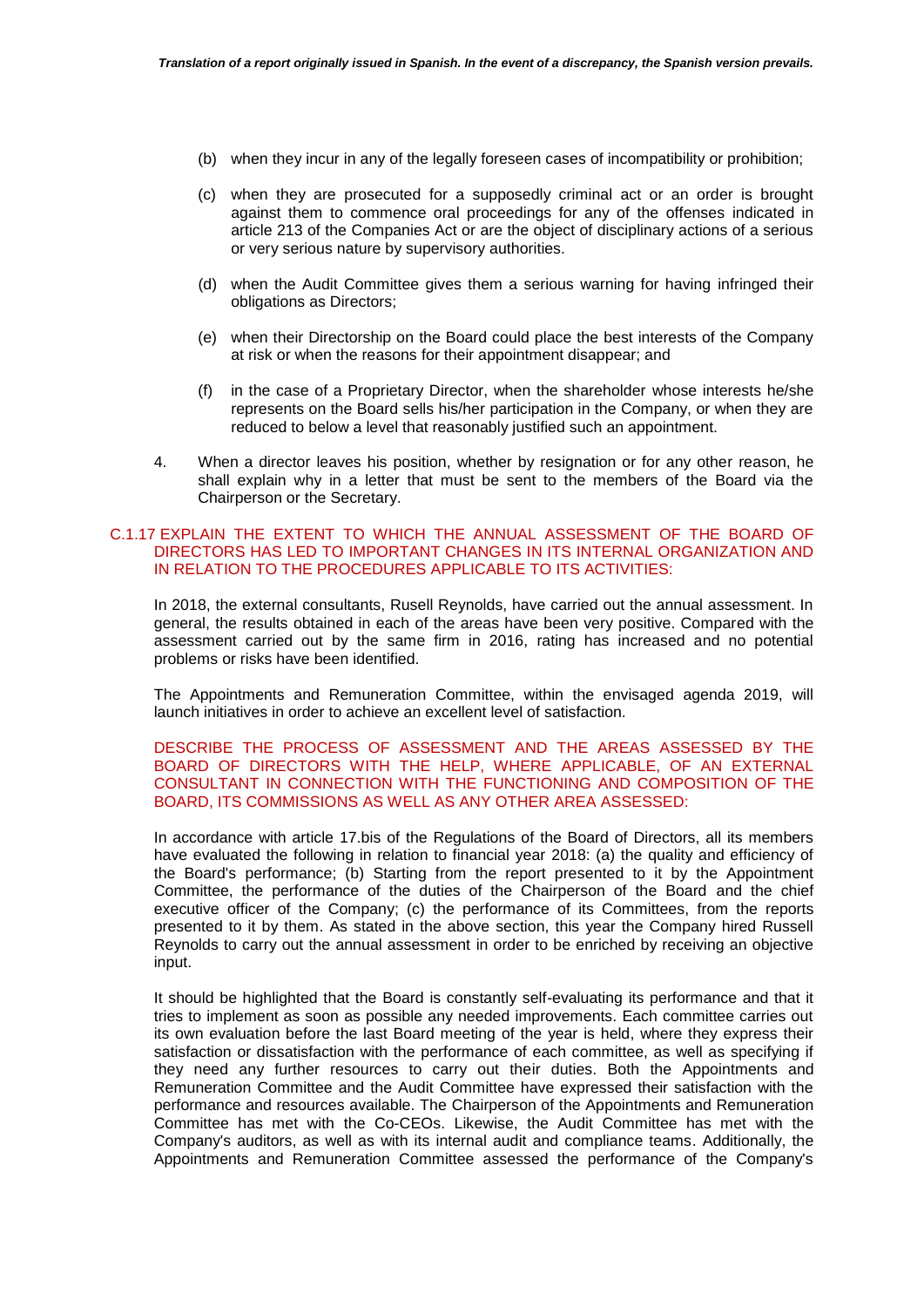- (b) when they incur in any of the legally foreseen cases of incompatibility or prohibition;
- (c) when they are prosecuted for a supposedly criminal act or an order is brought against them to commence oral proceedings for any of the offenses indicated in article 213 of the Companies Act or are the object of disciplinary actions of a serious or very serious nature by supervisory authorities.
- (d) when the Audit Committee gives them a serious warning for having infringed their obligations as Directors;
- (e) when their Directorship on the Board could place the best interests of the Company at risk or when the reasons for their appointment disappear; and
- (f) in the case of a Proprietary Director, when the shareholder whose interests he/she represents on the Board sells his/her participation in the Company, or when they are reduced to below a level that reasonably justified such an appointment.
- 4. When a director leaves his position, whether by resignation or for any other reason, he shall explain why in a letter that must be sent to the members of the Board via the Chairperson or the Secretary.

# C.1.17 EXPLAIN THE EXTENT TO WHICH THE ANNUAL ASSESSMENT OF THE BOARD OF DIRECTORS HAS LED TO IMPORTANT CHANGES IN ITS INTERNAL ORGANIZATION AND IN RELATION TO THE PROCEDURES APPLICABLE TO ITS ACTIVITIES:

In 2018, the external consultants, Rusell Reynolds, have carried out the annual assessment. In general, the results obtained in each of the areas have been very positive. Compared with the assessment carried out by the same firm in 2016, rating has increased and no potential problems or risks have been identified.

The Appointments and Remuneration Committee, within the envisaged agenda 2019, will launch initiatives in order to achieve an excellent level of satisfaction.

DESCRIBE THE PROCESS OF ASSESSMENT AND THE AREAS ASSESSED BY THE BOARD OF DIRECTORS WITH THE HELP, WHERE APPLICABLE, OF AN EXTERNAL CONSULTANT IN CONNECTION WITH THE FUNCTIONING AND COMPOSITION OF THE BOARD, ITS COMMISSIONS AS WELL AS ANY OTHER AREA ASSESSED:

In accordance with article 17.bis of the Regulations of the Board of Directors, all its members have evaluated the following in relation to financial year 2018: (a) the quality and efficiency of the Board's performance; (b) Starting from the report presented to it by the Appointment Committee, the performance of the duties of the Chairperson of the Board and the chief executive officer of the Company; (c) the performance of its Committees, from the reports presented to it by them. As stated in the above section, this year the Company hired Russell Reynolds to carry out the annual assessment in order to be enriched by receiving an objective input.

It should be highlighted that the Board is constantly self-evaluating its performance and that it tries to implement as soon as possible any needed improvements. Each committee carries out its own evaluation before the last Board meeting of the year is held, where they express their satisfaction or dissatisfaction with the performance of each committee, as well as specifying if they need any further resources to carry out their duties. Both the Appointments and Remuneration Committee and the Audit Committee have expressed their satisfaction with the performance and resources available. The Chairperson of the Appointments and Remuneration Committee has met with the Co-CEOs. Likewise, the Audit Committee has met with the Company's auditors, as well as with its internal audit and compliance teams. Additionally, the Appointments and Remuneration Committee assessed the performance of the Company's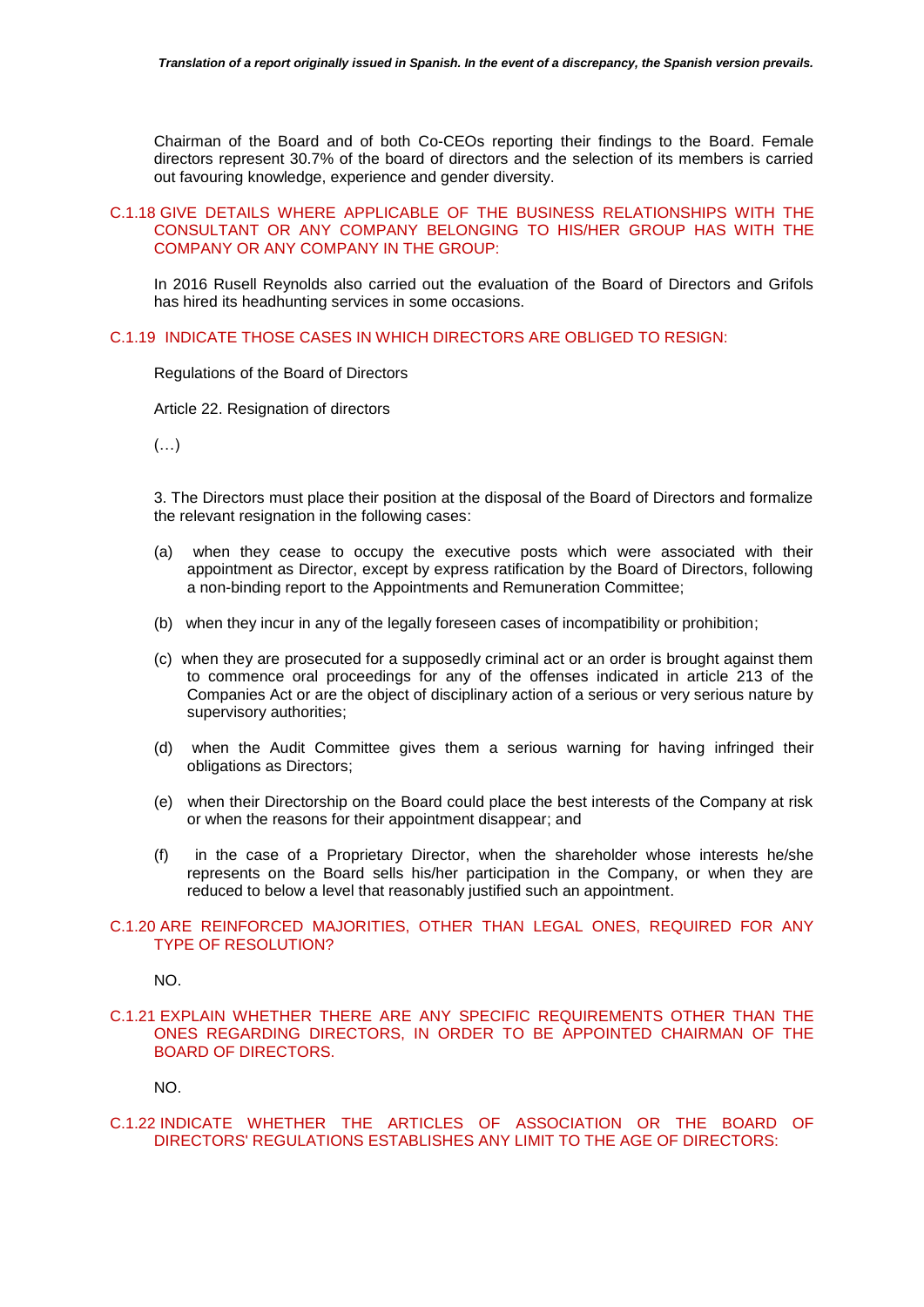Chairman of the Board and of both Co-CEOs reporting their findings to the Board. Female directors represent 30.7% of the board of directors and the selection of its members is carried out favouring knowledge, experience and gender diversity.

# C.1.18 GIVE DETAILS WHERE APPLICABLE OF THE BUSINESS RELATIONSHIPS WITH THE CONSULTANT OR ANY COMPANY BELONGING TO HIS/HER GROUP HAS WITH THE COMPANY OR ANY COMPANY IN THE GROUP:

In 2016 Rusell Reynolds also carried out the evaluation of the Board of Directors and Grifols has hired its headhunting services in some occasions.

# C.1.19 INDICATE THOSE CASES IN WHICH DIRECTORS ARE OBLIGED TO RESIGN:

Regulations of the Board of Directors

Article 22. Resignation of directors

 $(\ldots)$ 

3. The Directors must place their position at the disposal of the Board of Directors and formalize the relevant resignation in the following cases:

- (a) when they cease to occupy the executive posts which were associated with their appointment as Director, except by express ratification by the Board of Directors, following a non-binding report to the Appointments and Remuneration Committee;
- (b) when they incur in any of the legally foreseen cases of incompatibility or prohibition;
- (c) when they are prosecuted for a supposedly criminal act or an order is brought against them to commence oral proceedings for any of the offenses indicated in article 213 of the Companies Act or are the object of disciplinary action of a serious or very serious nature by supervisory authorities;
- (d) when the Audit Committee gives them a serious warning for having infringed their obligations as Directors;
- (e) when their Directorship on the Board could place the best interests of the Company at risk or when the reasons for their appointment disappear; and
- (f) in the case of a Proprietary Director, when the shareholder whose interests he/she represents on the Board sells his/her participation in the Company, or when they are reduced to below a level that reasonably justified such an appointment.

#### C.1.20 ARE REINFORCED MAJORITIES, OTHER THAN LEGAL ONES, REQUIRED FOR ANY TYPE OF RESOLUTION?

NO.

C.1.21 EXPLAIN WHETHER THERE ARE ANY SPECIFIC REQUIREMENTS OTHER THAN THE ONES REGARDING DIRECTORS, IN ORDER TO BE APPOINTED CHAIRMAN OF THE BOARD OF DIRECTORS.

NO.

C.1.22 INDICATE WHETHER THE ARTICLES OF ASSOCIATION OR THE BOARD OF DIRECTORS' REGULATIONS ESTABLISHES ANY LIMIT TO THE AGE OF DIRECTORS: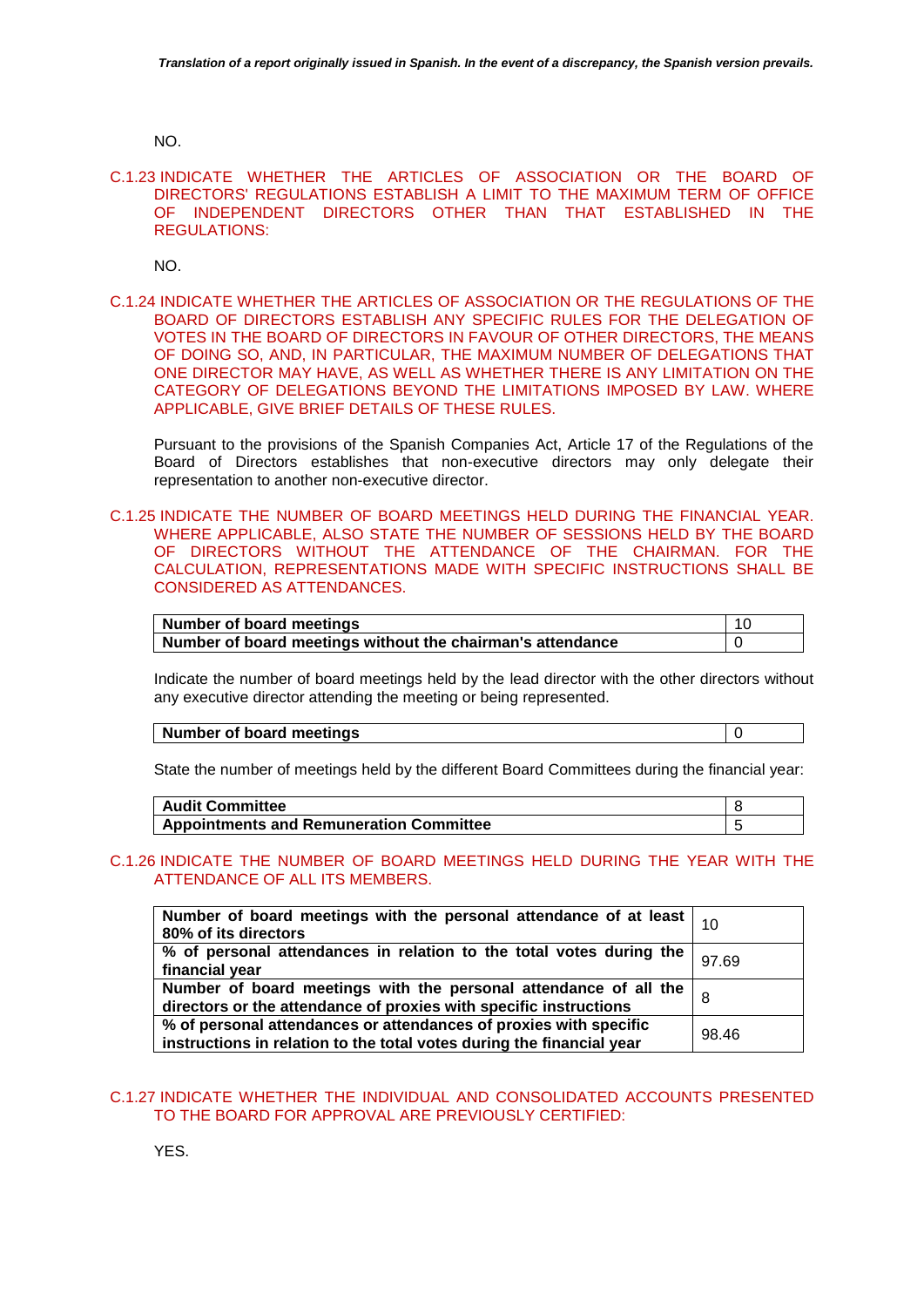NO.

C.1.23 INDICATE WHETHER THE ARTICLES OF ASSOCIATION OR THE BOARD OF DIRECTORS' REGULATIONS ESTABLISH A LIMIT TO THE MAXIMUM TERM OF OFFICE OF INDEPENDENT DIRECTORS OTHER THAN THAT ESTABLISHED IN THE REGULATIONS:

NO.

C.1.24 INDICATE WHETHER THE ARTICLES OF ASSOCIATION OR THE REGULATIONS OF THE BOARD OF DIRECTORS ESTABLISH ANY SPECIFIC RULES FOR THE DELEGATION OF VOTES IN THE BOARD OF DIRECTORS IN FAVOUR OF OTHER DIRECTORS, THE MEANS OF DOING SO, AND, IN PARTICULAR, THE MAXIMUM NUMBER OF DELEGATIONS THAT ONE DIRECTOR MAY HAVE, AS WELL AS WHETHER THERE IS ANY LIMITATION ON THE CATEGORY OF DELEGATIONS BEYOND THE LIMITATIONS IMPOSED BY LAW. WHERE APPLICABLE, GIVE BRIEF DETAILS OF THESE RULES.

Pursuant to the provisions of the Spanish Companies Act, Article 17 of the Regulations of the Board of Directors establishes that non-executive directors may only delegate their representation to another non-executive director.

C.1.25 INDICATE THE NUMBER OF BOARD MEETINGS HELD DURING THE FINANCIAL YEAR. WHERE APPLICABLE, ALSO STATE THE NUMBER OF SESSIONS HELD BY THE BOARD OF DIRECTORS WITHOUT THE ATTENDANCE OF THE CHAIRMAN. FOR THE CALCULATION, REPRESENTATIONS MADE WITH SPECIFIC INSTRUCTIONS SHALL BE CONSIDERED AS ATTENDANCES.

| Number of board meetings                                   | -10 |
|------------------------------------------------------------|-----|
| Number of board meetings without the chairman's attendance |     |

Indicate the number of board meetings held by the lead director with the other directors without any executive director attending the meeting or being represented.

**Number of board meetings 10** 

State the number of meetings held by the different Board Committees during the financial year:

| <b>Audit Committee</b>                         |  |
|------------------------------------------------|--|
| <b>Appointments and Remuneration Committee</b> |  |

# C.1.26 INDICATE THE NUMBER OF BOARD MEETINGS HELD DURING THE YEAR WITH THE ATTENDANCE OF ALL ITS MEMBERS.

| Number of board meetings with the personal attendance of at least $\vert$ 10<br>80% of its directors                                       |       |
|--------------------------------------------------------------------------------------------------------------------------------------------|-------|
| % of personal attendances in relation to the total votes during the<br>financial year                                                      | 97.69 |
| Number of board meetings with the personal attendance of all the<br>directors or the attendance of proxies with specific instructions      |       |
| % of personal attendances or attendances of proxies with specific<br>instructions in relation to the total votes during the financial year | 98.46 |

# C.1.27 INDICATE WHETHER THE INDIVIDUAL AND CONSOLIDATED ACCOUNTS PRESENTED TO THE BOARD FOR APPROVAL ARE PREVIOUSLY CERTIFIED:

YES.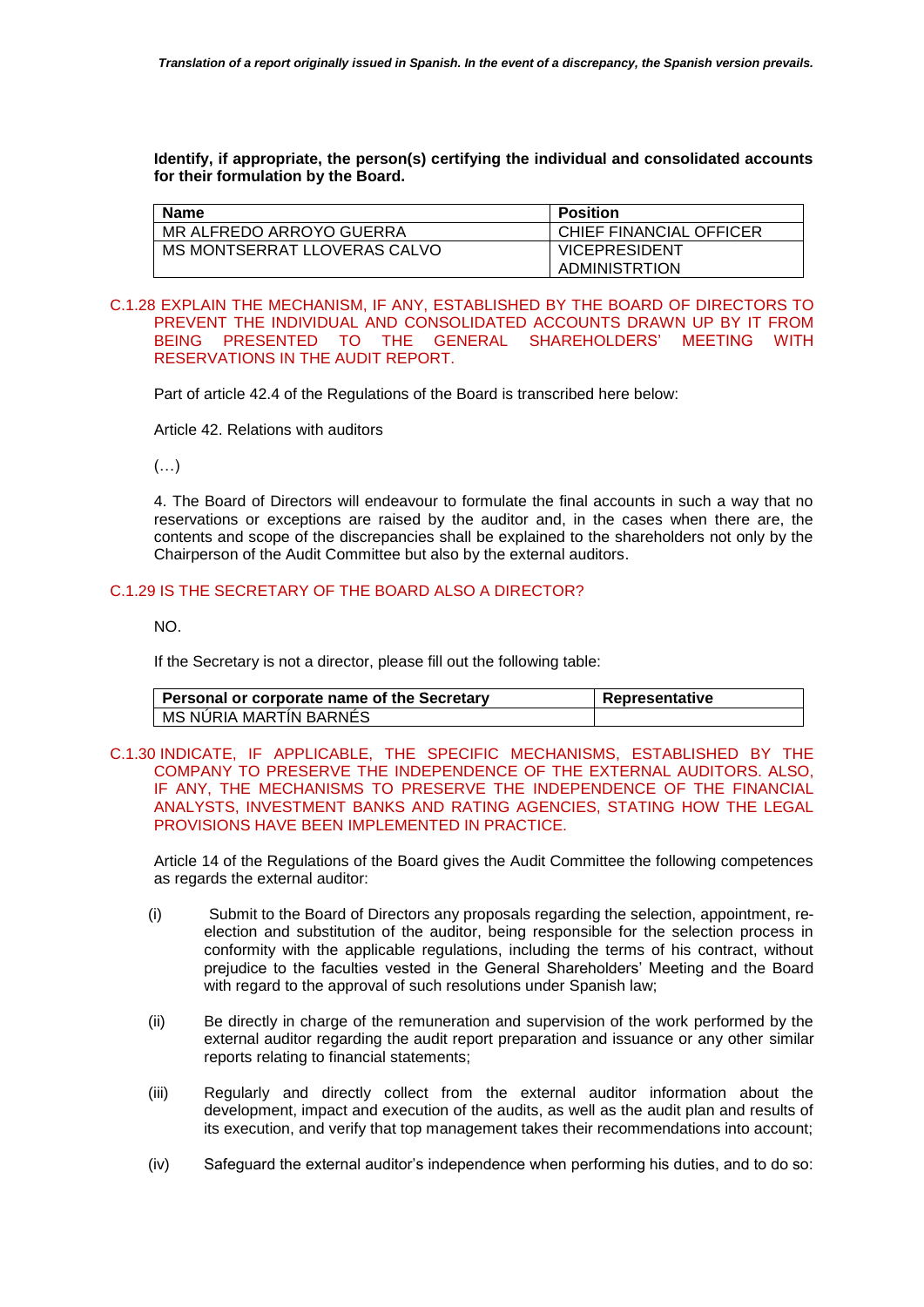**Identify, if appropriate, the person(s) certifying the individual and consolidated accounts for their formulation by the Board.**

| <b>Name</b>              |                              | <b>Position</b>         |
|--------------------------|------------------------------|-------------------------|
| MR ALFREDO ARROYO GUERRA |                              | CHIEF FINANCIAL OFFICER |
|                          | MS MONTSERRAT LLOVERAS CALVO | <b>VICEPRESIDENT</b>    |
|                          |                              | ADMINISTRTION           |

### C.1.28 EXPLAIN THE MECHANISM, IF ANY, ESTABLISHED BY THE BOARD OF DIRECTORS TO PREVENT THE INDIVIDUAL AND CONSOLIDATED ACCOUNTS DRAWN UP BY IT FROM BEING PRESENTED TO THE GENERAL SHAREHOLDERS' MEETING WITH RESERVATIONS IN THE AUDIT REPORT.

Part of article 42.4 of the Regulations of the Board is transcribed here below:

Article 42. Relations with auditors

(…)

4. The Board of Directors will endeavour to formulate the final accounts in such a way that no reservations or exceptions are raised by the auditor and, in the cases when there are, the contents and scope of the discrepancies shall be explained to the shareholders not only by the Chairperson of the Audit Committee but also by the external auditors.

# C.1.29 IS THE SECRETARY OF THE BOARD ALSO A DIRECTOR?

NO.

If the Secretary is not a director, please fill out the following table:

| Personal or corporate name of the Secretary | Representative |
|---------------------------------------------|----------------|
| MS NURIA MARTIN BARNES                      |                |

C.1.30 INDICATE, IF APPLICABLE, THE SPECIFIC MECHANISMS, ESTABLISHED BY THE COMPANY TO PRESERVE THE INDEPENDENCE OF THE EXTERNAL AUDITORS. ALSO, IF ANY, THE MECHANISMS TO PRESERVE THE INDEPENDENCE OF THE FINANCIAL ANALYSTS, INVESTMENT BANKS AND RATING AGENCIES, STATING HOW THE LEGAL PROVISIONS HAVE BEEN IMPLEMENTED IN PRACTICE.

Article 14 of the Regulations of the Board gives the Audit Committee the following competences as regards the external auditor:

- (i) Submit to the Board of Directors any proposals regarding the selection, appointment, reelection and substitution of the auditor, being responsible for the selection process in conformity with the applicable regulations, including the terms of his contract, without prejudice to the faculties vested in the General Shareholders' Meeting and the Board with regard to the approval of such resolutions under Spanish law;
- (ii) Be directly in charge of the remuneration and supervision of the work performed by the external auditor regarding the audit report preparation and issuance or any other similar reports relating to financial statements;
- (iii) Regularly and directly collect from the external auditor information about the development, impact and execution of the audits, as well as the audit plan and results of its execution, and verify that top management takes their recommendations into account;
- (iv) Safeguard the external auditor's independence when performing his duties, and to do so: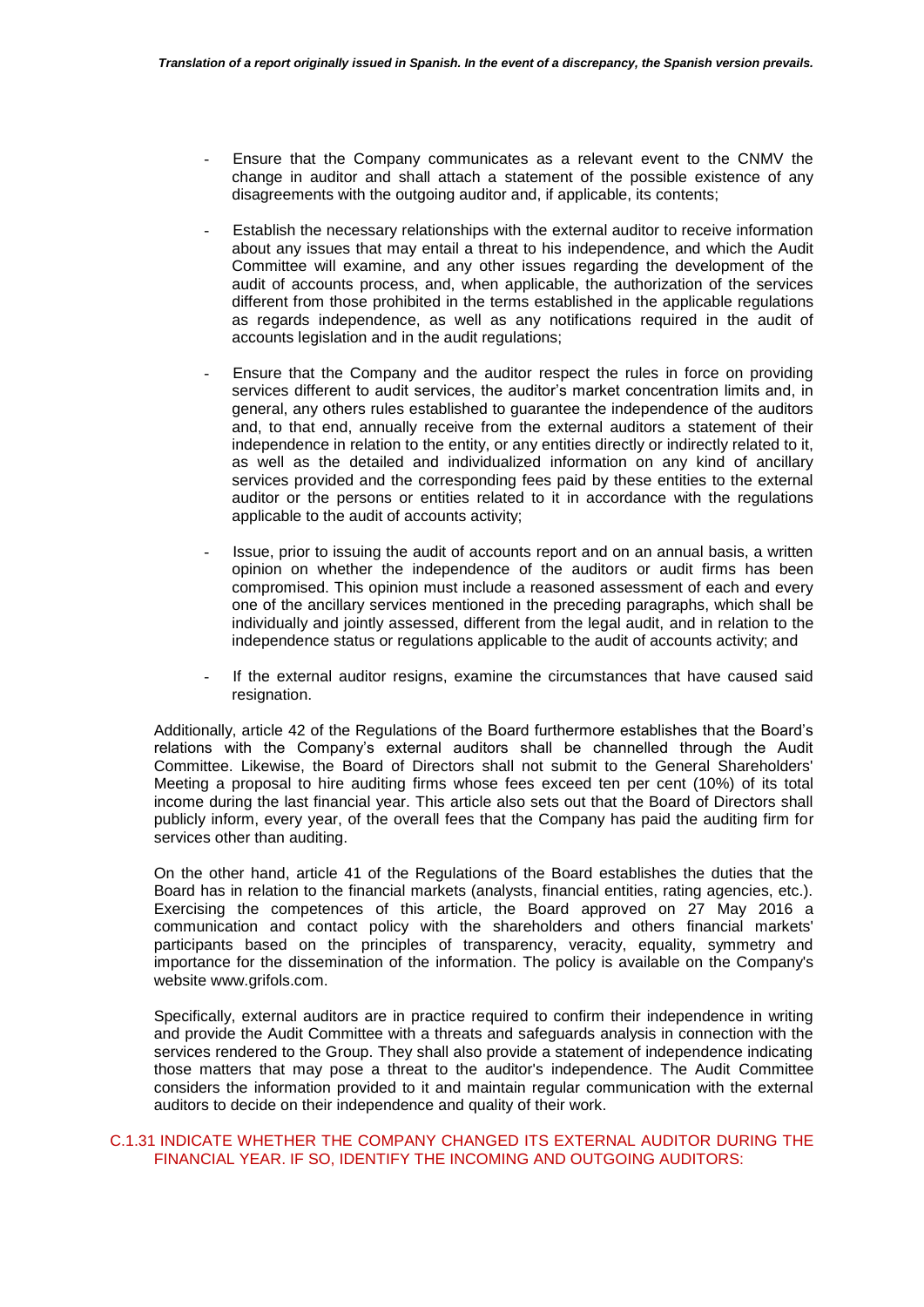- Ensure that the Company communicates as a relevant event to the CNMV the change in auditor and shall attach a statement of the possible existence of any disagreements with the outgoing auditor and, if applicable, its contents;
- Establish the necessary relationships with the external auditor to receive information about any issues that may entail a threat to his independence, and which the Audit Committee will examine, and any other issues regarding the development of the audit of accounts process, and, when applicable, the authorization of the services different from those prohibited in the terms established in the applicable regulations as regards independence, as well as any notifications required in the audit of accounts legislation and in the audit regulations;
- Ensure that the Company and the auditor respect the rules in force on providing services different to audit services, the auditor's market concentration limits and, in general, any others rules established to guarantee the independence of the auditors and, to that end, annually receive from the external auditors a statement of their independence in relation to the entity, or any entities directly or indirectly related to it, as well as the detailed and individualized information on any kind of ancillary services provided and the corresponding fees paid by these entities to the external auditor or the persons or entities related to it in accordance with the regulations applicable to the audit of accounts activity;
- Issue, prior to issuing the audit of accounts report and on an annual basis, a written opinion on whether the independence of the auditors or audit firms has been compromised. This opinion must include a reasoned assessment of each and every one of the ancillary services mentioned in the preceding paragraphs, which shall be individually and jointly assessed, different from the legal audit, and in relation to the independence status or regulations applicable to the audit of accounts activity; and
- If the external auditor resigns, examine the circumstances that have caused said resignation.

Additionally, article 42 of the Regulations of the Board furthermore establishes that the Board's relations with the Company's external auditors shall be channelled through the Audit Committee. Likewise, the Board of Directors shall not submit to the General Shareholders' Meeting a proposal to hire auditing firms whose fees exceed ten per cent (10%) of its total income during the last financial year. This article also sets out that the Board of Directors shall publicly inform, every year, of the overall fees that the Company has paid the auditing firm for services other than auditing.

On the other hand, article 41 of the Regulations of the Board establishes the duties that the Board has in relation to the financial markets (analysts, financial entities, rating agencies, etc.). Exercising the competences of this article, the Board approved on 27 May 2016 a communication and contact policy with the shareholders and others financial markets' participants based on the principles of transparency, veracity, equality, symmetry and importance for the dissemination of the information. The policy is available on the Company's website www.grifols.com.

Specifically, external auditors are in practice required to confirm their independence in writing and provide the Audit Committee with a threats and safeguards analysis in connection with the services rendered to the Group. They shall also provide a statement of independence indicating those matters that may pose a threat to the auditor's independence. The Audit Committee considers the information provided to it and maintain regular communication with the external auditors to decide on their independence and quality of their work.

## C.1.31 INDICATE WHETHER THE COMPANY CHANGED ITS EXTERNAL AUDITOR DURING THE FINANCIAL YEAR. IF SO, IDENTIFY THE INCOMING AND OUTGOING AUDITORS: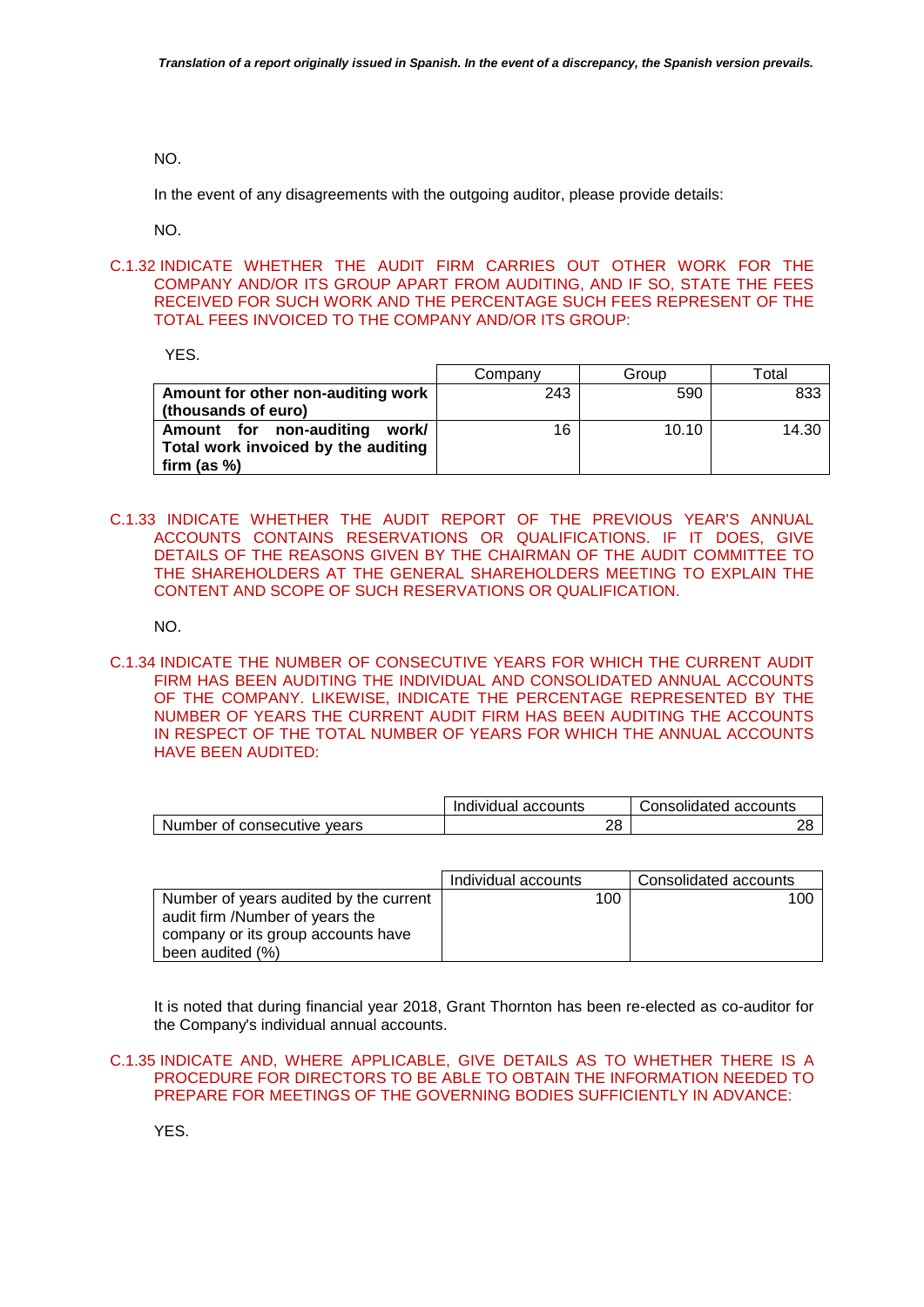NO.

In the event of any disagreements with the outgoing auditor, please provide details:

NO.

C.1.32 INDICATE WHETHER THE AUDIT FIRM CARRIES OUT OTHER WORK FOR THE COMPANY AND/OR ITS GROUP APART FROM AUDITING, AND IF SO, STATE THE FEES RECEIVED FOR SUCH WORK AND THE PERCENTAGE SUCH FEES REPRESENT OF THE TOTAL FEES INVOICED TO THE COMPANY AND/OR ITS GROUP:

YES.

|                                     | Company | Group | Total |
|-------------------------------------|---------|-------|-------|
| Amount for other non-auditing work  | 243     | 590   | 833   |
| (thousands of euro)                 |         |       |       |
| Amount for non-auditing<br>work/    | 16      | 10.10 | 14.30 |
| Total work invoiced by the auditing |         |       |       |
| firm (as $%$ )                      |         |       |       |

C.1.33 INDICATE WHETHER THE AUDIT REPORT OF THE PREVIOUS YEAR'S ANNUAL ACCOUNTS CONTAINS RESERVATIONS OR QUALIFICATIONS. IF IT DOES, GIVE DETAILS OF THE REASONS GIVEN BY THE CHAIRMAN OF THE AUDIT COMMITTEE TO THE SHAREHOLDERS AT THE GENERAL SHAREHOLDERS MEETING TO EXPLAIN THE CONTENT AND SCOPE OF SUCH RESERVATIONS OR QUALIFICATION.

NO.

C.1.34 INDICATE THE NUMBER OF CONSECUTIVE YEARS FOR WHICH THE CURRENT AUDIT FIRM HAS BEEN AUDITING THE INDIVIDUAL AND CONSOLIDATED ANNUAL ACCOUNTS OF THE COMPANY. LIKEWISE, INDICATE THE PERCENTAGE REPRESENTED BY THE NUMBER OF YEARS THE CURRENT AUDIT FIRM HAS BEEN AUDITING THE ACCOUNTS IN RESPECT OF THE TOTAL NUMBER OF YEARS FOR WHICH THE ANNUAL ACCOUNTS HAVE BEEN AUDITED:

|                             | Individual accounts | Consolidated accounts |
|-----------------------------|---------------------|-----------------------|
| Number of consecutive vears |                     |                       |

|                                                                                                                                     | Individual accounts | Consolidated accounts |
|-------------------------------------------------------------------------------------------------------------------------------------|---------------------|-----------------------|
| Number of years audited by the current<br>audit firm /Number of years the<br>company or its group accounts have<br>been audited (%) | 100                 | 100                   |

It is noted that during financial year 2018, Grant Thornton has been re-elected as co-auditor for the Company's individual annual accounts.

YES.

C.1.35 INDICATE AND, WHERE APPLICABLE, GIVE DETAILS AS TO WHETHER THERE IS A PROCEDURE FOR DIRECTORS TO BE ABLE TO OBTAIN THE INFORMATION NEEDED TO PREPARE FOR MEETINGS OF THE GOVERNING BODIES SUFFICIENTLY IN ADVANCE: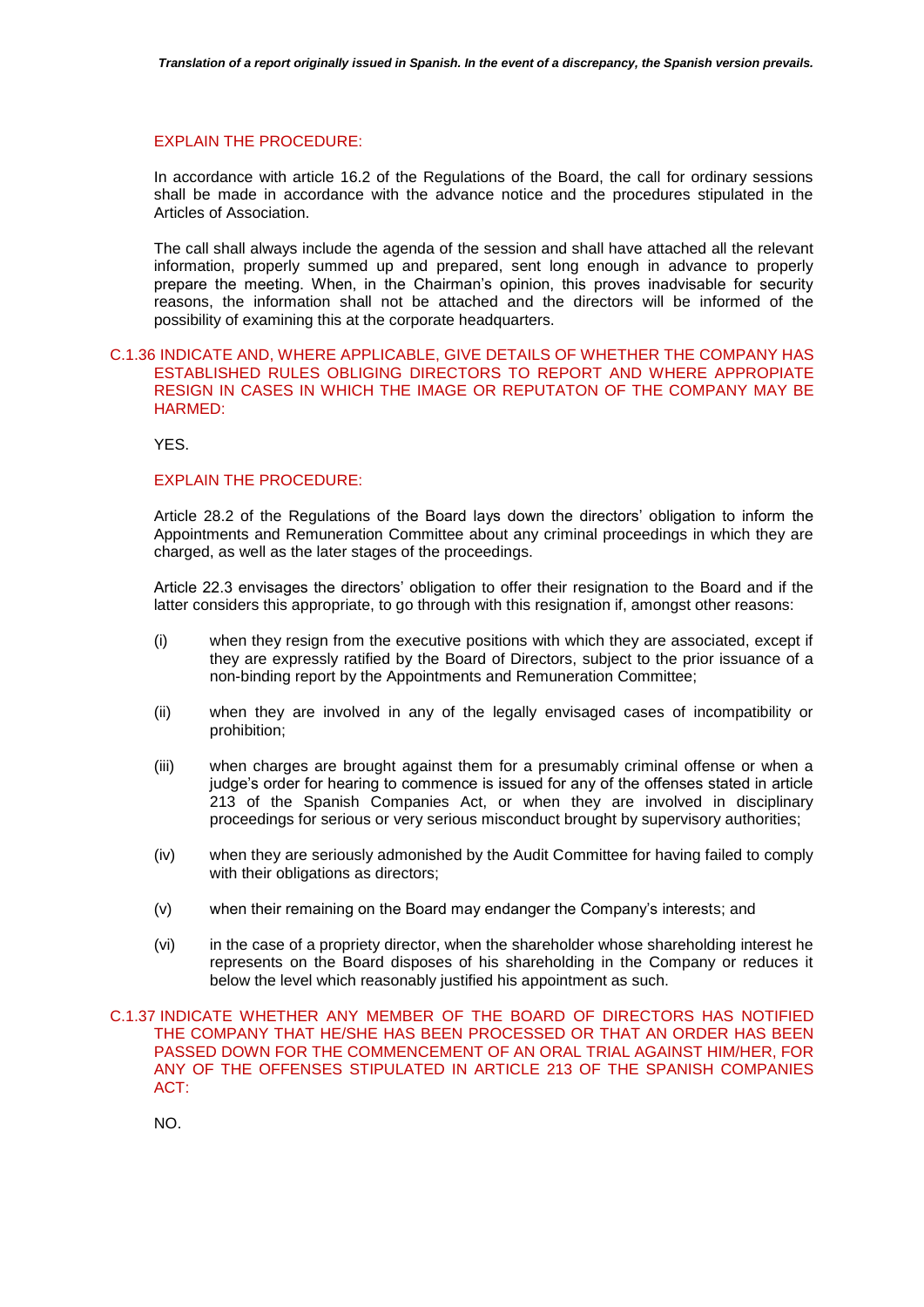#### EXPLAIN THE PROCEDURE:

In accordance with article 16.2 of the Regulations of the Board, the call for ordinary sessions shall be made in accordance with the advance notice and the procedures stipulated in the Articles of Association.

The call shall always include the agenda of the session and shall have attached all the relevant information, properly summed up and prepared, sent long enough in advance to properly prepare the meeting. When, in the Chairman's opinion, this proves inadvisable for security reasons, the information shall not be attached and the directors will be informed of the possibility of examining this at the corporate headquarters.

# C.1.36 INDICATE AND, WHERE APPLICABLE, GIVE DETAILS OF WHETHER THE COMPANY HAS ESTABLISHED RULES OBLIGING DIRECTORS TO REPORT AND WHERE APPROPIATE RESIGN IN CASES IN WHICH THE IMAGE OR REPUTATON OF THE COMPANY MAY BE HARMED:

YES.

#### EXPLAIN THE PROCEDURE:

Article 28.2 of the Regulations of the Board lays down the directors' obligation to inform the Appointments and Remuneration Committee about any criminal proceedings in which they are charged, as well as the later stages of the proceedings.

Article 22.3 envisages the directors' obligation to offer their resignation to the Board and if the latter considers this appropriate, to go through with this resignation if, amongst other reasons:

- (i) when they resign from the executive positions with which they are associated, except if they are expressly ratified by the Board of Directors, subject to the prior issuance of a non-binding report by the Appointments and Remuneration Committee;
- (ii) when they are involved in any of the legally envisaged cases of incompatibility or prohibition;
- (iii) when charges are brought against them for a presumably criminal offense or when a judge's order for hearing to commence is issued for any of the offenses stated in article 213 of the Spanish Companies Act, or when they are involved in disciplinary proceedings for serious or very serious misconduct brought by supervisory authorities;
- (iv) when they are seriously admonished by the Audit Committee for having failed to comply with their obligations as directors;
- (v) when their remaining on the Board may endanger the Company's interests; and
- (vi) in the case of a propriety director, when the shareholder whose shareholding interest he represents on the Board disposes of his shareholding in the Company or reduces it below the level which reasonably justified his appointment as such.
- C.1.37 INDICATE WHETHER ANY MEMBER OF THE BOARD OF DIRECTORS HAS NOTIFIED THE COMPANY THAT HE/SHE HAS BEEN PROCESSED OR THAT AN ORDER HAS BEEN PASSED DOWN FOR THE COMMENCEMENT OF AN ORAL TRIAL AGAINST HIM/HER, FOR ANY OF THE OFFENSES STIPULATED IN ARTICLE 213 OF THE SPANISH COMPANIES ACT:

NO.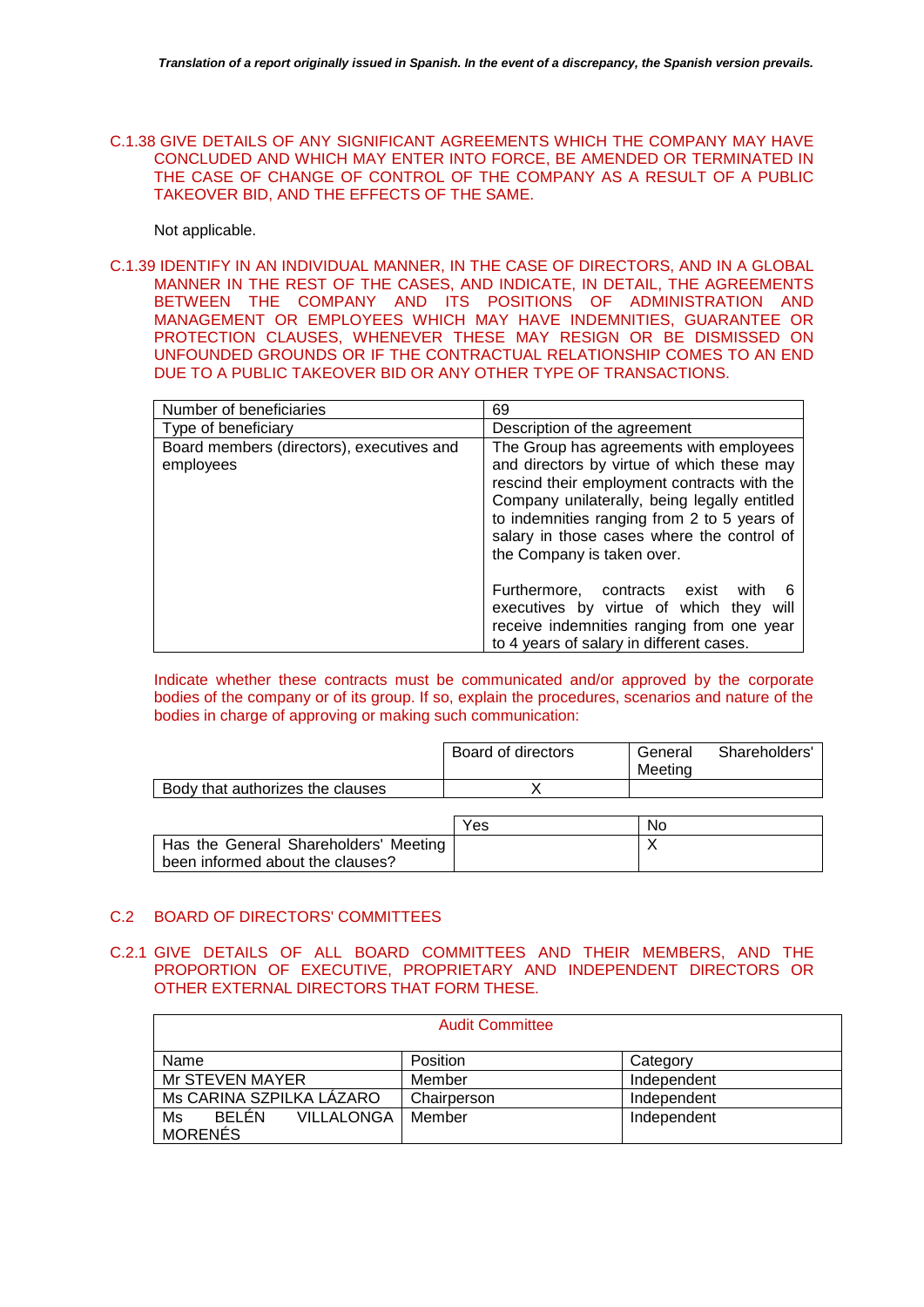C.1.38 GIVE DETAILS OF ANY SIGNIFICANT AGREEMENTS WHICH THE COMPANY MAY HAVE CONCLUDED AND WHICH MAY ENTER INTO FORCE, BE AMENDED OR TERMINATED IN THE CASE OF CHANGE OF CONTROL OF THE COMPANY AS A RESULT OF A PUBLIC TAKEOVER BID, AND THE EFFECTS OF THE SAME.

Not applicable.

C.1.39 IDENTIFY IN AN INDIVIDUAL MANNER, IN THE CASE OF DIRECTORS, AND IN A GLOBAL MANNER IN THE REST OF THE CASES, AND INDICATE, IN DETAIL, THE AGREEMENTS BETWEEN THE COMPANY AND ITS POSITIONS OF ADMINISTRATION AND MANAGEMENT OR EMPLOYEES WHICH MAY HAVE INDEMNITIES, GUARANTEE OR PROTECTION CLAUSES, WHENEVER THESE MAY RESIGN OR BE DISMISSED ON UNFOUNDED GROUNDS OR IF THE CONTRACTUAL RELATIONSHIP COMES TO AN END DUE TO A PUBLIC TAKEOVER BID OR ANY OTHER TYPE OF TRANSACTIONS.

| Number of beneficiaries                                | 69                                                                                                                                                                                                                                                                                                              |  |
|--------------------------------------------------------|-----------------------------------------------------------------------------------------------------------------------------------------------------------------------------------------------------------------------------------------------------------------------------------------------------------------|--|
| Type of beneficiary                                    | Description of the agreement                                                                                                                                                                                                                                                                                    |  |
| Board members (directors), executives and<br>employees | The Group has agreements with employees<br>and directors by virtue of which these may<br>rescind their employment contracts with the<br>Company unilaterally, being legally entitled<br>to indemnities ranging from 2 to 5 years of<br>salary in those cases where the control of<br>the Company is taken over. |  |
|                                                        | Furthermore, contracts exist with<br>executives by virtue of which they will<br>receive indemnities ranging from one year<br>to 4 years of salary in different cases.                                                                                                                                           |  |

Indicate whether these contracts must be communicated and/or approved by the corporate bodies of the company or of its group. If so, explain the procedures, scenarios and nature of the bodies in charge of approving or making such communication:

|                                  | Board of directors | General<br>Meeting | Shareholders' |
|----------------------------------|--------------------|--------------------|---------------|
| Body that authorizes the clauses |                    |                    |               |
|                                  |                    |                    |               |
|                                  |                    |                    |               |

|                                       | Yes | No |
|---------------------------------------|-----|----|
| Has the General Shareholders' Meeting |     |    |
| been informed about the clauses?      |     |    |

# C.2 BOARD OF DIRECTORS' COMMITTEES

# C.2.1 GIVE DETAILS OF ALL BOARD COMMITTEES AND THEIR MEMBERS, AND THE PROPORTION OF EXECUTIVE, PROPRIETARY AND INDEPENDENT DIRECTORS OR OTHER EXTERNAL DIRECTORS THAT FORM THESE.

|                                                    | <b>Audit Committee</b> |             |
|----------------------------------------------------|------------------------|-------------|
| Name                                               | Position               | Category    |
| Mr STEVEN MAYER                                    | Member                 | Independent |
| Ms CARINA SZPILKA LÁZARO                           | Chairperson            | Independent |
| BELÉN<br><b>VILLALONGA</b><br>Ms<br><b>MORENES</b> | Member                 | Independent |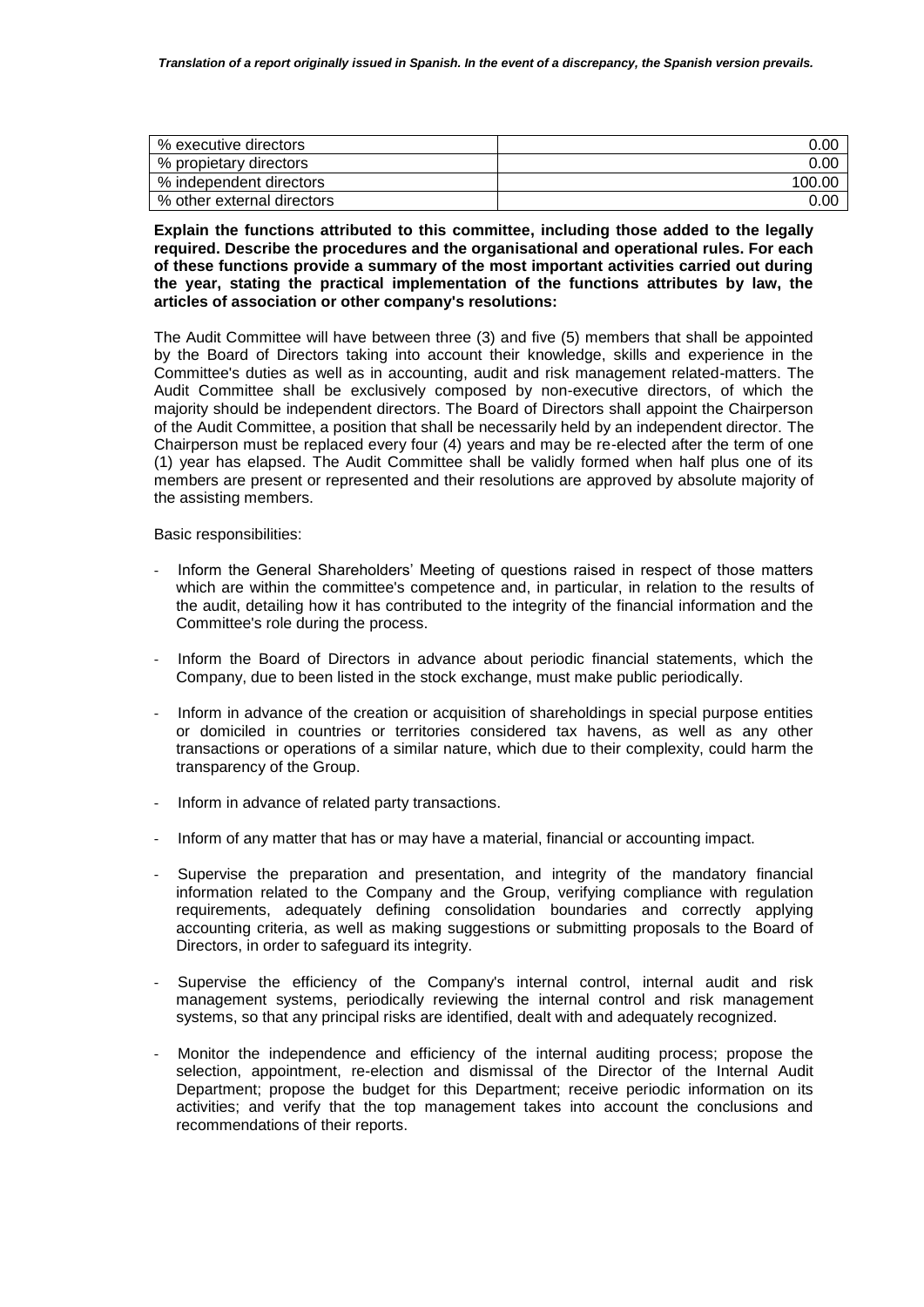| % executive directors      | 0.00   |
|----------------------------|--------|
| % propietary directors     | 0.00   |
| % independent directors    | 100.00 |
| % other external directors | 0.00   |

## **Explain the functions attributed to this committee, including those added to the legally required. Describe the procedures and the organisational and operational rules. For each of these functions provide a summary of the most important activities carried out during the year, stating the practical implementation of the functions attributes by law, the articles of association or other company's resolutions:**

The Audit Committee will have between three (3) and five (5) members that shall be appointed by the Board of Directors taking into account their knowledge, skills and experience in the Committee's duties as well as in accounting, audit and risk management related-matters. The Audit Committee shall be exclusively composed by non-executive directors, of which the majority should be independent directors. The Board of Directors shall appoint the Chairperson of the Audit Committee, a position that shall be necessarily held by an independent director. The Chairperson must be replaced every four (4) years and may be re-elected after the term of one (1) year has elapsed. The Audit Committee shall be validly formed when half plus one of its members are present or represented and their resolutions are approved by absolute majority of the assisting members.

Basic responsibilities:

- Inform the General Shareholders' Meeting of questions raised in respect of those matters which are within the committee's competence and, in particular, in relation to the results of the audit, detailing how it has contributed to the integrity of the financial information and the Committee's role during the process.
- Inform the Board of Directors in advance about periodic financial statements, which the Company, due to been listed in the stock exchange, must make public periodically.
- Inform in advance of the creation or acquisition of shareholdings in special purpose entities or domiciled in countries or territories considered tax havens, as well as any other transactions or operations of a similar nature, which due to their complexity, could harm the transparency of the Group.
- Inform in advance of related party transactions.
- Inform of any matter that has or may have a material, financial or accounting impact.
- Supervise the preparation and presentation, and integrity of the mandatory financial information related to the Company and the Group, verifying compliance with regulation requirements, adequately defining consolidation boundaries and correctly applying accounting criteria, as well as making suggestions or submitting proposals to the Board of Directors, in order to safeguard its integrity.
- Supervise the efficiency of the Company's internal control, internal audit and risk management systems, periodically reviewing the internal control and risk management systems, so that any principal risks are identified, dealt with and adequately recognized.
- Monitor the independence and efficiency of the internal auditing process; propose the selection, appointment, re-election and dismissal of the Director of the Internal Audit Department; propose the budget for this Department; receive periodic information on its activities; and verify that the top management takes into account the conclusions and recommendations of their reports.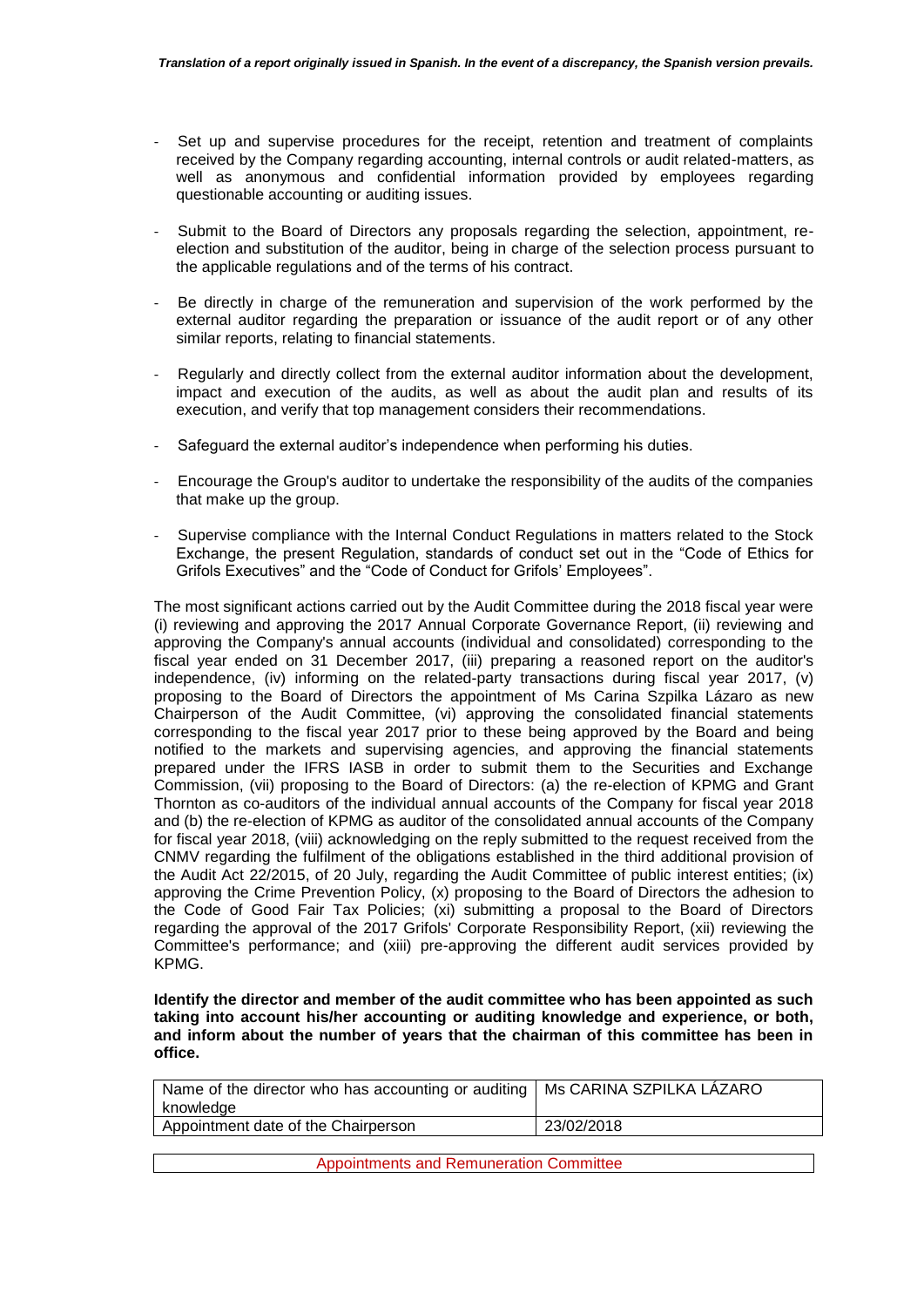- Set up and supervise procedures for the receipt, retention and treatment of complaints received by the Company regarding accounting, internal controls or audit related-matters, as well as anonymous and confidential information provided by employees regarding questionable accounting or auditing issues.
- Submit to the Board of Directors any proposals regarding the selection, appointment, reelection and substitution of the auditor, being in charge of the selection process pursuant to the applicable regulations and of the terms of his contract.
- Be directly in charge of the remuneration and supervision of the work performed by the external auditor regarding the preparation or issuance of the audit report or of any other similar reports, relating to financial statements.
- Regularly and directly collect from the external auditor information about the development, impact and execution of the audits, as well as about the audit plan and results of its execution, and verify that top management considers their recommendations.
- Safeguard the external auditor's independence when performing his duties.
- Encourage the Group's auditor to undertake the responsibility of the audits of the companies that make up the group.
- Supervise compliance with the Internal Conduct Regulations in matters related to the Stock Exchange, the present Regulation, standards of conduct set out in the "Code of Ethics for Grifols Executives" and the "Code of Conduct for Grifols' Employees".

The most significant actions carried out by the Audit Committee during the 2018 fiscal year were (i) reviewing and approving the 2017 Annual Corporate Governance Report, (ii) reviewing and approving the Company's annual accounts (individual and consolidated) corresponding to the fiscal year ended on 31 December 2017, (iii) preparing a reasoned report on the auditor's independence, (iv) informing on the related-party transactions during fiscal year 2017, (v) proposing to the Board of Directors the appointment of Ms Carina Szpilka Lázaro as new Chairperson of the Audit Committee, (vi) approving the consolidated financial statements corresponding to the fiscal year 2017 prior to these being approved by the Board and being notified to the markets and supervising agencies, and approving the financial statements prepared under the IFRS IASB in order to submit them to the Securities and Exchange Commission, (vii) proposing to the Board of Directors: (a) the re-election of KPMG and Grant Thornton as co-auditors of the individual annual accounts of the Company for fiscal year 2018 and (b) the re-election of KPMG as auditor of the consolidated annual accounts of the Company for fiscal year 2018, (viii) acknowledging on the reply submitted to the request received from the CNMV regarding the fulfilment of the obligations established in the third additional provision of the Audit Act 22/2015, of 20 July, regarding the Audit Committee of public interest entities; (ix) approving the Crime Prevention Policy, (x) proposing to the Board of Directors the adhesion to the Code of Good Fair Tax Policies; (xi) submitting a proposal to the Board of Directors regarding the approval of the 2017 Grifols' Corporate Responsibility Report, (xii) reviewing the Committee's performance; and (xiii) pre-approving the different audit services provided by KPMG.

**Identify the director and member of the audit committee who has been appointed as such taking into account his/her accounting or auditing knowledge and experience, or both, and inform about the number of years that the chairman of this committee has been in office.**

| Name of the director who has accounting or auditing   Ms CARINA SZPILKA LÁZARO |            |
|--------------------------------------------------------------------------------|------------|
| knowledge                                                                      |            |
| Appointment date of the Chairperson                                            | 23/02/2018 |
|                                                                                |            |
| <b>Appointments and Remuneration Committee</b>                                 |            |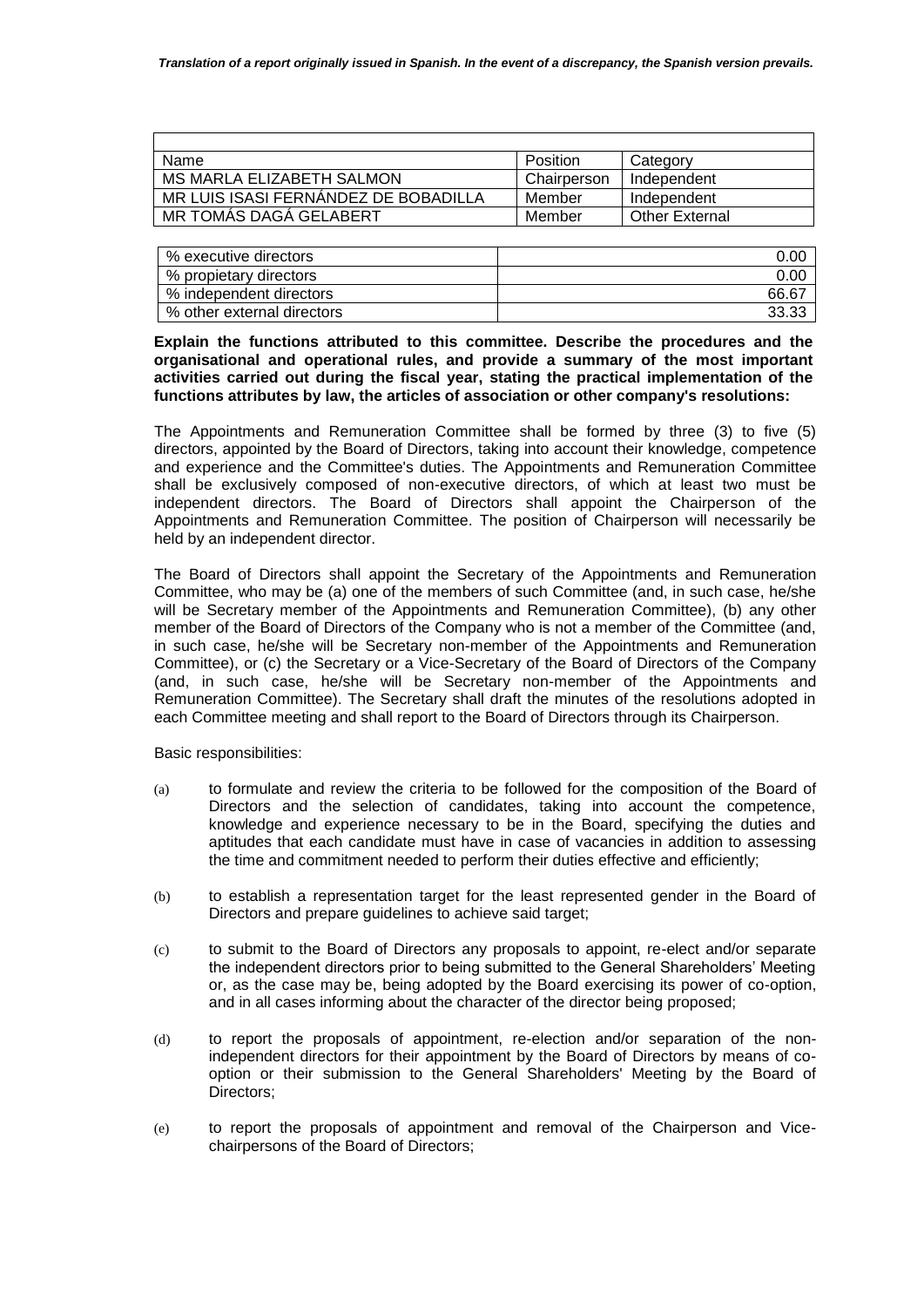| Name                                 | Position    | Category              |
|--------------------------------------|-------------|-----------------------|
| MS MARLA ELIZABETH SALMON            | Chairperson | Independent           |
| MR LUIS ISASI FERNANDEZ DE BOBADILLA | Member      | Independent           |
| MR TOMAS DAGA GELABERT               | Member      | <b>Other External</b> |

| % executive directors      | 0.00  |
|----------------------------|-------|
| % propietary directors     | 0.00  |
| % independent directors    | 66.67 |
| % other external directors | 33.33 |

#### **Explain the functions attributed to this committee. Describe the procedures and the organisational and operational rules, and provide a summary of the most important activities carried out during the fiscal year, stating the practical implementation of the functions attributes by law, the articles of association or other company's resolutions:**

The Appointments and Remuneration Committee shall be formed by three (3) to five (5) directors, appointed by the Board of Directors, taking into account their knowledge, competence and experience and the Committee's duties. The Appointments and Remuneration Committee shall be exclusively composed of non-executive directors, of which at least two must be independent directors. The Board of Directors shall appoint the Chairperson of the Appointments and Remuneration Committee. The position of Chairperson will necessarily be held by an independent director.

The Board of Directors shall appoint the Secretary of the Appointments and Remuneration Committee, who may be (a) one of the members of such Committee (and, in such case, he/she will be Secretary member of the Appointments and Remuneration Committee), (b) any other member of the Board of Directors of the Company who is not a member of the Committee (and, in such case, he/she will be Secretary non-member of the Appointments and Remuneration Committee), or (c) the Secretary or a Vice-Secretary of the Board of Directors of the Company (and, in such case, he/she will be Secretary non-member of the Appointments and Remuneration Committee). The Secretary shall draft the minutes of the resolutions adopted in each Committee meeting and shall report to the Board of Directors through its Chairperson.

Basic responsibilities:

- (a) to formulate and review the criteria to be followed for the composition of the Board of Directors and the selection of candidates, taking into account the competence, knowledge and experience necessary to be in the Board, specifying the duties and aptitudes that each candidate must have in case of vacancies in addition to assessing the time and commitment needed to perform their duties effective and efficiently;
- (b) to establish a representation target for the least represented gender in the Board of Directors and prepare guidelines to achieve said target;
- (c) to submit to the Board of Directors any proposals to appoint, re-elect and/or separate the independent directors prior to being submitted to the General Shareholders' Meeting or, as the case may be, being adopted by the Board exercising its power of co-option, and in all cases informing about the character of the director being proposed;
- (d) to report the proposals of appointment, re-election and/or separation of the nonindependent directors for their appointment by the Board of Directors by means of cooption or their submission to the General Shareholders' Meeting by the Board of Directors;
- (e) to report the proposals of appointment and removal of the Chairperson and Vicechairpersons of the Board of Directors;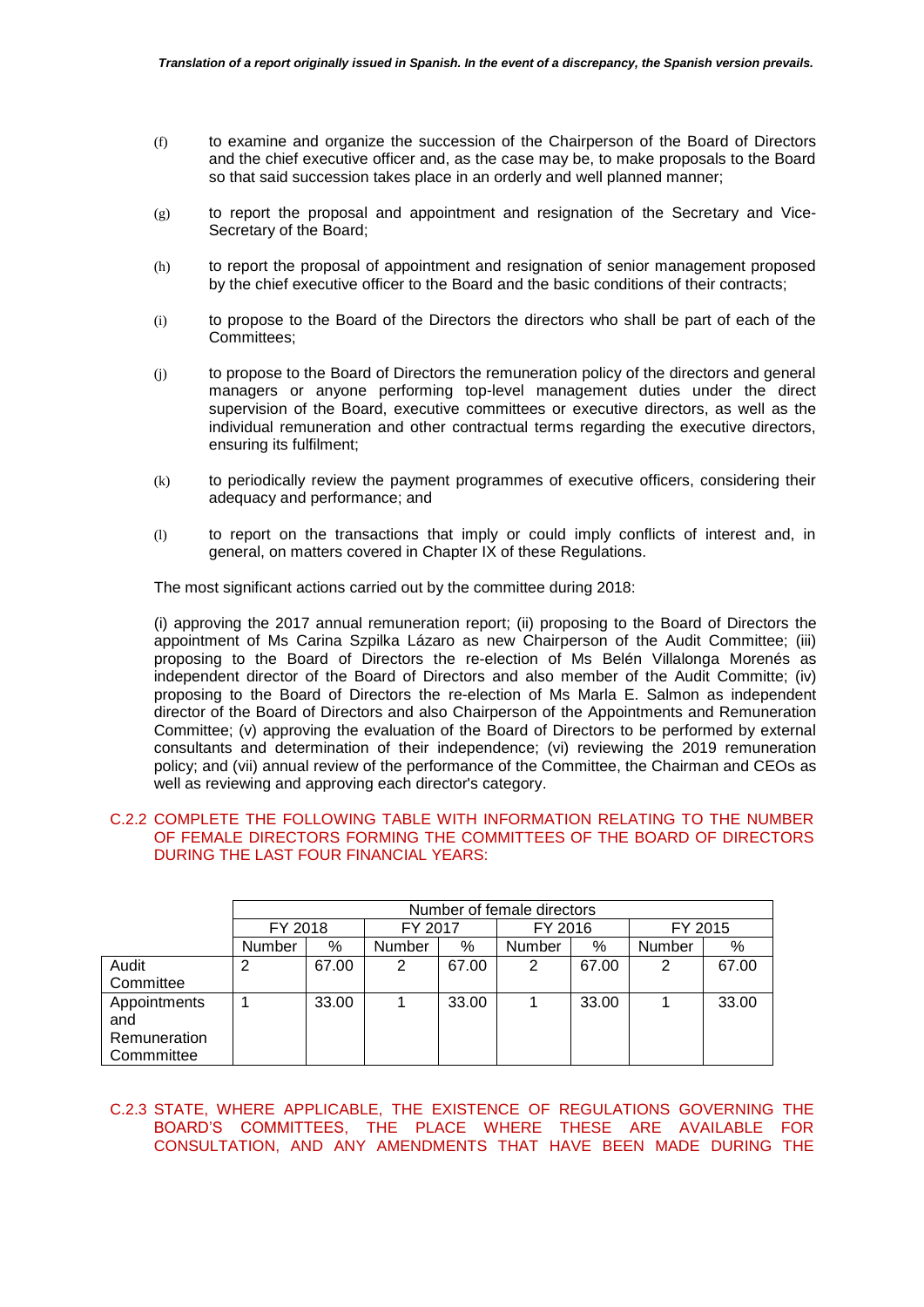- (f) to examine and organize the succession of the Chairperson of the Board of Directors and the chief executive officer and, as the case may be, to make proposals to the Board so that said succession takes place in an orderly and well planned manner;
- (g) to report the proposal and appointment and resignation of the Secretary and Vice-Secretary of the Board;
- (h) to report the proposal of appointment and resignation of senior management proposed by the chief executive officer to the Board and the basic conditions of their contracts;
- (i) to propose to the Board of the Directors the directors who shall be part of each of the Committees;
- (j) to propose to the Board of Directors the remuneration policy of the directors and general managers or anyone performing top-level management duties under the direct supervision of the Board, executive committees or executive directors, as well as the individual remuneration and other contractual terms regarding the executive directors, ensuring its fulfilment;
- (k) to periodically review the payment programmes of executive officers, considering their adequacy and performance; and
- (l) to report on the transactions that imply or could imply conflicts of interest and, in general, on matters covered in Chapter IX of these Regulations.

The most significant actions carried out by the committee during 2018:

(i) approving the 2017 annual remuneration report; (ii) proposing to the Board of Directors the appointment of Ms Carina Szpilka Lázaro as new Chairperson of the Audit Committee; (iii) proposing to the Board of Directors the re-election of Ms Belén Villalonga Morenés as independent director of the Board of Directors and also member of the Audit Committe; (iv) proposing to the Board of Directors the re-election of Ms Marla E. Salmon as independent director of the Board of Directors and also Chairperson of the Appointments and Remuneration Committee; (v) approving the evaluation of the Board of Directors to be performed by external consultants and determination of their independence; (vi) reviewing the 2019 remuneration policy; and (vii) annual review of the performance of the Committee, the Chairman and CEOs as well as reviewing and approving each director's category.

# C.2.2 COMPLETE THE FOLLOWING TABLE WITH INFORMATION RELATING TO THE NUMBER OF FEMALE DIRECTORS FORMING THE COMMITTEES OF THE BOARD OF DIRECTORS DURING THE LAST FOUR FINANCIAL YEARS:

|                                     |               | Number of female directors |               |       |               |       |               |       |
|-------------------------------------|---------------|----------------------------|---------------|-------|---------------|-------|---------------|-------|
|                                     | FY 2018       |                            | FY 2017       |       | FY 2016       |       | FY 2015       |       |
|                                     | <b>Number</b> | %                          | <b>Number</b> | %     | <b>Number</b> | %     | <b>Number</b> | %     |
| Audit                               | 2             | 67.00                      | 2             | 67.00 | 2             | 67.00 | 2             | 67.00 |
| Committee                           |               |                            |               |       |               |       |               |       |
| Appointments<br>and<br>Remuneration |               | 33.00                      |               | 33.00 |               | 33.00 |               | 33.00 |
| Commmittee                          |               |                            |               |       |               |       |               |       |

# C.2.3 STATE, WHERE APPLICABLE, THE EXISTENCE OF REGULATIONS GOVERNING THE BOARD'S COMMITTEES, THE PLACE WHERE THESE ARE AVAILABLE FOR CONSULTATION, AND ANY AMENDMENTS THAT HAVE BEEN MADE DURING THE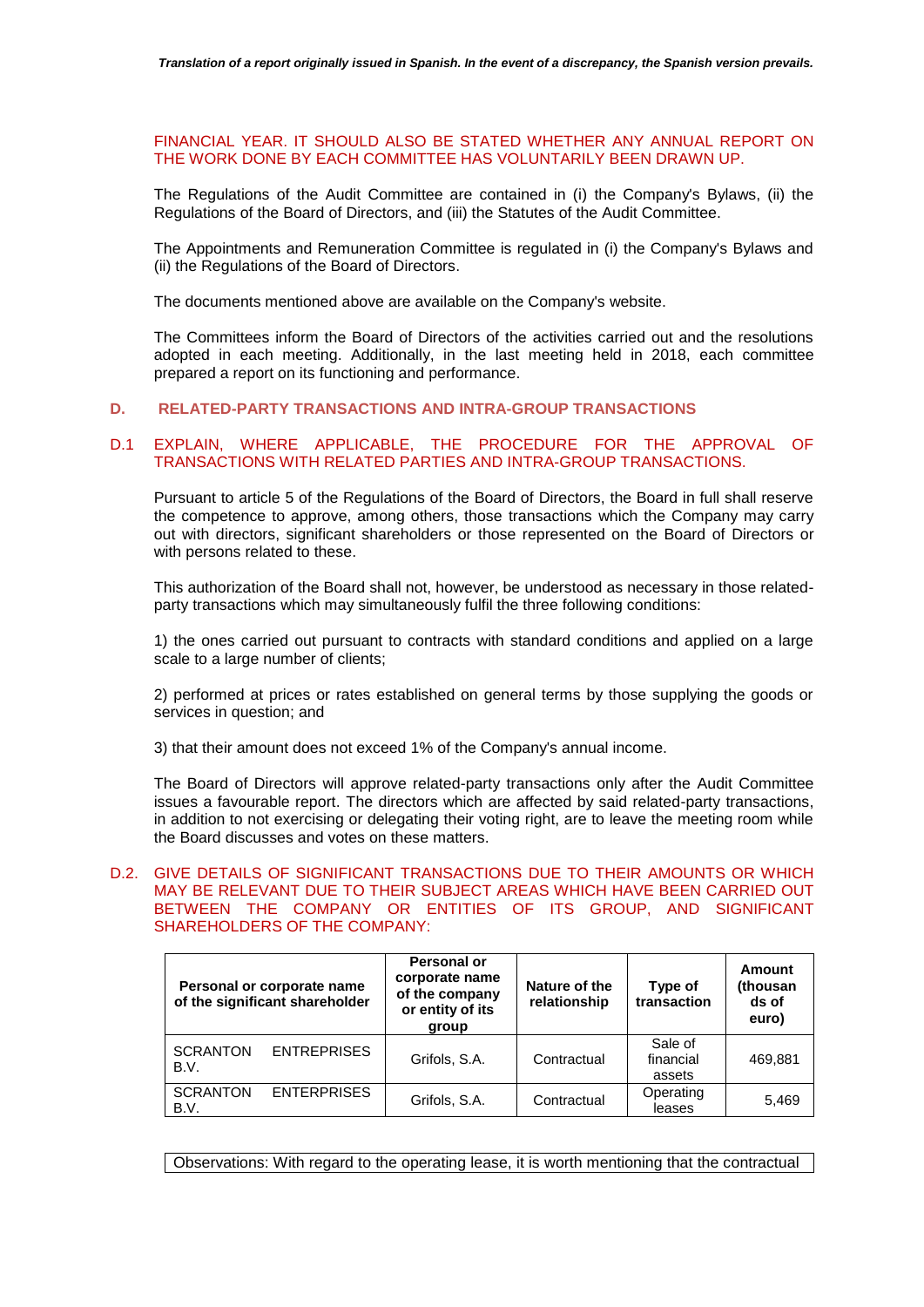# FINANCIAL YEAR. IT SHOULD ALSO BE STATED WHETHER ANY ANNUAL REPORT ON THE WORK DONE BY EACH COMMITTEE HAS VOLUNTARILY BEEN DRAWN UP.

The Regulations of the Audit Committee are contained in (i) the Company's Bylaws, (ii) the Regulations of the Board of Directors, and (iii) the Statutes of the Audit Committee.

The Appointments and Remuneration Committee is regulated in (i) the Company's Bylaws and (ii) the Regulations of the Board of Directors.

The documents mentioned above are available on the Company's website.

The Committees inform the Board of Directors of the activities carried out and the resolutions adopted in each meeting. Additionally, in the last meeting held in 2018, each committee prepared a report on its functioning and performance.

# **D. RELATED-PARTY TRANSACTIONS AND INTRA-GROUP TRANSACTIONS**

# D.1 EXPLAIN, WHERE APPLICABLE, THE PROCEDURE FOR THE APPROVAL OF TRANSACTIONS WITH RELATED PARTIES AND INTRA-GROUP TRANSACTIONS.

Pursuant to article 5 of the Regulations of the Board of Directors, the Board in full shall reserve the competence to approve, among others, those transactions which the Company may carry out with directors, significant shareholders or those represented on the Board of Directors or with persons related to these.

This authorization of the Board shall not, however, be understood as necessary in those relatedparty transactions which may simultaneously fulfil the three following conditions:

1) the ones carried out pursuant to contracts with standard conditions and applied on a large scale to a large number of clients;

2) performed at prices or rates established on general terms by those supplying the goods or services in question; and

3) that their amount does not exceed 1% of the Company's annual income.

The Board of Directors will approve related-party transactions only after the Audit Committee issues a favourable report. The directors which are affected by said related-party transactions, in addition to not exercising or delegating their voting right, are to leave the meeting room while the Board discusses and votes on these matters.

# D.2. GIVE DETAILS OF SIGNIFICANT TRANSACTIONS DUE TO THEIR AMOUNTS OR WHICH MAY BE RELEVANT DUE TO THEIR SUBJECT AREAS WHICH HAVE BEEN CARRIED OUT BETWEEN THE COMPANY OR ENTITIES OF ITS GROUP, AND SIGNIFICANT SHAREHOLDERS OF THE COMPANY:

| Personal or corporate name<br>of the significant shareholder | Personal or<br>corporate name<br>of the company<br>or entity of its<br>group | Nature of the<br>relationship | Type of<br>transaction         | Amount<br>(thousan<br>ds of<br>euro) |
|--------------------------------------------------------------|------------------------------------------------------------------------------|-------------------------------|--------------------------------|--------------------------------------|
| <b>SCRANTON</b><br><b>ENTREPRISES</b><br>B.V.                | Grifols, S.A.                                                                | Contractual                   | Sale of<br>financial<br>assets | 469,881                              |
| <b>ENTERPRISES</b><br><b>SCRANTON</b><br>B.V.                | Grifols, S.A.                                                                | Contractual                   | Operating<br>leases            | 5,469                                |

Observations: With regard to the operating lease, it is worth mentioning that the contractual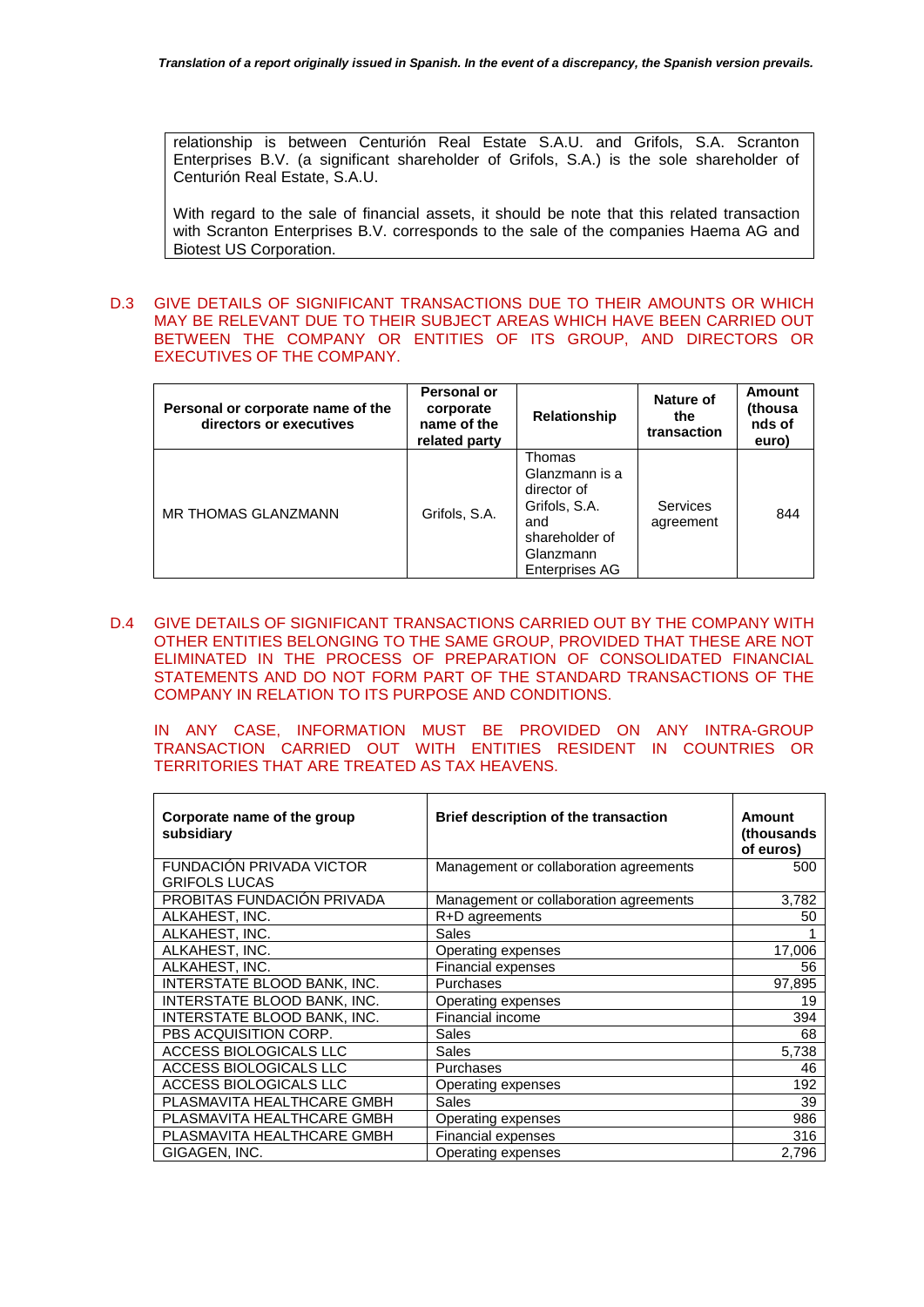relationship is between Centurión Real Estate S.A.U. and Grifols, S.A. Scranton Enterprises B.V. (a significant shareholder of Grifols, S.A.) is the sole shareholder of Centurión Real Estate, S.A.U.

With regard to the sale of financial assets, it should be note that this related transaction with Scranton Enterprises B.V. corresponds to the sale of the companies Haema AG and Biotest US Corporation.

# D.3 GIVE DETAILS OF SIGNIFICANT TRANSACTIONS DUE TO THEIR AMOUNTS OR WHICH MAY BE RELEVANT DUE TO THEIR SUBJECT AREAS WHICH HAVE BEEN CARRIED OUT BETWEEN THE COMPANY OR ENTITIES OF ITS GROUP, AND DIRECTORS OR EXECUTIVES OF THE COMPANY.

| Personal or corporate name of the<br>directors or executives | Personal or<br>corporate<br>name of the<br>related party | <b>Relationship</b>                                                                                                     | Nature of<br>the<br>transaction | <b>Amount</b><br>(thousa<br>nds of<br>euro) |
|--------------------------------------------------------------|----------------------------------------------------------|-------------------------------------------------------------------------------------------------------------------------|---------------------------------|---------------------------------------------|
| MR THOMAS GLANZMANN                                          | Grifols, S.A.                                            | Thomas<br>Glanzmann is a<br>director of<br>Grifols, S.A.<br>and<br>shareholder of<br>Glanzmann<br><b>Enterprises AG</b> | <b>Services</b><br>agreement    | 844                                         |

D.4 GIVE DETAILS OF SIGNIFICANT TRANSACTIONS CARRIED OUT BY THE COMPANY WITH OTHER ENTITIES BELONGING TO THE SAME GROUP, PROVIDED THAT THESE ARE NOT ELIMINATED IN THE PROCESS OF PREPARATION OF CONSOLIDATED FINANCIAL STATEMENTS AND DO NOT FORM PART OF THE STANDARD TRANSACTIONS OF THE COMPANY IN RELATION TO ITS PURPOSE AND CONDITIONS.

IN ANY CASE, INFORMATION MUST BE PROVIDED ON ANY INTRA-GROUP TRANSACTION CARRIED OUT WITH ENTITIES RESIDENT IN COUNTRIES OR TERRITORIES THAT ARE TREATED AS TAX HEAVENS.

| Corporate name of the group<br>subsidiary        | Brief description of the transaction   | Amount<br>(thousands)<br>of euros) |
|--------------------------------------------------|----------------------------------------|------------------------------------|
| FUNDACIÓN PRIVADA VICTOR<br><b>GRIFOLS LUCAS</b> | Management or collaboration agreements | 500                                |
| PROBITAS FUNDACIÓN PRIVADA                       | Management or collaboration agreements | 3,782                              |
| ALKAHEST, INC.                                   | R+D agreements                         | 50                                 |
| ALKAHEST. INC.                                   | Sales                                  |                                    |
| ALKAHEST, INC.                                   | Operating expenses                     | 17,006                             |
| ALKAHEST, INC.                                   | <b>Financial expenses</b>              | 56                                 |
| INTERSTATE BLOOD BANK, INC.                      | Purchases                              | 97,895                             |
| INTERSTATE BLOOD BANK, INC.                      | Operating expenses                     | 19                                 |
| INTERSTATE BLOOD BANK, INC.                      | Financial income                       | 394                                |
| PBS ACQUISITION CORP.                            | Sales                                  | 68                                 |
| ACCESS BIOLOGICALS LLC                           | Sales                                  | 5,738                              |
| ACCESS BIOLOGICALS LLC                           | Purchases                              | 46                                 |
| ACCESS BIOLOGICALS LLC                           | Operating expenses                     | 192                                |
| PLASMAVITA HEALTHCARE GMBH                       | Sales                                  | 39                                 |
| PLASMAVITA HEALTHCARE GMBH                       | Operating expenses                     | 986                                |
| PLASMAVITA HEALTHCARE GMBH                       | Financial expenses                     | 316                                |
| GIGAGEN, INC.                                    | Operating expenses                     | 2,796                              |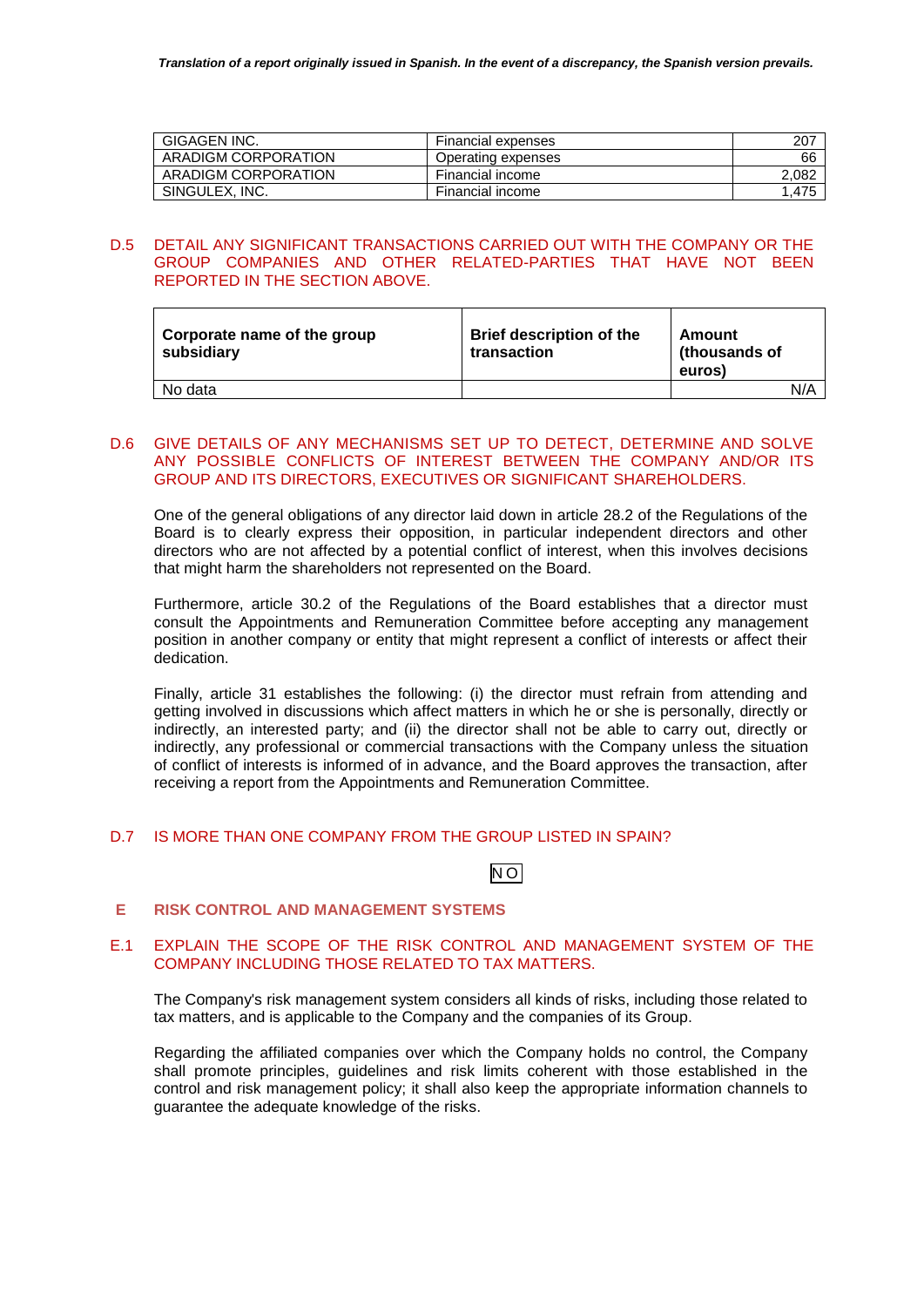| GIGAGEN INC.        | Financial expenses | 207   |
|---------------------|--------------------|-------|
| ARADIGM CORPORATION | Operating expenses | 66    |
| ARADIGM CORPORATION | Financial income   | 2,082 |
| SINGULEX. INC.      | Financial income   | 1,475 |

# D.5 DETAIL ANY SIGNIFICANT TRANSACTIONS CARRIED OUT WITH THE COMPANY OR THE GROUP COMPANIES AND OTHER RELATED-PARTIES THAT HAVE NOT BEEN REPORTED IN THE SECTION ABOVE.

| Corporate name of the group<br>subsidiary | <b>Brief description of the</b><br>transaction | Amount<br>(thousands of<br>euros) |     |
|-------------------------------------------|------------------------------------------------|-----------------------------------|-----|
| No data                                   |                                                |                                   | N/A |

# D.6 GIVE DETAILS OF ANY MECHANISMS SET UP TO DETECT, DETERMINE AND SOLVE ANY POSSIBLE CONFLICTS OF INTEREST BETWEEN THE COMPANY AND/OR ITS GROUP AND ITS DIRECTORS, EXECUTIVES OR SIGNIFICANT SHAREHOLDERS.

One of the general obligations of any director laid down in article 28.2 of the Regulations of the Board is to clearly express their opposition, in particular independent directors and other directors who are not affected by a potential conflict of interest, when this involves decisions that might harm the shareholders not represented on the Board.

Furthermore, article 30.2 of the Regulations of the Board establishes that a director must consult the Appointments and Remuneration Committee before accepting any management position in another company or entity that might represent a conflict of interests or affect their dedication.

Finally, article 31 establishes the following: (i) the director must refrain from attending and getting involved in discussions which affect matters in which he or she is personally, directly or indirectly, an interested party; and (ii) the director shall not be able to carry out, directly or indirectly, any professional or commercial transactions with the Company unless the situation of conflict of interests is informed of in advance, and the Board approves the transaction, after receiving a report from the Appointments and Remuneration Committee.

# D.7 IS MORE THAN ONE COMPANY FROM THE GROUP LISTED IN SPAIN?

# $\overline{N}$ O

# **E RISK CONTROL AND MANAGEMENT SYSTEMS**

# E.1 EXPLAIN THE SCOPE OF THE RISK CONTROL AND MANAGEMENT SYSTEM OF THE COMPANY INCLUDING THOSE RELATED TO TAX MATTERS.

The Company's risk management system considers all kinds of risks, including those related to tax matters, and is applicable to the Company and the companies of its Group.

Regarding the affiliated companies over which the Company holds no control, the Company shall promote principles, guidelines and risk limits coherent with those established in the control and risk management policy; it shall also keep the appropriate information channels to guarantee the adequate knowledge of the risks.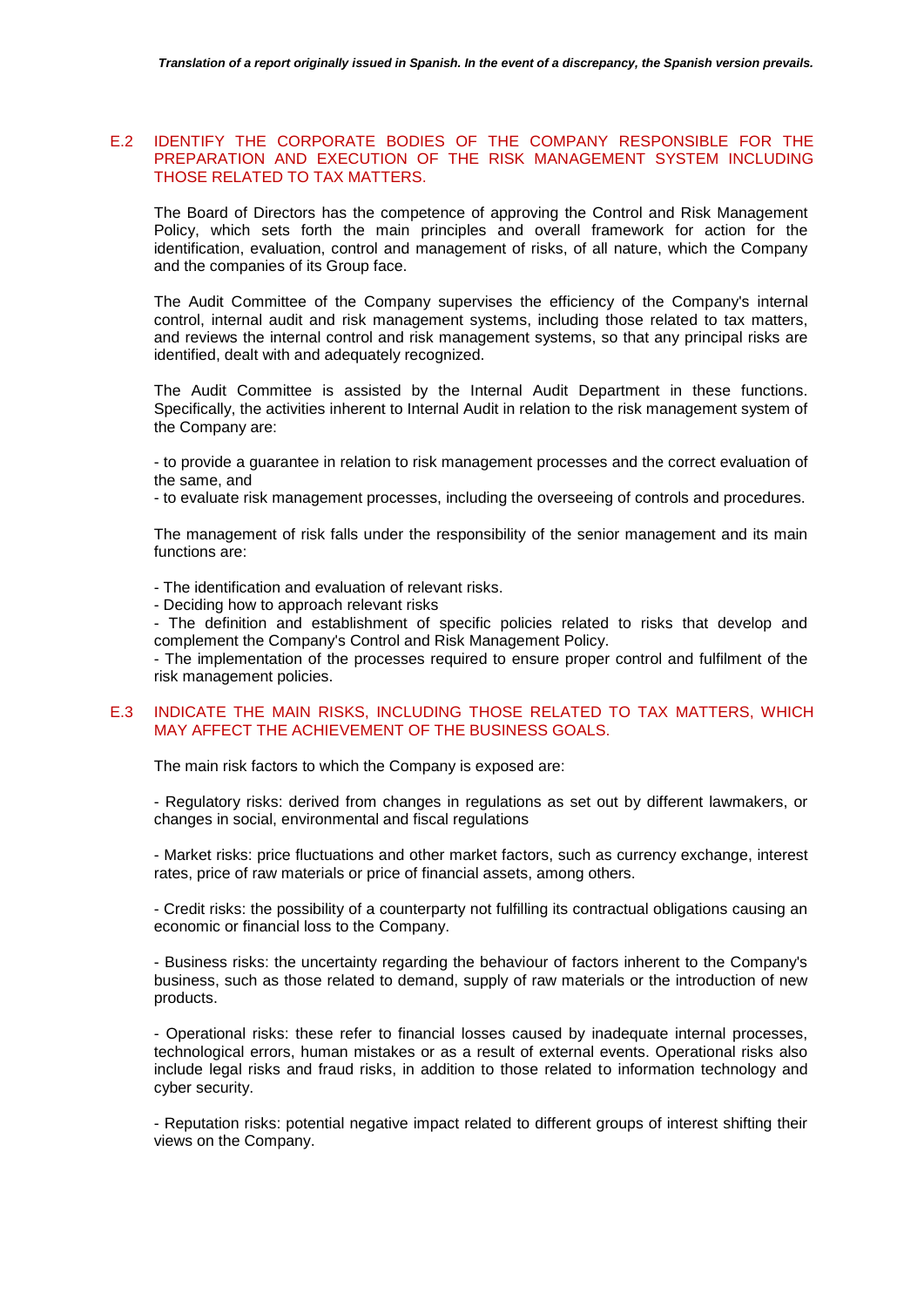# E.2 IDENTIFY THE CORPORATE BODIES OF THE COMPANY RESPONSIBLE FOR THE PREPARATION AND EXECUTION OF THE RISK MANAGEMENT SYSTEM INCLUDING THOSE RELATED TO TAX MATTERS.

The Board of Directors has the competence of approving the Control and Risk Management Policy, which sets forth the main principles and overall framework for action for the identification, evaluation, control and management of risks, of all nature, which the Company and the companies of its Group face.

The Audit Committee of the Company supervises the efficiency of the Company's internal control, internal audit and risk management systems, including those related to tax matters, and reviews the internal control and risk management systems, so that any principal risks are identified, dealt with and adequately recognized.

The Audit Committee is assisted by the Internal Audit Department in these functions. Specifically, the activities inherent to Internal Audit in relation to the risk management system of the Company are:

- to provide a guarantee in relation to risk management processes and the correct evaluation of the same, and

- to evaluate risk management processes, including the overseeing of controls and procedures.

The management of risk falls under the responsibility of the senior management and its main functions are:

- The identification and evaluation of relevant risks.

- Deciding how to approach relevant risks

- The definition and establishment of specific policies related to risks that develop and complement the Company's Control and Risk Management Policy.

- The implementation of the processes required to ensure proper control and fulfilment of the risk management policies.

## E.3 INDICATE THE MAIN RISKS, INCLUDING THOSE RELATED TO TAX MATTERS, WHICH MAY AFFECT THE ACHIEVEMENT OF THE BUSINESS GOALS.

The main risk factors to which the Company is exposed are:

- Regulatory risks: derived from changes in regulations as set out by different lawmakers, or changes in social, environmental and fiscal regulations

- Market risks: price fluctuations and other market factors, such as currency exchange, interest rates, price of raw materials or price of financial assets, among others.

- Credit risks: the possibility of a counterparty not fulfilling its contractual obligations causing an economic or financial loss to the Company.

- Business risks: the uncertainty regarding the behaviour of factors inherent to the Company's business, such as those related to demand, supply of raw materials or the introduction of new products.

- Operational risks: these refer to financial losses caused by inadequate internal processes, technological errors, human mistakes or as a result of external events. Operational risks also include legal risks and fraud risks, in addition to those related to information technology and cyber security.

- Reputation risks: potential negative impact related to different groups of interest shifting their views on the Company.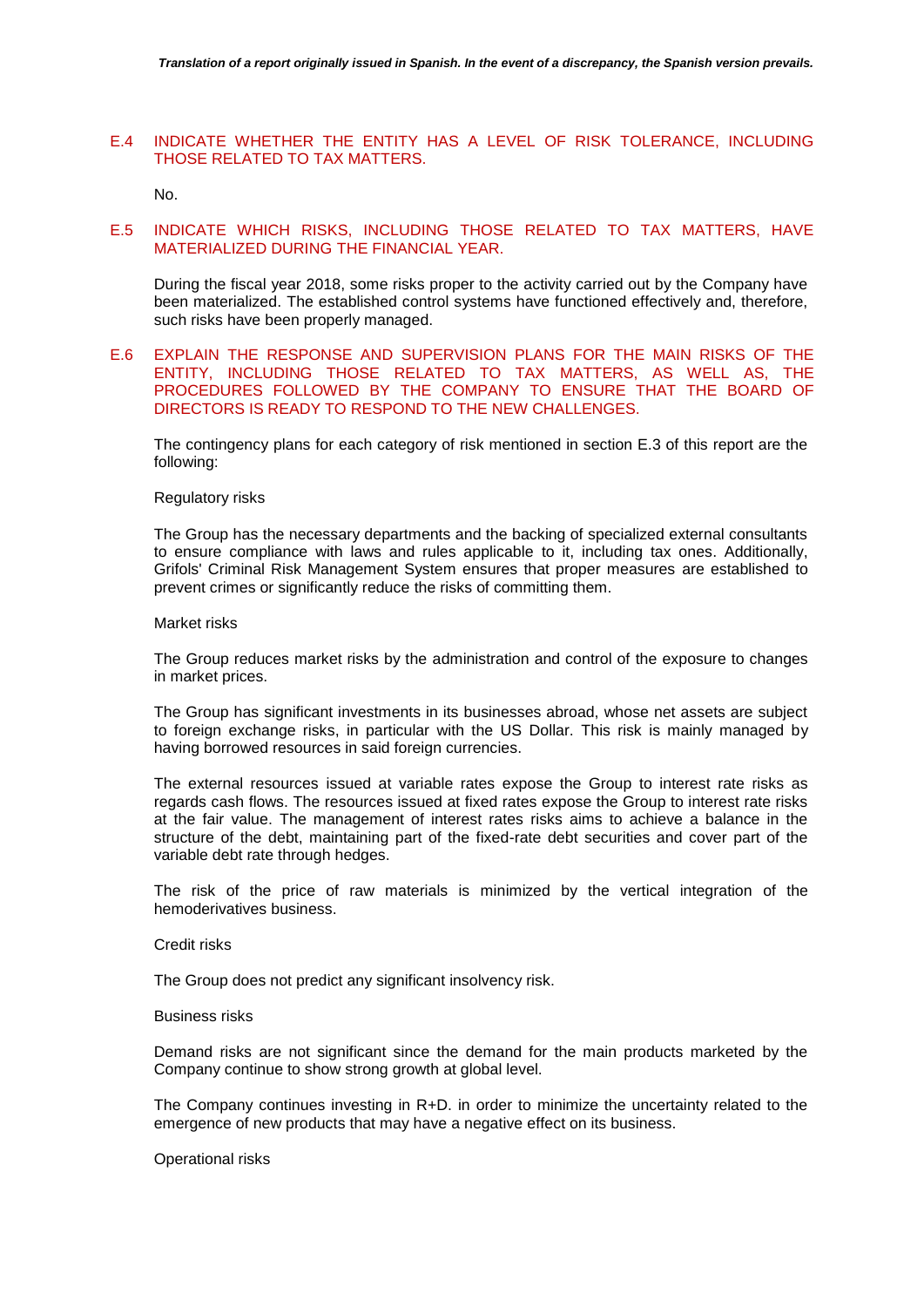# E.4 INDICATE WHETHER THE ENTITY HAS A LEVEL OF RISK TOLERANCE, INCLUDING THOSE RELATED TO TAX MATTERS.

No.

# E.5 INDICATE WHICH RISKS, INCLUDING THOSE RELATED TO TAX MATTERS, HAVE MATERIALIZED DURING THE FINANCIAL YEAR.

During the fiscal year 2018, some risks proper to the activity carried out by the Company have been materialized. The established control systems have functioned effectively and, therefore, such risks have been properly managed.

# E.6 EXPLAIN THE RESPONSE AND SUPERVISION PLANS FOR THE MAIN RISKS OF THE ENTITY, INCLUDING THOSE RELATED TO TAX MATTERS, AS WELL AS, THE PROCEDURES FOLLOWED BY THE COMPANY TO ENSURE THAT THE BOARD OF DIRECTORS IS READY TO RESPOND TO THE NEW CHALLENGES.

The contingency plans for each category of risk mentioned in section E.3 of this report are the following:

#### Regulatory risks

The Group has the necessary departments and the backing of specialized external consultants to ensure compliance with laws and rules applicable to it, including tax ones. Additionally, Grifols' Criminal Risk Management System ensures that proper measures are established to prevent crimes or significantly reduce the risks of committing them.

#### Market risks

The Group reduces market risks by the administration and control of the exposure to changes in market prices.

The Group has significant investments in its businesses abroad, whose net assets are subject to foreign exchange risks, in particular with the US Dollar. This risk is mainly managed by having borrowed resources in said foreign currencies.

The external resources issued at variable rates expose the Group to interest rate risks as regards cash flows. The resources issued at fixed rates expose the Group to interest rate risks at the fair value. The management of interest rates risks aims to achieve a balance in the structure of the debt, maintaining part of the fixed-rate debt securities and cover part of the variable debt rate through hedges.

The risk of the price of raw materials is minimized by the vertical integration of the hemoderivatives business.

#### Credit risks

The Group does not predict any significant insolvency risk.

## Business risks

Demand risks are not significant since the demand for the main products marketed by the Company continue to show strong growth at global level.

The Company continues investing in R+D. in order to minimize the uncertainty related to the emergence of new products that may have a negative effect on its business.

Operational risks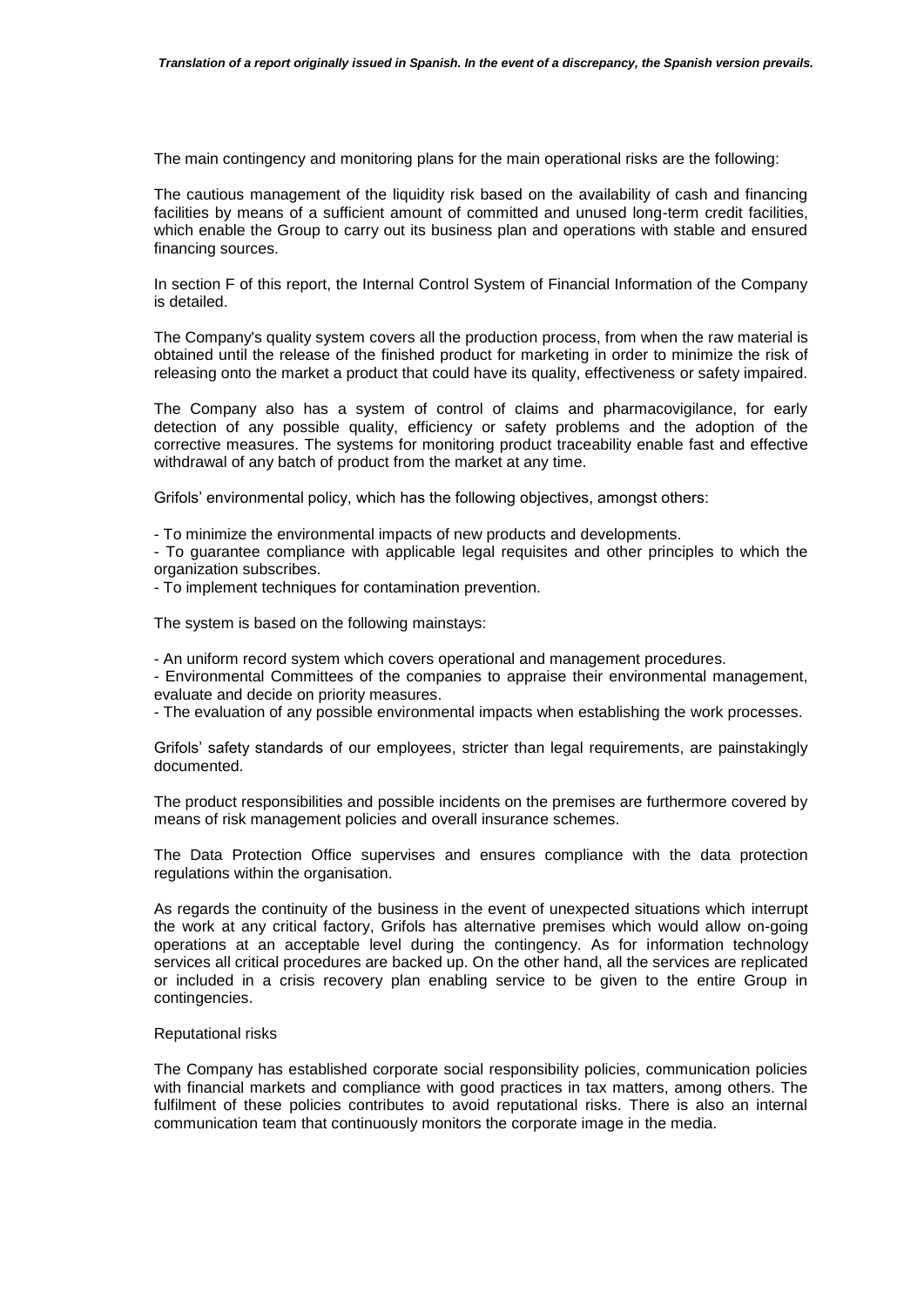The main contingency and monitoring plans for the main operational risks are the following:

The cautious management of the liquidity risk based on the availability of cash and financing facilities by means of a sufficient amount of committed and unused long-term credit facilities, which enable the Group to carry out its business plan and operations with stable and ensured financing sources.

In section F of this report, the Internal Control System of Financial Information of the Company is detailed.

The Company's quality system covers all the production process, from when the raw material is obtained until the release of the finished product for marketing in order to minimize the risk of releasing onto the market a product that could have its quality, effectiveness or safety impaired.

The Company also has a system of control of claims and pharmacovigilance, for early detection of any possible quality, efficiency or safety problems and the adoption of the corrective measures. The systems for monitoring product traceability enable fast and effective withdrawal of any batch of product from the market at any time.

Grifols' environmental policy, which has the following objectives, amongst others:

- To minimize the environmental impacts of new products and developments.

- To guarantee compliance with applicable legal requisites and other principles to which the organization subscribes.

- To implement techniques for contamination prevention.

The system is based on the following mainstays:

- An uniform record system which covers operational and management procedures.

- Environmental Committees of the companies to appraise their environmental management, evaluate and decide on priority measures.

- The evaluation of any possible environmental impacts when establishing the work processes.

Grifols' safety standards of our employees, stricter than legal requirements, are painstakingly documented.

The product responsibilities and possible incidents on the premises are furthermore covered by means of risk management policies and overall insurance schemes.

The Data Protection Office supervises and ensures compliance with the data protection regulations within the organisation.

As regards the continuity of the business in the event of unexpected situations which interrupt the work at any critical factory, Grifols has alternative premises which would allow on-going operations at an acceptable level during the contingency. As for information technology services all critical procedures are backed up. On the other hand, all the services are replicated or included in a crisis recovery plan enabling service to be given to the entire Group in contingencies.

### Reputational risks

The Company has established corporate social responsibility policies, communication policies with financial markets and compliance with good practices in tax matters, among others. The fulfilment of these policies contributes to avoid reputational risks. There is also an internal communication team that continuously monitors the corporate image in the media.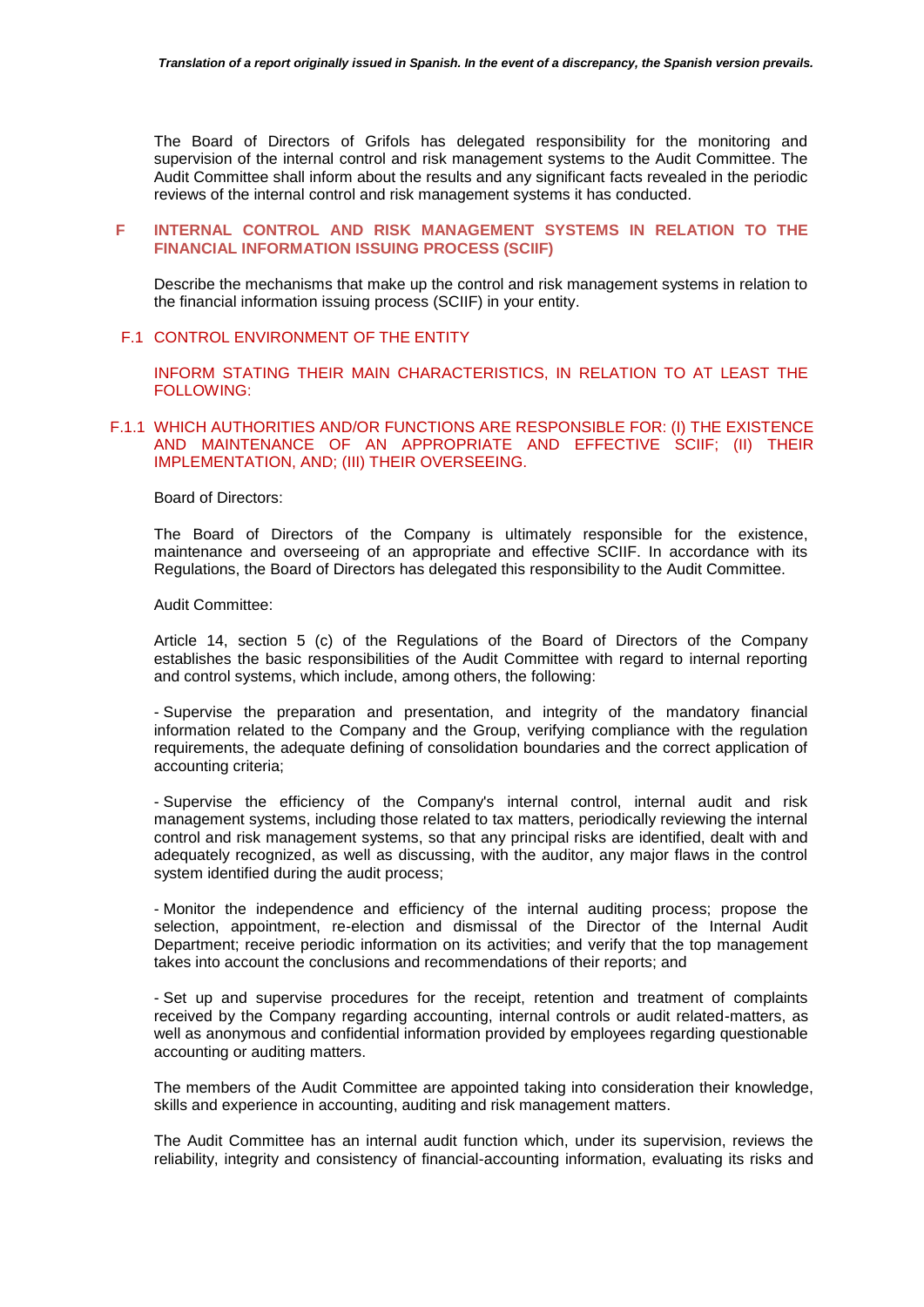The Board of Directors of Grifols has delegated responsibility for the monitoring and supervision of the internal control and risk management systems to the Audit Committee. The Audit Committee shall inform about the results and any significant facts revealed in the periodic reviews of the internal control and risk management systems it has conducted.

## **F INTERNAL CONTROL AND RISK MANAGEMENT SYSTEMS IN RELATION TO THE FINANCIAL INFORMATION ISSUING PROCESS (SCIIF)**

Describe the mechanisms that make up the control and risk management systems in relation to the financial information issuing process (SCIIF) in your entity.

### F.1 CONTROL ENVIRONMENT OF THE ENTITY

INFORM STATING THEIR MAIN CHARACTERISTICS, IN RELATION TO AT LEAST THE FOLLOWING:

# F.1.1 WHICH AUTHORITIES AND/OR FUNCTIONS ARE RESPONSIBLE FOR: (I) THE EXISTENCE AND MAINTENANCE OF AN APPROPRIATE AND EFFECTIVE SCIIF; (II) THEIR IMPLEMENTATION, AND; (III) THEIR OVERSEEING.

#### Board of Directors:

The Board of Directors of the Company is ultimately responsible for the existence, maintenance and overseeing of an appropriate and effective SCIIF. In accordance with its Regulations, the Board of Directors has delegated this responsibility to the Audit Committee.

#### Audit Committee:

Article 14, section 5 (c) of the Regulations of the Board of Directors of the Company establishes the basic responsibilities of the Audit Committee with regard to internal reporting and control systems, which include, among others, the following:

- Supervise the preparation and presentation, and integrity of the mandatory financial information related to the Company and the Group, verifying compliance with the regulation requirements, the adequate defining of consolidation boundaries and the correct application of accounting criteria;

- Supervise the efficiency of the Company's internal control, internal audit and risk management systems, including those related to tax matters, periodically reviewing the internal control and risk management systems, so that any principal risks are identified, dealt with and adequately recognized, as well as discussing, with the auditor, any major flaws in the control system identified during the audit process;

- Monitor the independence and efficiency of the internal auditing process; propose the selection, appointment, re-election and dismissal of the Director of the Internal Audit Department; receive periodic information on its activities; and verify that the top management takes into account the conclusions and recommendations of their reports; and

- Set up and supervise procedures for the receipt, retention and treatment of complaints received by the Company regarding accounting, internal controls or audit related-matters, as well as anonymous and confidential information provided by employees regarding questionable accounting or auditing matters.

The members of the Audit Committee are appointed taking into consideration their knowledge, skills and experience in accounting, auditing and risk management matters.

The Audit Committee has an internal audit function which, under its supervision, reviews the reliability, integrity and consistency of financial-accounting information, evaluating its risks and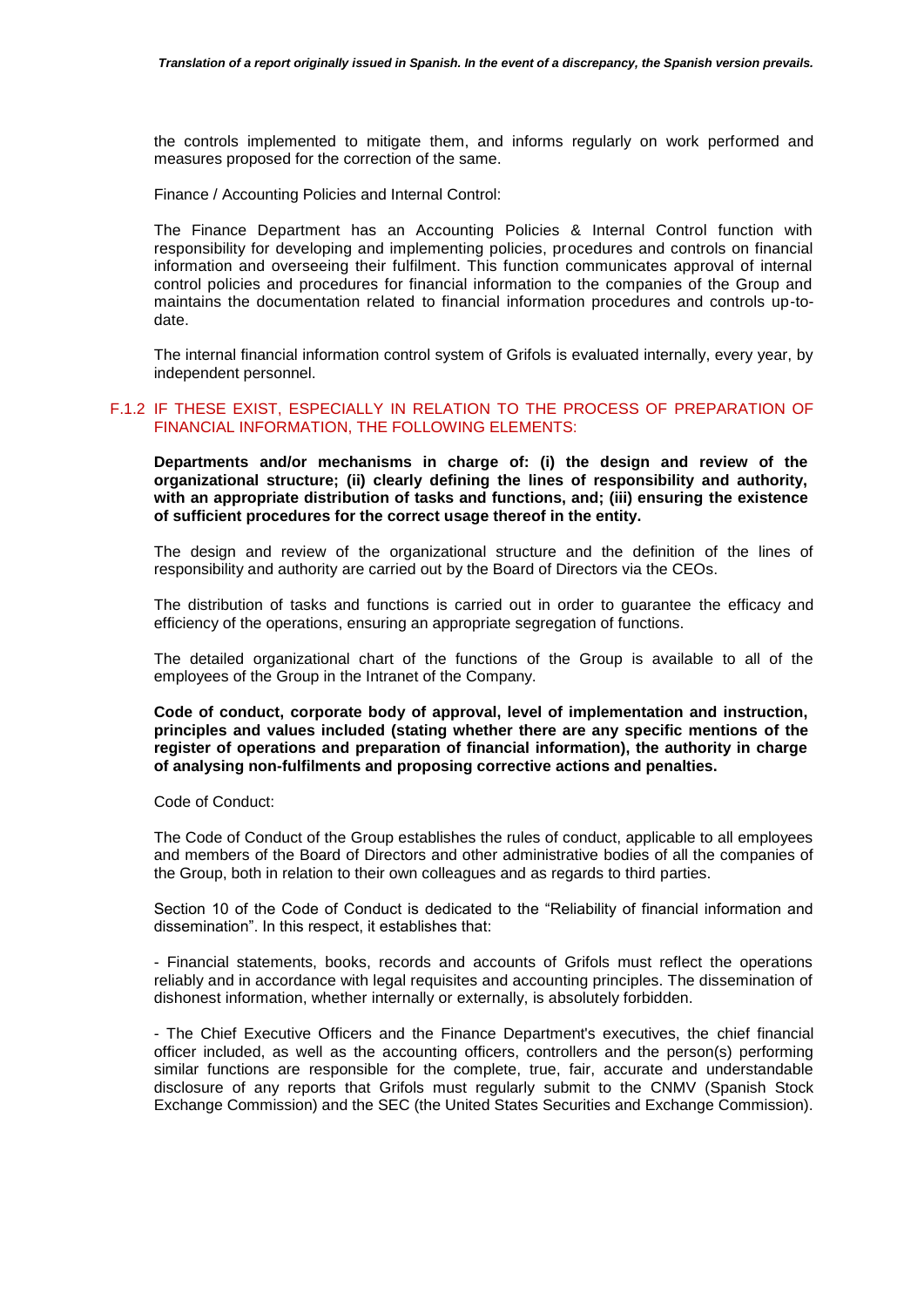the controls implemented to mitigate them, and informs regularly on work performed and measures proposed for the correction of the same.

Finance / Accounting Policies and Internal Control:

The Finance Department has an Accounting Policies & Internal Control function with responsibility for developing and implementing policies, procedures and controls on financial information and overseeing their fulfilment. This function communicates approval of internal control policies and procedures for financial information to the companies of the Group and maintains the documentation related to financial information procedures and controls up-todate.

The internal financial information control system of Grifols is evaluated internally, every year, by independent personnel.

# F.1.2 IF THESE EXIST, ESPECIALLY IN RELATION TO THE PROCESS OF PREPARATION OF FINANCIAL INFORMATION, THE FOLLOWING ELEMENTS:

**Departments and/or mechanisms in charge of: (i) the design and review of the organizational structure; (ii) clearly defining the lines of responsibility and authority, with an appropriate distribution of tasks and functions, and; (iii) ensuring the existence of sufficient procedures for the correct usage thereof in the entity.**

The design and review of the organizational structure and the definition of the lines of responsibility and authority are carried out by the Board of Directors via the CEOs.

The distribution of tasks and functions is carried out in order to guarantee the efficacy and efficiency of the operations, ensuring an appropriate segregation of functions.

The detailed organizational chart of the functions of the Group is available to all of the employees of the Group in the Intranet of the Company.

**Code of conduct, corporate body of approval, level of implementation and instruction, principles and values included (stating whether there are any specific mentions of the register of operations and preparation of financial information), the authority in charge of analysing non-fulfilments and proposing corrective actions and penalties.**

Code of Conduct:

The Code of Conduct of the Group establishes the rules of conduct, applicable to all employees and members of the Board of Directors and other administrative bodies of all the companies of the Group, both in relation to their own colleagues and as regards to third parties.

Section 10 of the Code of Conduct is dedicated to the "Reliability of financial information and dissemination". In this respect, it establishes that:

- Financial statements, books, records and accounts of Grifols must reflect the operations reliably and in accordance with legal requisites and accounting principles. The dissemination of dishonest information, whether internally or externally, is absolutely forbidden.

- The Chief Executive Officers and the Finance Department's executives, the chief financial officer included, as well as the accounting officers, controllers and the person(s) performing similar functions are responsible for the complete, true, fair, accurate and understandable disclosure of any reports that Grifols must regularly submit to the CNMV (Spanish Stock Exchange Commission) and the SEC (the United States Securities and Exchange Commission).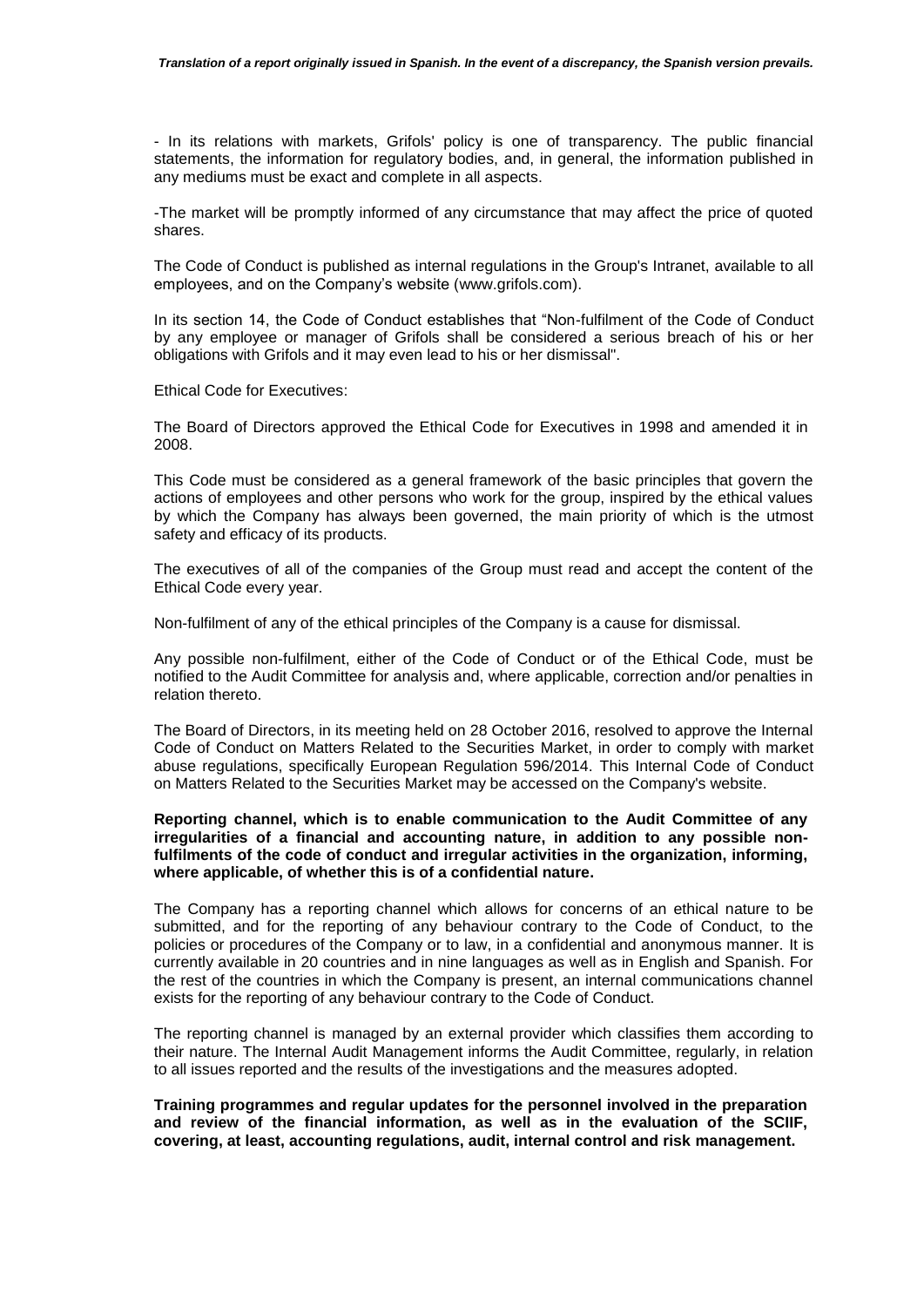- In its relations with markets, Grifols' policy is one of transparency. The public financial statements, the information for regulatory bodies, and, in general, the information published in any mediums must be exact and complete in all aspects.

-The market will be promptly informed of any circumstance that may affect the price of quoted shares.

The Code of Conduct is published as internal regulations in the Group's Intranet, available to all employees, and on the Company's website [\(www.grifols.com\)](http://www.grifols.com/).

In its section 14, the Code of Conduct establishes that "Non-fulfilment of the Code of Conduct by any employee or manager of Grifols shall be considered a serious breach of his or her obligations with Grifols and it may even lead to his or her dismissal".

Ethical Code for Executives:

The Board of Directors approved the Ethical Code for Executives in 1998 and amended it in 2008.

This Code must be considered as a general framework of the basic principles that govern the actions of employees and other persons who work for the group, inspired by the ethical values by which the Company has always been governed, the main priority of which is the utmost safety and efficacy of its products.

The executives of all of the companies of the Group must read and accept the content of the Ethical Code every year.

Non-fulfilment of any of the ethical principles of the Company is a cause for dismissal.

Any possible non-fulfilment, either of the Code of Conduct or of the Ethical Code, must be notified to the Audit Committee for analysis and, where applicable, correction and/or penalties in relation thereto.

The Board of Directors, in its meeting held on 28 October 2016, resolved to approve the Internal Code of Conduct on Matters Related to the Securities Market, in order to comply with market abuse regulations, specifically European Regulation 596/2014. This Internal Code of Conduct on Matters Related to the Securities Market may be accessed on the Company's website.

# **Reporting channel, which is to enable communication to the Audit Committee of any irregularities of a financial and accounting nature, in addition to any possible nonfulfilments of the code of conduct and irregular activities in the organization, informing, where applicable, of whether this is of a confidential nature.**

The Company has a reporting channel which allows for concerns of an ethical nature to be submitted, and for the reporting of any behaviour contrary to the Code of Conduct, to the policies or procedures of the Company or to law, in a confidential and anonymous manner. It is currently available in 20 countries and in nine languages as well as in English and Spanish. For the rest of the countries in which the Company is present, an internal communications channel exists for the reporting of any behaviour contrary to the Code of Conduct.

The reporting channel is managed by an external provider which classifies them according to their nature. The Internal Audit Management informs the Audit Committee, regularly, in relation to all issues reported and the results of the investigations and the measures adopted.

**Training programmes and regular updates for the personnel involved in the preparation and review of the financial information, as well as in the evaluation of the SCIIF, covering, at least, accounting regulations, audit, internal control and risk management.**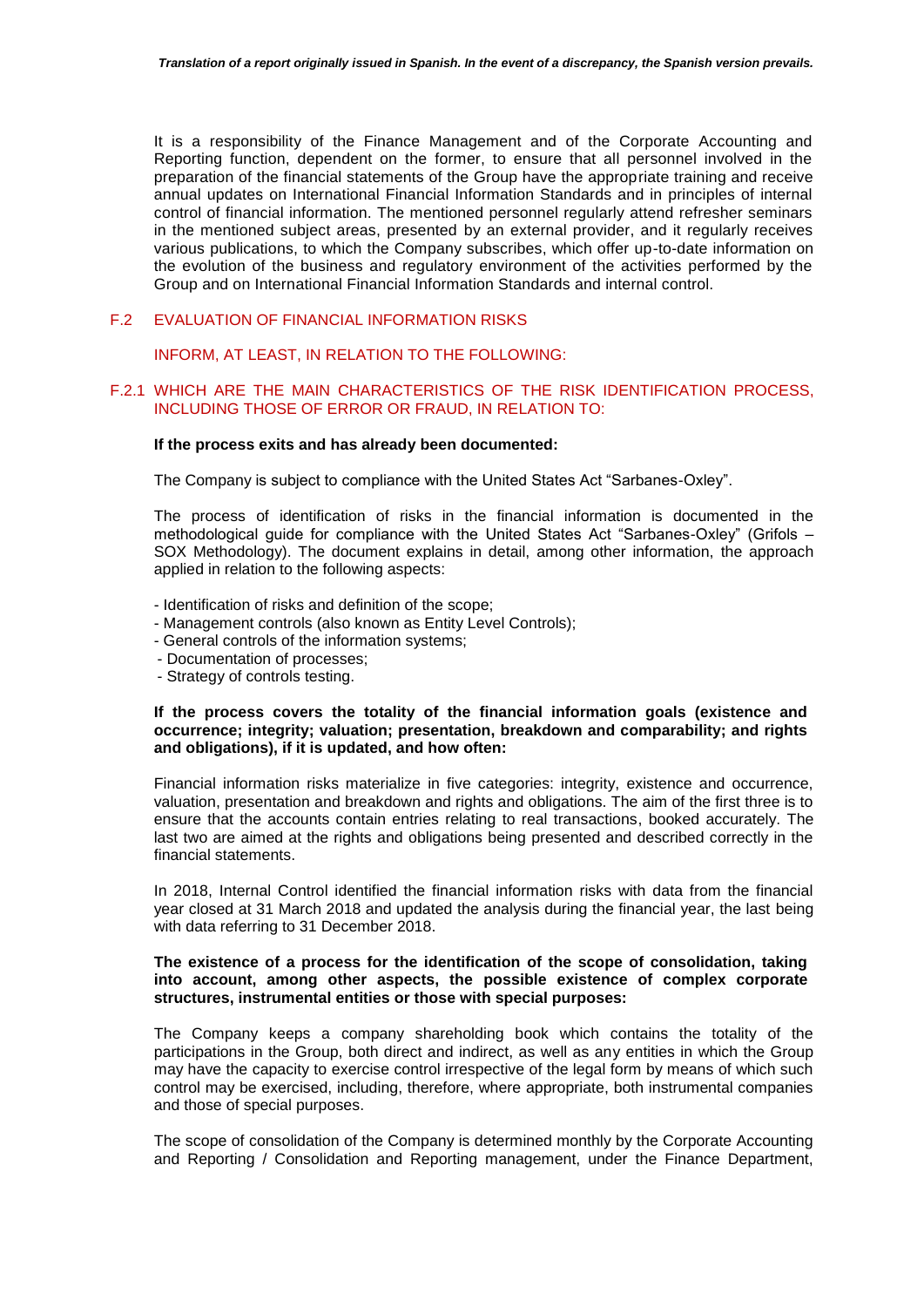It is a responsibility of the Finance Management and of the Corporate Accounting and Reporting function, dependent on the former, to ensure that all personnel involved in the preparation of the financial statements of the Group have the appropriate training and receive annual updates on International Financial Information Standards and in principles of internal control of financial information. The mentioned personnel regularly attend refresher seminars in the mentioned subject areas, presented by an external provider, and it regularly receives various publications, to which the Company subscribes, which offer up-to-date information on the evolution of the business and regulatory environment of the activities performed by the Group and on International Financial Information Standards and internal control.

# F.2 EVALUATION OF FINANCIAL INFORMATION RISKS

INFORM, AT LEAST, IN RELATION TO THE FOLLOWING:

#### F.2.1 WHICH ARE THE MAIN CHARACTERISTICS OF THE RISK IDENTIFICATION PROCESS, INCLUDING THOSE OF ERROR OR FRAUD, IN RELATION TO:

#### **If the process exits and has already been documented:**

The Company is subject to compliance with the United States Act "Sarbanes-Oxley".

The process of identification of risks in the financial information is documented in the methodological guide for compliance with the United States Act "Sarbanes-Oxley" (Grifols – SOX Methodology). The document explains in detail, among other information, the approach applied in relation to the following aspects:

- Identification of risks and definition of the scope;
- Management controls (also known as Entity Level Controls);
- General controls of the information systems;
- Documentation of processes;
- Strategy of controls testing.

### **If the process covers the totality of the financial information goals (existence and occurrence; integrity; valuation; presentation, breakdown and comparability; and rights and obligations), if it is updated, and how often:**

Financial information risks materialize in five categories: integrity, existence and occurrence, valuation, presentation and breakdown and rights and obligations. The aim of the first three is to ensure that the accounts contain entries relating to real transactions, booked accurately. The last two are aimed at the rights and obligations being presented and described correctly in the financial statements.

In 2018, Internal Control identified the financial information risks with data from the financial year closed at 31 March 2018 and updated the analysis during the financial year, the last being with data referring to 31 December 2018.

### **The existence of a process for the identification of the scope of consolidation, taking into account, among other aspects, the possible existence of complex corporate structures, instrumental entities or those with special purposes:**

The Company keeps a company shareholding book which contains the totality of the participations in the Group, both direct and indirect, as well as any entities in which the Group may have the capacity to exercise control irrespective of the legal form by means of which such control may be exercised, including, therefore, where appropriate, both instrumental companies and those of special purposes.

The scope of consolidation of the Company is determined monthly by the Corporate Accounting and Reporting / Consolidation and Reporting management, under the Finance Department,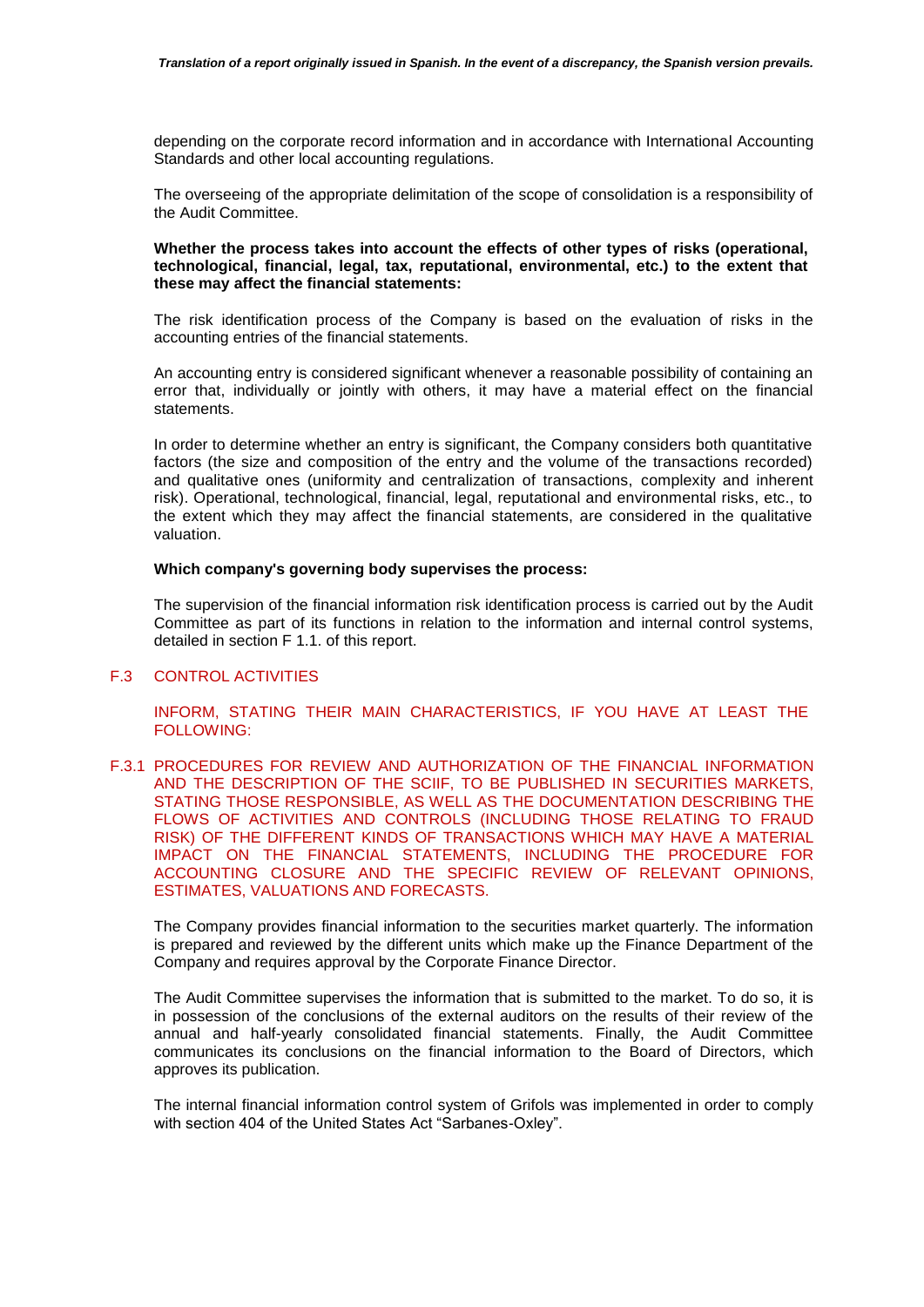depending on the corporate record information and in accordance with International Accounting Standards and other local accounting regulations.

The overseeing of the appropriate delimitation of the scope of consolidation is a responsibility of the Audit Committee.

## **Whether the process takes into account the effects of other types of risks (operational, technological, financial, legal, tax, reputational, environmental, etc.) to the extent that these may affect the financial statements:**

The risk identification process of the Company is based on the evaluation of risks in the accounting entries of the financial statements.

An accounting entry is considered significant whenever a reasonable possibility of containing an error that, individually or jointly with others, it may have a material effect on the financial statements.

In order to determine whether an entry is significant, the Company considers both quantitative factors (the size and composition of the entry and the volume of the transactions recorded) and qualitative ones (uniformity and centralization of transactions, complexity and inherent risk). Operational, technological, financial, legal, reputational and environmental risks, etc., to the extent which they may affect the financial statements, are considered in the qualitative valuation.

#### **Which company's governing body supervises the process:**

The supervision of the financial information risk identification process is carried out by the Audit Committee as part of its functions in relation to the information and internal control systems, detailed in section F 1.1. of this report.

# F.3 CONTROL ACTIVITIES

INFORM, STATING THEIR MAIN CHARACTERISTICS, IF YOU HAVE AT LEAST THE FOLLOWING:

F.3.1 PROCEDURES FOR REVIEW AND AUTHORIZATION OF THE FINANCIAL INFORMATION AND THE DESCRIPTION OF THE SCIIF, TO BE PUBLISHED IN SECURITIES MARKETS, STATING THOSE RESPONSIBLE, AS WELL AS THE DOCUMENTATION DESCRIBING THE FLOWS OF ACTIVITIES AND CONTROLS (INCLUDING THOSE RELATING TO FRAUD RISK) OF THE DIFFERENT KINDS OF TRANSACTIONS WHICH MAY HAVE A MATERIAL IMPACT ON THE FINANCIAL STATEMENTS, INCLUDING THE PROCEDURE FOR ACCOUNTING CLOSURE AND THE SPECIFIC REVIEW OF RELEVANT OPINIONS, ESTIMATES, VALUATIONS AND FORECASTS.

The Company provides financial information to the securities market quarterly. The information is prepared and reviewed by the different units which make up the Finance Department of the Company and requires approval by the Corporate Finance Director.

The Audit Committee supervises the information that is submitted to the market. To do so, it is in possession of the conclusions of the external auditors on the results of their review of the annual and half-yearly consolidated financial statements. Finally, the Audit Committee communicates its conclusions on the financial information to the Board of Directors, which approves its publication.

The internal financial information control system of Grifols was implemented in order to comply with section 404 of the United States Act "Sarbanes-Oxley".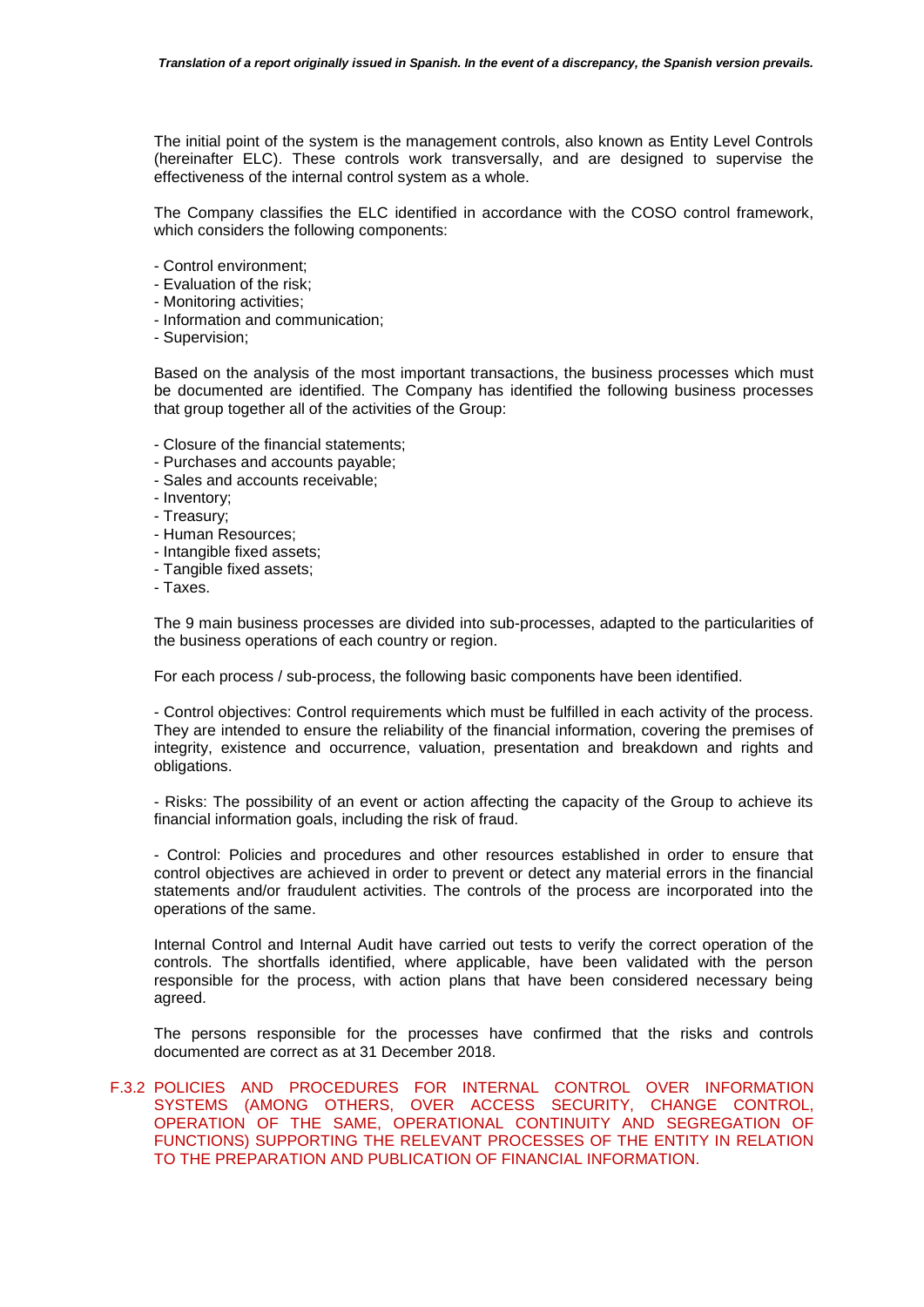The initial point of the system is the management controls, also known as Entity Level Controls (hereinafter ELC). These controls work transversally, and are designed to supervise the effectiveness of the internal control system as a whole.

The Company classifies the ELC identified in accordance with the COSO control framework, which considers the following components:

- Control environment;
- Evaluation of the risk;
- Monitoring activities;
- Information and communication;
- Supervision;

Based on the analysis of the most important transactions, the business processes which must be documented are identified. The Company has identified the following business processes that group together all of the activities of the Group:

- Closure of the financial statements;
- Purchases and accounts payable;
- Sales and accounts receivable;
- Inventory;
- Treasury;
- Human Resources;
- Intangible fixed assets;
- Tangible fixed assets;
- Taxes.

The 9 main business processes are divided into sub-processes, adapted to the particularities of the business operations of each country or region.

For each process / sub-process, the following basic components have been identified.

- Control objectives: Control requirements which must be fulfilled in each activity of the process. They are intended to ensure the reliability of the financial information, covering the premises of integrity, existence and occurrence, valuation, presentation and breakdown and rights and obligations.

- Risks: The possibility of an event or action affecting the capacity of the Group to achieve its financial information goals, including the risk of fraud.

- Control: Policies and procedures and other resources established in order to ensure that control objectives are achieved in order to prevent or detect any material errors in the financial statements and/or fraudulent activities. The controls of the process are incorporated into the operations of the same.

Internal Control and Internal Audit have carried out tests to verify the correct operation of the controls. The shortfalls identified, where applicable, have been validated with the person responsible for the process, with action plans that have been considered necessary being agreed.

The persons responsible for the processes have confirmed that the risks and controls documented are correct as at 31 December 2018.

# F.3.2 POLICIES AND PROCEDURES FOR INTERNAL CONTROL OVER INFORMATION SYSTEMS (AMONG OTHERS, OVER ACCESS SECURITY, CHANGE CONTROL, OPERATION OF THE SAME, OPERATIONAL CONTINUITY AND SEGREGATION OF FUNCTIONS) SUPPORTING THE RELEVANT PROCESSES OF THE ENTITY IN RELATION TO THE PREPARATION AND PUBLICATION OF FINANCIAL INFORMATION.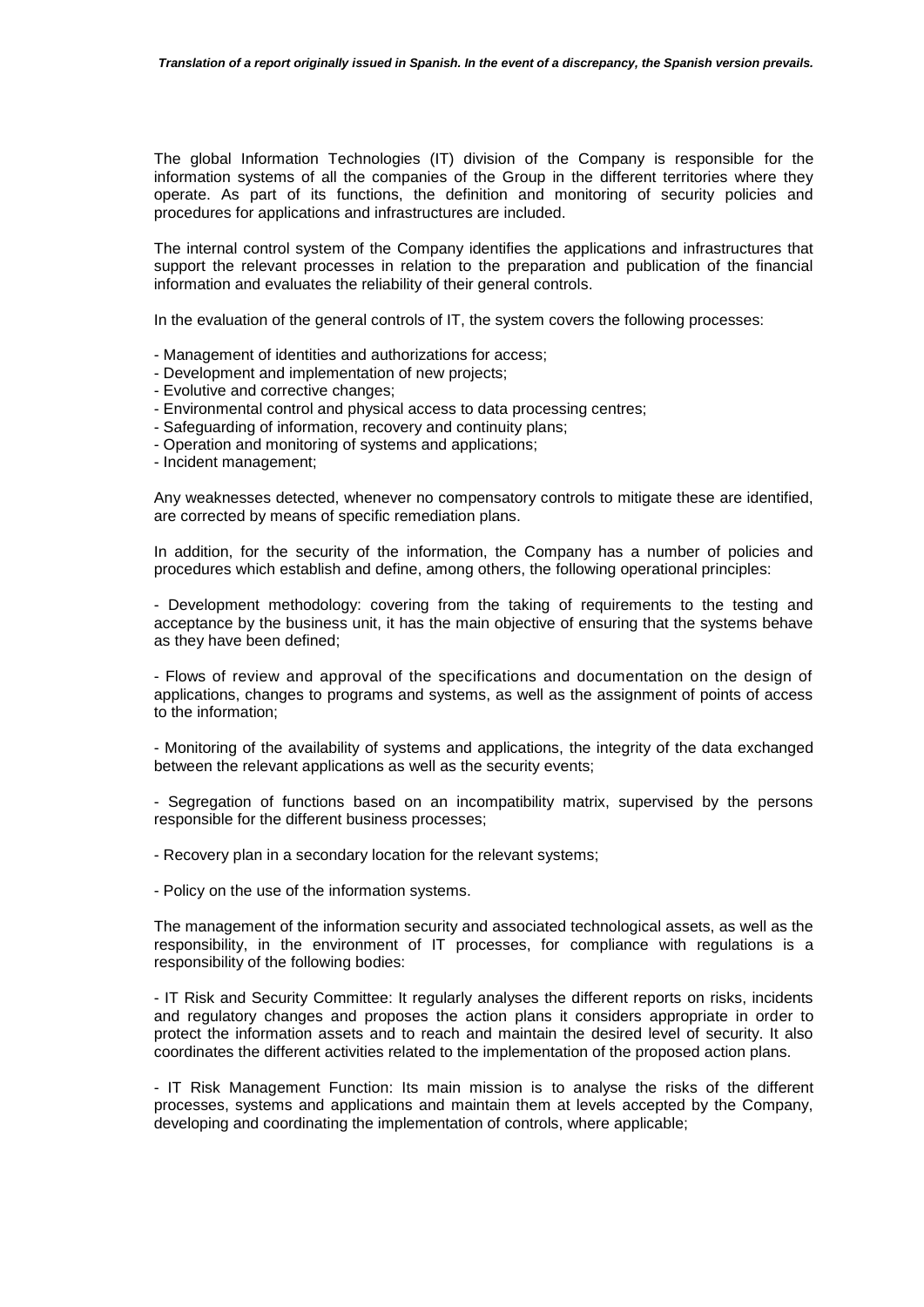The global Information Technologies (IT) division of the Company is responsible for the information systems of all the companies of the Group in the different territories where they operate. As part of its functions, the definition and monitoring of security policies and procedures for applications and infrastructures are included.

The internal control system of the Company identifies the applications and infrastructures that support the relevant processes in relation to the preparation and publication of the financial information and evaluates the reliability of their general controls.

In the evaluation of the general controls of IT, the system covers the following processes:

- Management of identities and authorizations for access;
- Development and implementation of new projects;
- Evolutive and corrective changes;
- Environmental control and physical access to data processing centres;
- Safeguarding of information, recovery and continuity plans;
- Operation and monitoring of systems and applications;
- Incident management;

Any weaknesses detected, whenever no compensatory controls to mitigate these are identified, are corrected by means of specific remediation plans.

In addition, for the security of the information, the Company has a number of policies and procedures which establish and define, among others, the following operational principles:

- Development methodology: covering from the taking of requirements to the testing and acceptance by the business unit, it has the main objective of ensuring that the systems behave as they have been defined;

- Flows of review and approval of the specifications and documentation on the design of applications, changes to programs and systems, as well as the assignment of points of access to the information;

- Monitoring of the availability of systems and applications, the integrity of the data exchanged between the relevant applications as well as the security events;

- Segregation of functions based on an incompatibility matrix, supervised by the persons responsible for the different business processes;

- Recovery plan in a secondary location for the relevant systems;

- Policy on the use of the information systems.

The management of the information security and associated technological assets, as well as the responsibility, in the environment of IT processes, for compliance with regulations is a responsibility of the following bodies:

- IT Risk and Security Committee: It regularly analyses the different reports on risks, incidents and regulatory changes and proposes the action plans it considers appropriate in order to protect the information assets and to reach and maintain the desired level of security. It also coordinates the different activities related to the implementation of the proposed action plans.

- IT Risk Management Function: Its main mission is to analyse the risks of the different processes, systems and applications and maintain them at levels accepted by the Company, developing and coordinating the implementation of controls, where applicable;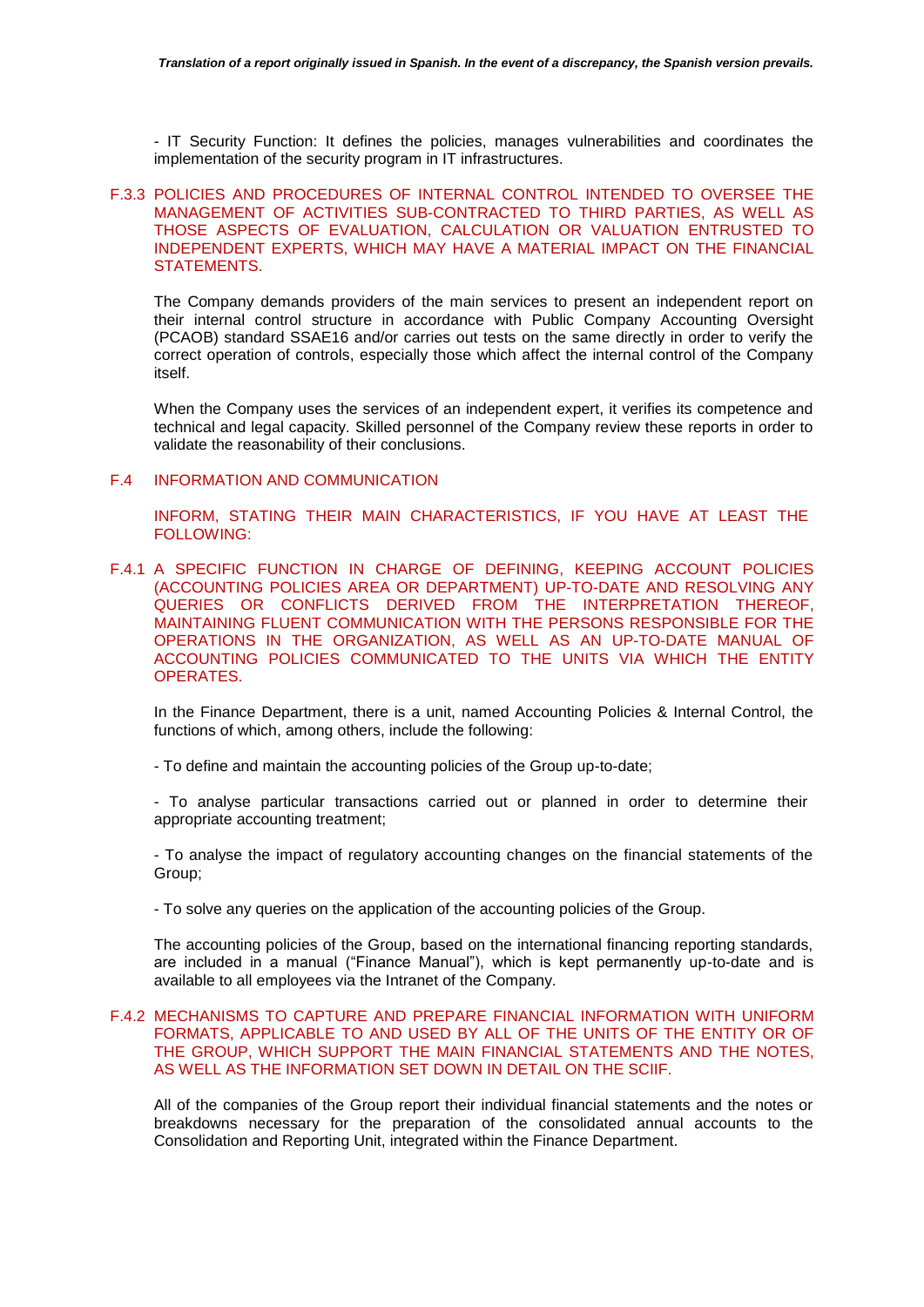- IT Security Function: It defines the policies, manages vulnerabilities and coordinates the implementation of the security program in IT infrastructures.

# F.3.3 POLICIES AND PROCEDURES OF INTERNAL CONTROL INTENDED TO OVERSEE THE MANAGEMENT OF ACTIVITIES SUB-CONTRACTED TO THIRD PARTIES, AS WELL AS THOSE ASPECTS OF EVALUATION, CALCULATION OR VALUATION ENTRUSTED TO INDEPENDENT EXPERTS, WHICH MAY HAVE A MATERIAL IMPACT ON THE FINANCIAL STATEMENTS.

The Company demands providers of the main services to present an independent report on their internal control structure in accordance with Public Company Accounting Oversight (PCAOB) standard SSAE16 and/or carries out tests on the same directly in order to verify the correct operation of controls, especially those which affect the internal control of the Company itself.

When the Company uses the services of an independent expert, it verifies its competence and technical and legal capacity. Skilled personnel of the Company review these reports in order to validate the reasonability of their conclusions.

#### F.4 INFORMATION AND COMMUNICATION

INFORM, STATING THEIR MAIN CHARACTERISTICS, IF YOU HAVE AT LEAST THE FOLLOWING:

F.4.1 A SPECIFIC FUNCTION IN CHARGE OF DEFINING, KEEPING ACCOUNT POLICIES (ACCOUNTING POLICIES AREA OR DEPARTMENT) UP-TO-DATE AND RESOLVING ANY QUERIES OR CONFLICTS DERIVED FROM THE INTERPRETATION THEREOF, MAINTAINING FLUENT COMMUNICATION WITH THE PERSONS RESPONSIBLE FOR THE OPERATIONS IN THE ORGANIZATION, AS WELL AS AN UP-TO-DATE MANUAL OF ACCOUNTING POLICIES COMMUNICATED TO THE UNITS VIA WHICH THE ENTITY OPERATES.

In the Finance Department, there is a unit, named Accounting Policies & Internal Control, the functions of which, among others, include the following:

- To define and maintain the accounting policies of the Group up-to-date;

- To analyse particular transactions carried out or planned in order to determine their appropriate accounting treatment;

- To analyse the impact of regulatory accounting changes on the financial statements of the Group;

- To solve any queries on the application of the accounting policies of the Group.

The accounting policies of the Group, based on the international financing reporting standards, are included in a manual ("Finance Manual"), which is kept permanently up-to-date and is available to all employees via the Intranet of the Company.

# F.4.2 MECHANISMS TO CAPTURE AND PREPARE FINANCIAL INFORMATION WITH UNIFORM FORMATS, APPLICABLE TO AND USED BY ALL OF THE UNITS OF THE ENTITY OR OF THE GROUP, WHICH SUPPORT THE MAIN FINANCIAL STATEMENTS AND THE NOTES, AS WELL AS THE INFORMATION SET DOWN IN DETAIL ON THE SCIIF.

All of the companies of the Group report their individual financial statements and the notes or breakdowns necessary for the preparation of the consolidated annual accounts to the Consolidation and Reporting Unit, integrated within the Finance Department.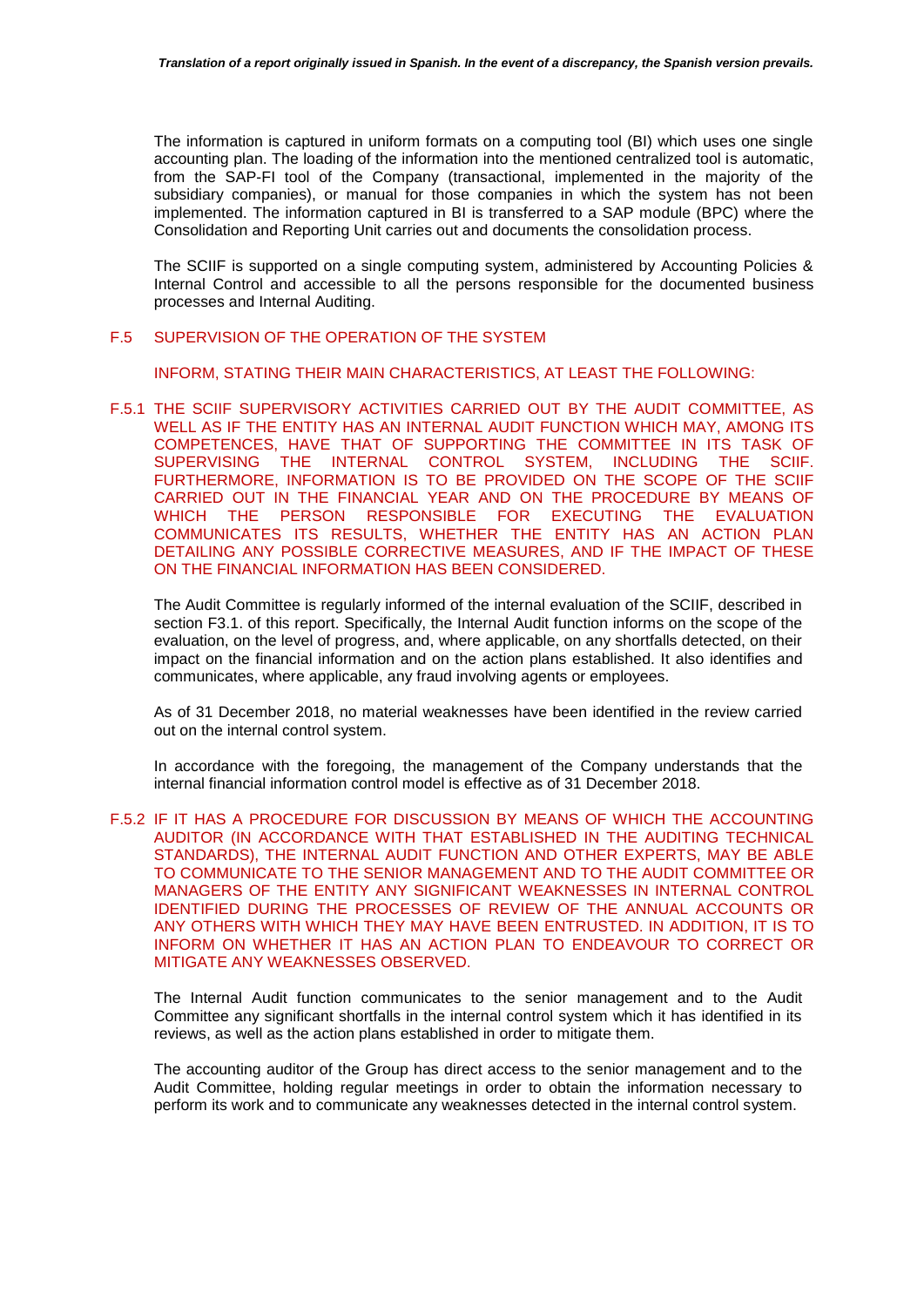The information is captured in uniform formats on a computing tool (BI) which uses one single accounting plan. The loading of the information into the mentioned centralized tool is automatic, from the SAP-FI tool of the Company (transactional, implemented in the majority of the subsidiary companies), or manual for those companies in which the system has not been implemented. The information captured in BI is transferred to a SAP module (BPC) where the Consolidation and Reporting Unit carries out and documents the consolidation process.

The SCIIF is supported on a single computing system, administered by Accounting Policies & Internal Control and accessible to all the persons responsible for the documented business processes and Internal Auditing.

# F.5 SUPERVISION OF THE OPERATION OF THE SYSTEM

INFORM, STATING THEIR MAIN CHARACTERISTICS, AT LEAST THE FOLLOWING:

F.5.1 THE SCIIF SUPERVISORY ACTIVITIES CARRIED OUT BY THE AUDIT COMMITTEE, AS WELL AS IF THE ENTITY HAS AN INTERNAL AUDIT FUNCTION WHICH MAY, AMONG ITS COMPETENCES, HAVE THAT OF SUPPORTING THE COMMITTEE IN ITS TASK OF SUPERVISING THE INTERNAL CONTROL SYSTEM, INCLUDING THE SCIIF. FURTHERMORE, INFORMATION IS TO BE PROVIDED ON THE SCOPE OF THE SCIIF CARRIED OUT IN THE FINANCIAL YEAR AND ON THE PROCEDURE BY MEANS OF WHICH THE PERSON RESPONSIBLE FOR EXECUTING THE EVALUATION COMMUNICATES ITS RESULTS, WHETHER THE ENTITY HAS AN ACTION PLAN DETAILING ANY POSSIBLE CORRECTIVE MEASURES, AND IF THE IMPACT OF THESE ON THE FINANCIAL INFORMATION HAS BEEN CONSIDERED.

The Audit Committee is regularly informed of the internal evaluation of the SCIIF, described in section F3.1. of this report. Specifically, the Internal Audit function informs on the scope of the evaluation, on the level of progress, and, where applicable, on any shortfalls detected, on their impact on the financial information and on the action plans established. It also identifies and communicates, where applicable, any fraud involving agents or employees.

As of 31 December 2018, no material weaknesses have been identified in the review carried out on the internal control system.

In accordance with the foregoing, the management of the Company understands that the internal financial information control model is effective as of 31 December 2018.

F.5.2 IF IT HAS A PROCEDURE FOR DISCUSSION BY MEANS OF WHICH THE ACCOUNTING AUDITOR (IN ACCORDANCE WITH THAT ESTABLISHED IN THE AUDITING TECHNICAL STANDARDS), THE INTERNAL AUDIT FUNCTION AND OTHER EXPERTS, MAY BE ABLE TO COMMUNICATE TO THE SENIOR MANAGEMENT AND TO THE AUDIT COMMITTEE OR MANAGERS OF THE ENTITY ANY SIGNIFICANT WEAKNESSES IN INTERNAL CONTROL IDENTIFIED DURING THE PROCESSES OF REVIEW OF THE ANNUAL ACCOUNTS OR ANY OTHERS WITH WHICH THEY MAY HAVE BEEN ENTRUSTED. IN ADDITION, IT IS TO INFORM ON WHETHER IT HAS AN ACTION PLAN TO ENDEAVOUR TO CORRECT OR MITIGATE ANY WEAKNESSES OBSERVED.

The Internal Audit function communicates to the senior management and to the Audit Committee any significant shortfalls in the internal control system which it has identified in its reviews, as well as the action plans established in order to mitigate them.

The accounting auditor of the Group has direct access to the senior management and to the Audit Committee, holding regular meetings in order to obtain the information necessary to perform its work and to communicate any weaknesses detected in the internal control system.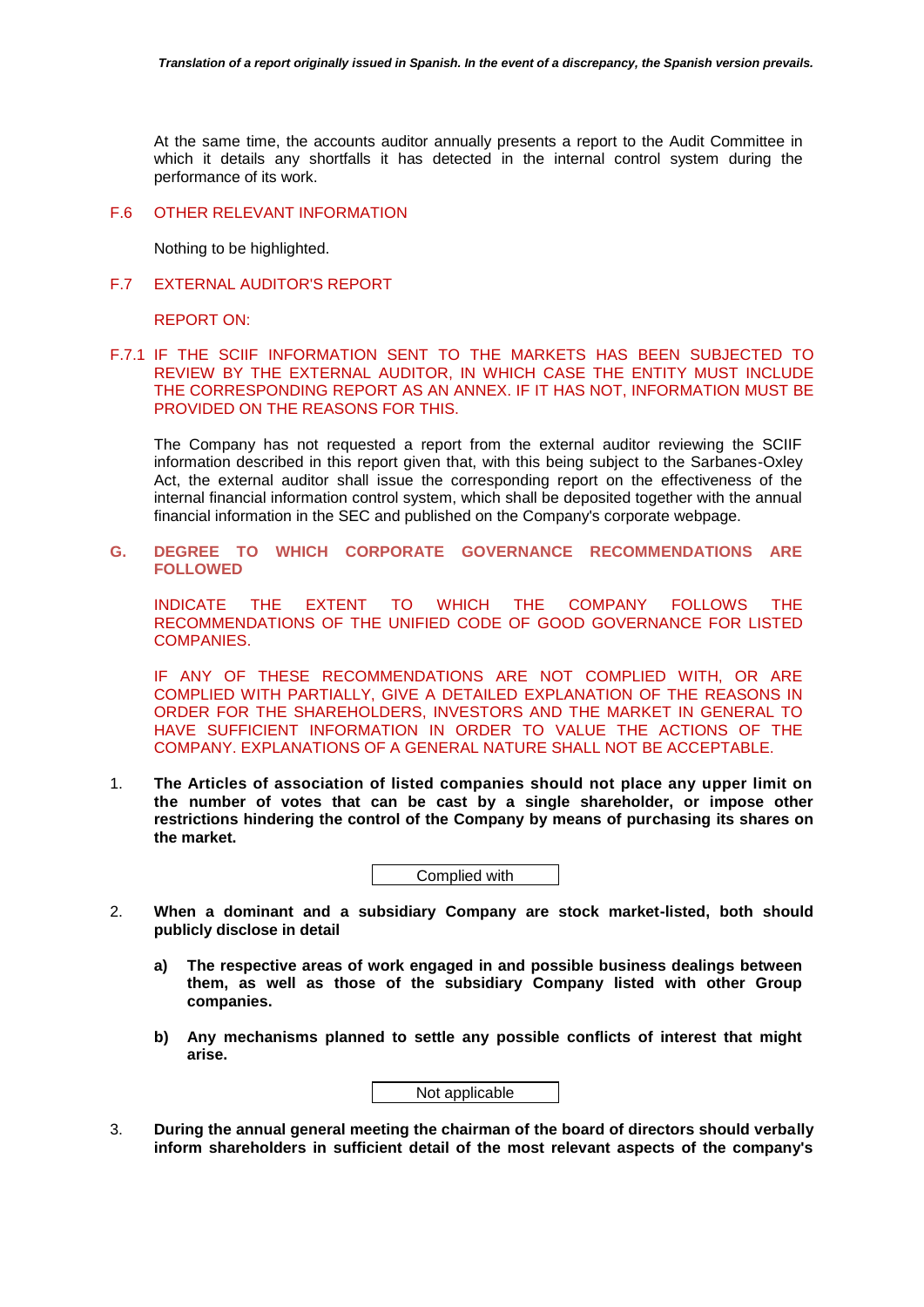At the same time, the accounts auditor annually presents a report to the Audit Committee in which it details any shortfalls it has detected in the internal control system during the performance of its work.

### F.6 OTHER RELEVANT INFORMATION

Nothing to be highlighted.

# F.7 EXTERNAL AUDITOR'S REPORT

REPORT ON:

F.7.1 IF THE SCIIF INFORMATION SENT TO THE MARKETS HAS BEEN SUBJECTED TO REVIEW BY THE EXTERNAL AUDITOR, IN WHICH CASE THE ENTITY MUST INCLUDE THE CORRESPONDING REPORT AS AN ANNEX. IF IT HAS NOT, INFORMATION MUST BE PROVIDED ON THE REASONS FOR THIS.

The Company has not requested a report from the external auditor reviewing the SCIIF information described in this report given that, with this being subject to the Sarbanes-Oxley Act, the external auditor shall issue the corresponding report on the effectiveness of the internal financial information control system, which shall be deposited together with the annual financial information in the SEC and published on the Company's corporate webpage.

# **G. DEGREE TO WHICH CORPORATE GOVERNANCE RECOMMENDATIONS ARE FOLLOWED**

INDICATE THE EXTENT TO WHICH THE COMPANY FOLLOWS THE RECOMMENDATIONS OF THE UNIFIED CODE OF GOOD GOVERNANCE FOR LISTED COMPANIES.

IF ANY OF THESE RECOMMENDATIONS ARE NOT COMPLIED WITH, OR ARE COMPLIED WITH PARTIALLY, GIVE A DETAILED EXPLANATION OF THE REASONS IN ORDER FOR THE SHAREHOLDERS, INVESTORS AND THE MARKET IN GENERAL TO HAVE SUFFICIENT INFORMATION IN ORDER TO VALUE THE ACTIONS OF THE COMPANY. EXPLANATIONS OF A GENERAL NATURE SHALL NOT BE ACCEPTABLE.

1. **The Articles of association of listed companies should not place any upper limit on the number of votes that can be cast by a single shareholder, or impose other restrictions hindering the control of the Company by means of purchasing its shares on the market.** 



- 2. **When a dominant and a subsidiary Company are stock market-listed, both should publicly disclose in detail**
	- **a) The respective areas of work engaged in and possible business dealings between them, as well as those of the subsidiary Company listed with other Group companies.**
	- **b) Any mechanisms planned to settle any possible conflicts of interest that might arise.**



3. **During the annual general meeting the chairman of the board of directors should verbally inform shareholders in sufficient detail of the most relevant aspects of the company's**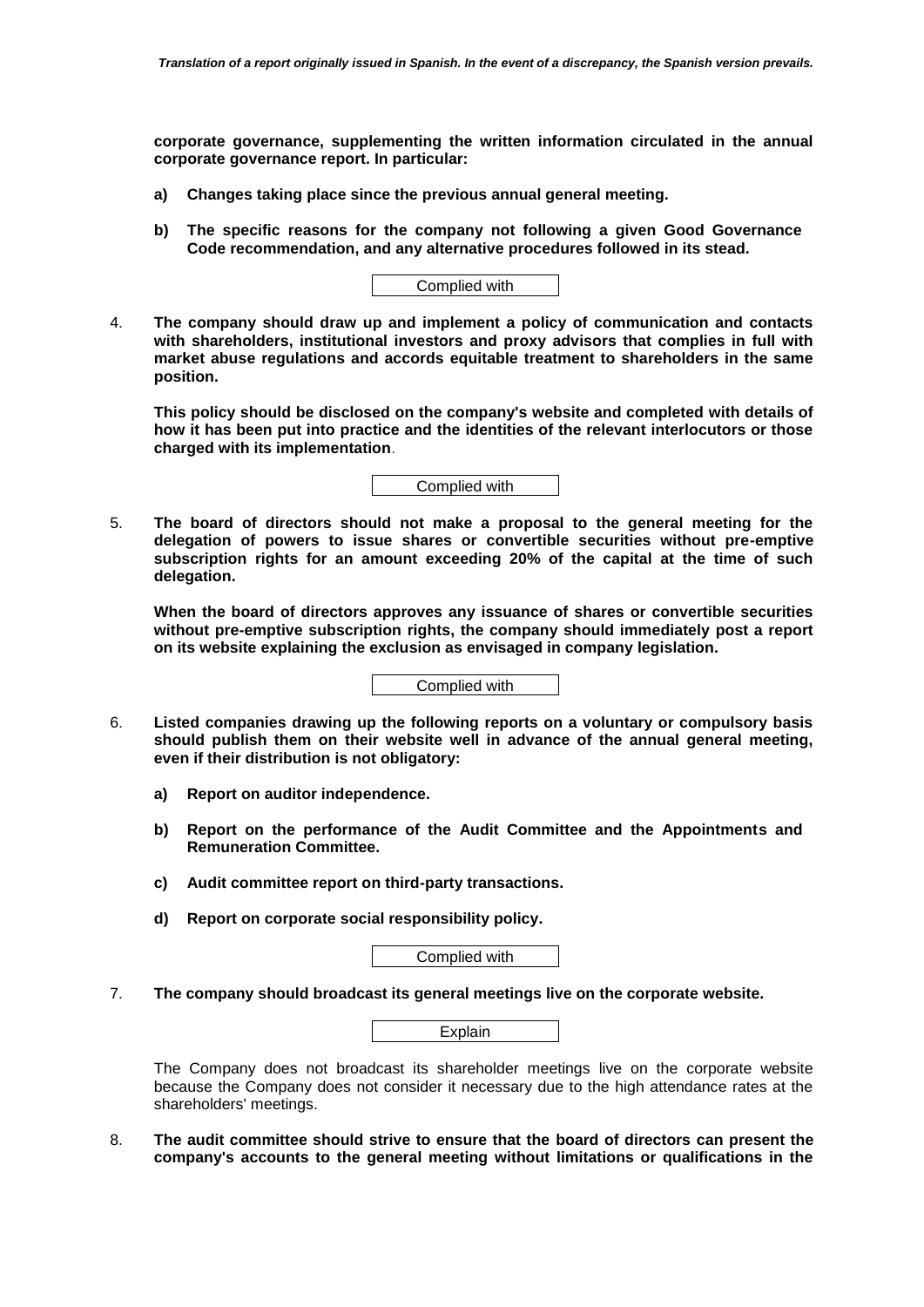**corporate governance, supplementing the written information circulated in the annual corporate governance report. In particular:** 

- **a) Changes taking place since the previous annual general meeting.**
- **b) The specific reasons for the company not following a given Good Governance Code recommendation, and any alternative procedures followed in its stead.**



4. **The company should draw up and implement a policy of communication and contacts with shareholders, institutional investors and proxy advisors that complies in full with market abuse regulations and accords equitable treatment to shareholders in the same position.** 

**This policy should be disclosed on the company's website and completed with details of how it has been put into practice and the identities of the relevant interlocutors or those charged with its implementation**.

Complied with

5. **The board of directors should not make a proposal to the general meeting for the delegation of powers to issue shares or convertible securities without pre-emptive subscription rights for an amount exceeding 20% of the capital at the time of such delegation.** 

**When the board of directors approves any issuance of shares or convertible securities without pre-emptive subscription rights, the company should immediately post a report on its website explaining the exclusion as envisaged in company legislation.** 

Complied with

- 6. **Listed companies drawing up the following reports on a voluntary or compulsory basis should publish them on their website well in advance of the annual general meeting, even if their distribution is not obligatory:** 
	- **a) Report on auditor independence.**
	- **b) Report on the performance of the Audit Committee and the Appointments and Remuneration Committee.**
	- **c) Audit committee report on third-party transactions.**
	- **d) Report on corporate social responsibility policy.**

Complied with

7. **The company should broadcast its general meetings live on the corporate website.** 

The Company does not broadcast its shareholder meetings live on the corporate website because the Company does not consider it necessary due to the high attendance rates at the shareholders' meetings.

8. **The audit committee should strive to ensure that the board of directors can present the company's accounts to the general meeting without limitations or qualifications in the**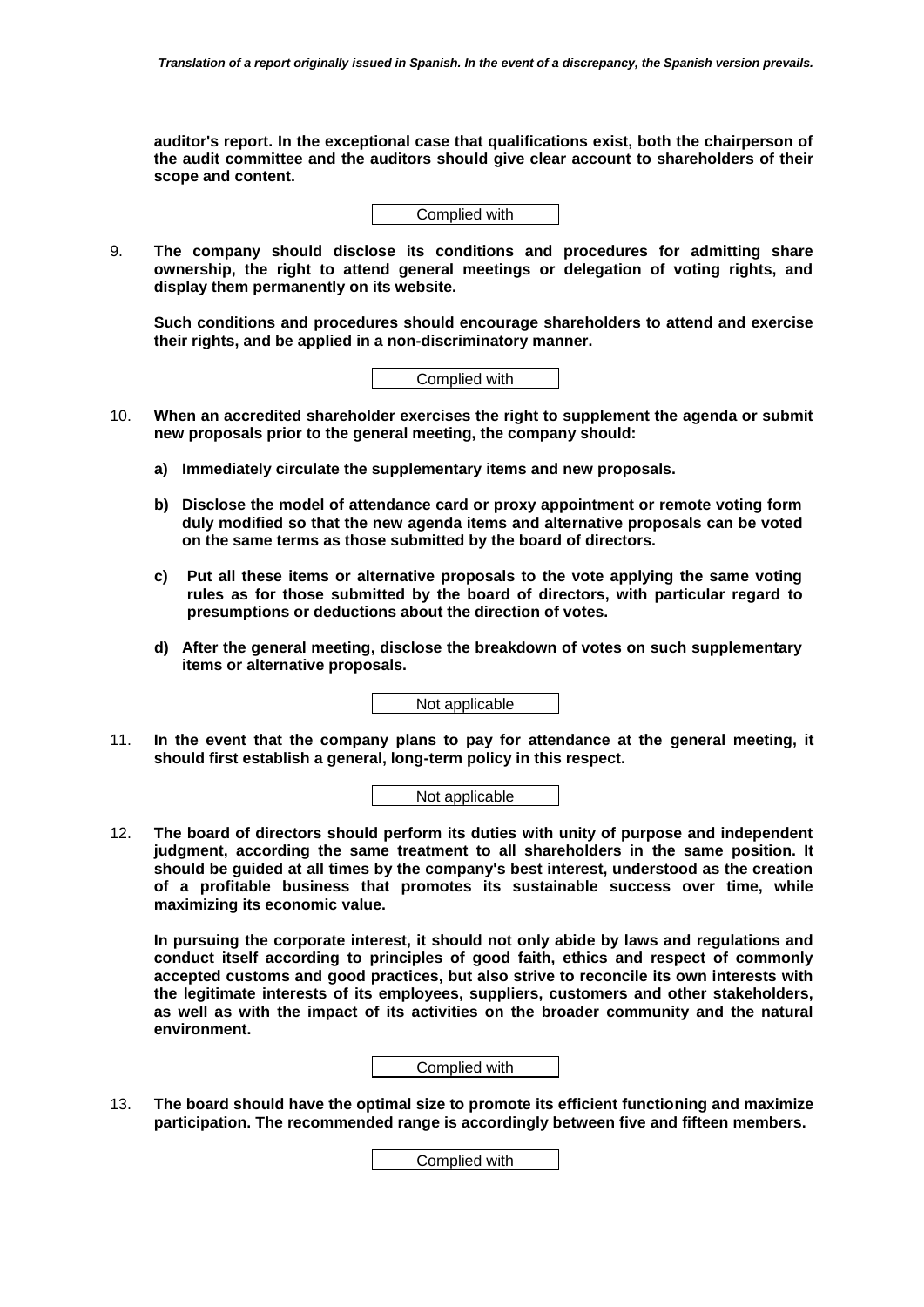**auditor's report. In the exceptional case that qualifications exist, both the chairperson of the audit committee and the auditors should give clear account to shareholders of their scope and content.** 

Complied with

9. **The company should disclose its conditions and procedures for admitting share ownership, the right to attend general meetings or delegation of voting rights, and display them permanently on its website.** 

**Such conditions and procedures should encourage shareholders to attend and exercise their rights, and be applied in a non-discriminatory manner.** 

Complied with

- 10. **When an accredited shareholder exercises the right to supplement the agenda or submit new proposals prior to the general meeting, the company should:** 
	- **a) Immediately circulate the supplementary items and new proposals.**
	- **b) Disclose the model of attendance card or proxy appointment or remote voting form duly modified so that the new agenda items and alternative proposals can be voted on the same terms as those submitted by the board of directors.**
	- **c) Put all these items or alternative proposals to the vote applying the same voting rules as for those submitted by the board of directors, with particular regard to presumptions or deductions about the direction of votes.**
	- **d) After the general meeting, disclose the breakdown of votes on such supplementary items or alternative proposals.**

Not applicable

11. **In the event that the company plans to pay for attendance at the general meeting, it should first establish a general, long-term policy in this respect.** 

Not applicable

12. **The board of directors should perform its duties with unity of purpose and independent judgment, according the same treatment to all shareholders in the same position. It should be guided at all times by the company's best interest, understood as the creation of a profitable business that promotes its sustainable success over time, while maximizing its economic value.** 

**In pursuing the corporate interest, it should not only abide by laws and regulations and conduct itself according to principles of good faith, ethics and respect of commonly accepted customs and good practices, but also strive to reconcile its own interests with the legitimate interests of its employees, suppliers, customers and other stakeholders, as well as with the impact of its activities on the broader community and the natural environment.** 

Complied with

13. **The board should have the optimal size to promote its efficient functioning and maximize participation. The recommended range is accordingly between five and fifteen members.**

Complied with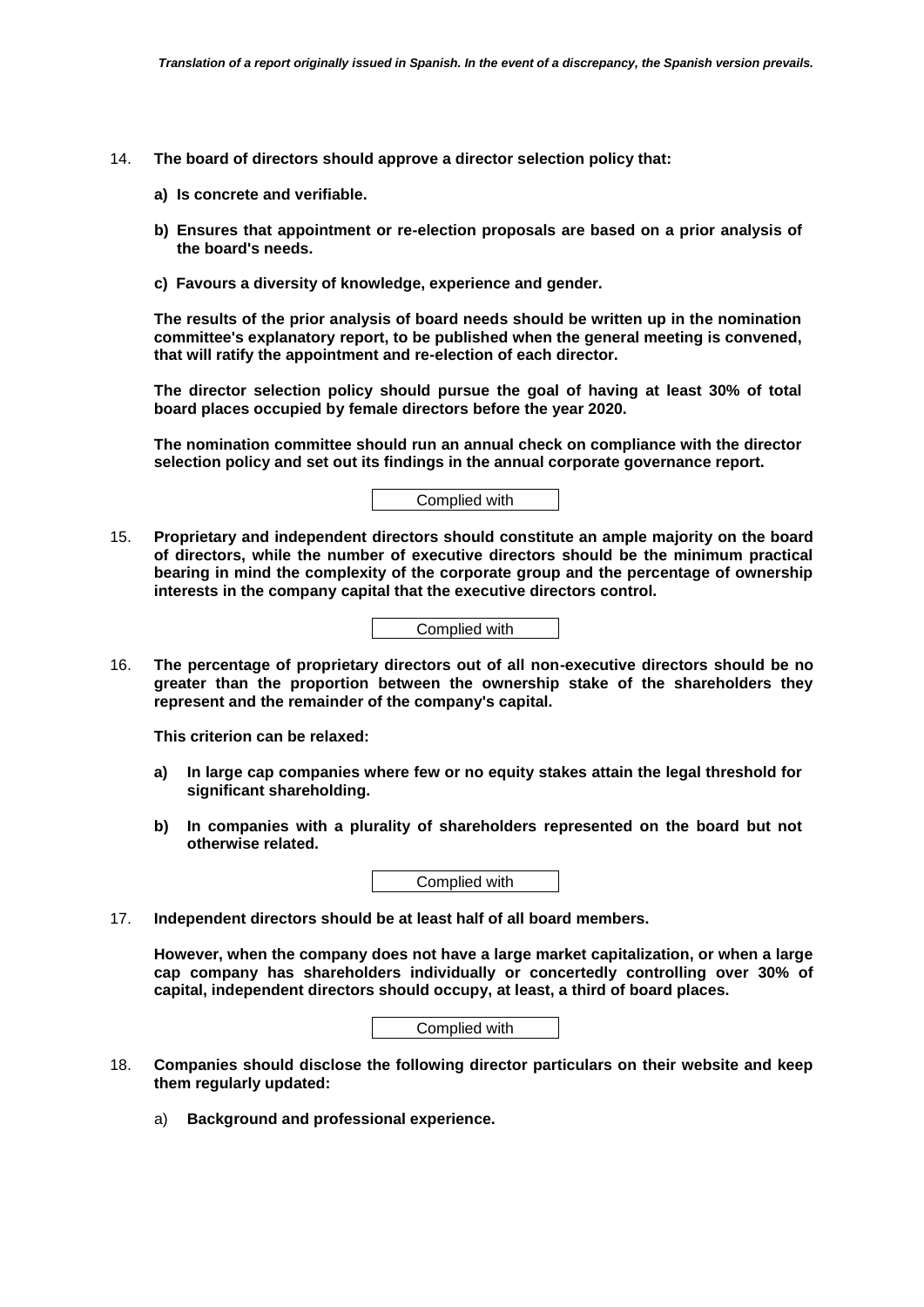- 14. **The board of directors should approve a director selection policy that:** 
	- **a) Is concrete and verifiable.**
	- **b) Ensures that appointment or re-election proposals are based on a prior analysis of the board's needs.**
	- **c) Favours a diversity of knowledge, experience and gender.**

**The results of the prior analysis of board needs should be written up in the nomination committee's explanatory report, to be published when the general meeting is convened, that will ratify the appointment and re-election of each director.** 

**The director selection policy should pursue the goal of having at least 30% of total board places occupied by female directors before the year 2020.** 

**The nomination committee should run an annual check on compliance with the director selection policy and set out its findings in the annual corporate governance report.**

Complied with

15. **Proprietary and independent directors should constitute an ample majority on the board of directors, while the number of executive directors should be the minimum practical bearing in mind the complexity of the corporate group and the percentage of ownership interests in the company capital that the executive directors control.**

Complied with

16. **The percentage of proprietary directors out of all non-executive directors should be no greater than the proportion between the ownership stake of the shareholders they represent and the remainder of the company's capital.** 

**This criterion can be relaxed:**

- **a) In large cap companies where few or no equity stakes attain the legal threshold for significant shareholding.**
- **b) In companies with a plurality of shareholders represented on the board but not otherwise related.**

Complied with

17. **Independent directors should be at least half of all board members.** 

**However, when the company does not have a large market capitalization, or when a large cap company has shareholders individually or concertedly controlling over 30% of capital, independent directors should occupy, at least, a third of board places.** 

- 18. **Companies should disclose the following director particulars on their website and keep them regularly updated:**
	- a) **Background and professional experience.**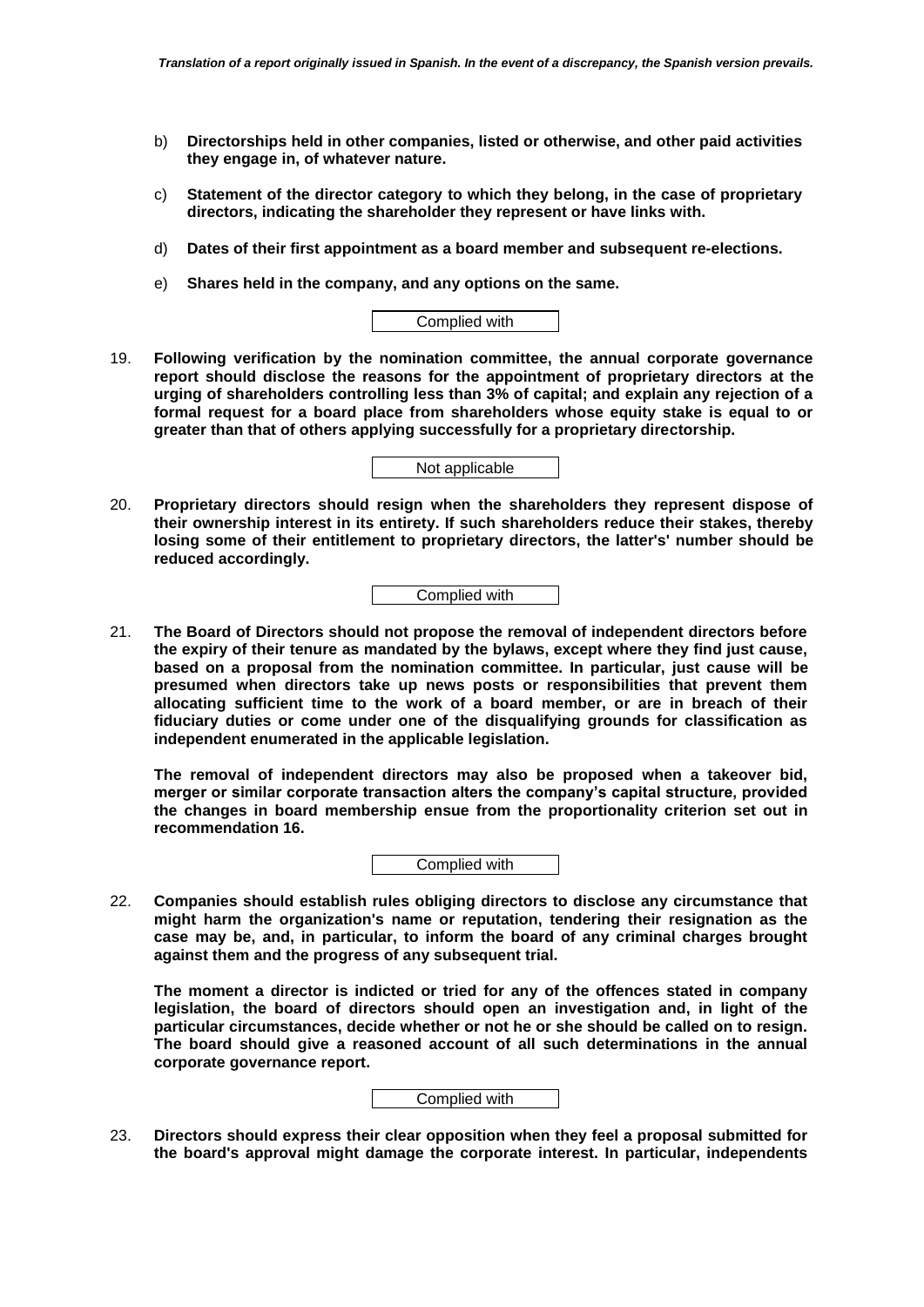- b) **Directorships held in other companies, listed or otherwise, and other paid activities they engage in, of whatever nature.**
- c) **Statement of the director category to which they belong, in the case of proprietary directors, indicating the shareholder they represent or have links with.**
- d) **Dates of their first appointment as a board member and subsequent re-elections.**
- e) **Shares held in the company, and any options on the same.**



19. **Following verification by the nomination committee, the annual corporate governance report should disclose the reasons for the appointment of proprietary directors at the urging of shareholders controlling less than 3% of capital; and explain any rejection of a formal request for a board place from shareholders whose equity stake is equal to or greater than that of others applying successfully for a proprietary directorship.**

Not applicable

20. **Proprietary directors should resign when the shareholders they represent dispose of their ownership interest in its entirety. If such shareholders reduce their stakes, thereby losing some of their entitlement to proprietary directors, the latter's' number should be reduced accordingly.**

Complied with

21. **The Board of Directors should not propose the removal of independent directors before the expiry of their tenure as mandated by the bylaws, except where they find just cause, based on a proposal from the nomination committee. In particular, just cause will be presumed when directors take up news posts or responsibilities that prevent them allocating sufficient time to the work of a board member, or are in breach of their fiduciary duties or come under one of the disqualifying grounds for classification as independent enumerated in the applicable legislation.** 

**The removal of independent directors may also be proposed when a takeover bid, merger or similar corporate transaction alters the company's capital structure, provided the changes in board membership ensue from the proportionality criterion set out in recommendation 16.**

Complied with

22. **Companies should establish rules obliging directors to disclose any circumstance that might harm the organization's name or reputation, tendering their resignation as the case may be, and, in particular, to inform the board of any criminal charges brought against them and the progress of any subsequent trial.** 

**The moment a director is indicted or tried for any of the offences stated in company legislation, the board of directors should open an investigation and, in light of the particular circumstances, decide whether or not he or she should be called on to resign. The board should give a reasoned account of all such determinations in the annual corporate governance report.** 

# Complied with

23. **Directors should express their clear opposition when they feel a proposal submitted for the board's approval might damage the corporate interest. In particular, independents**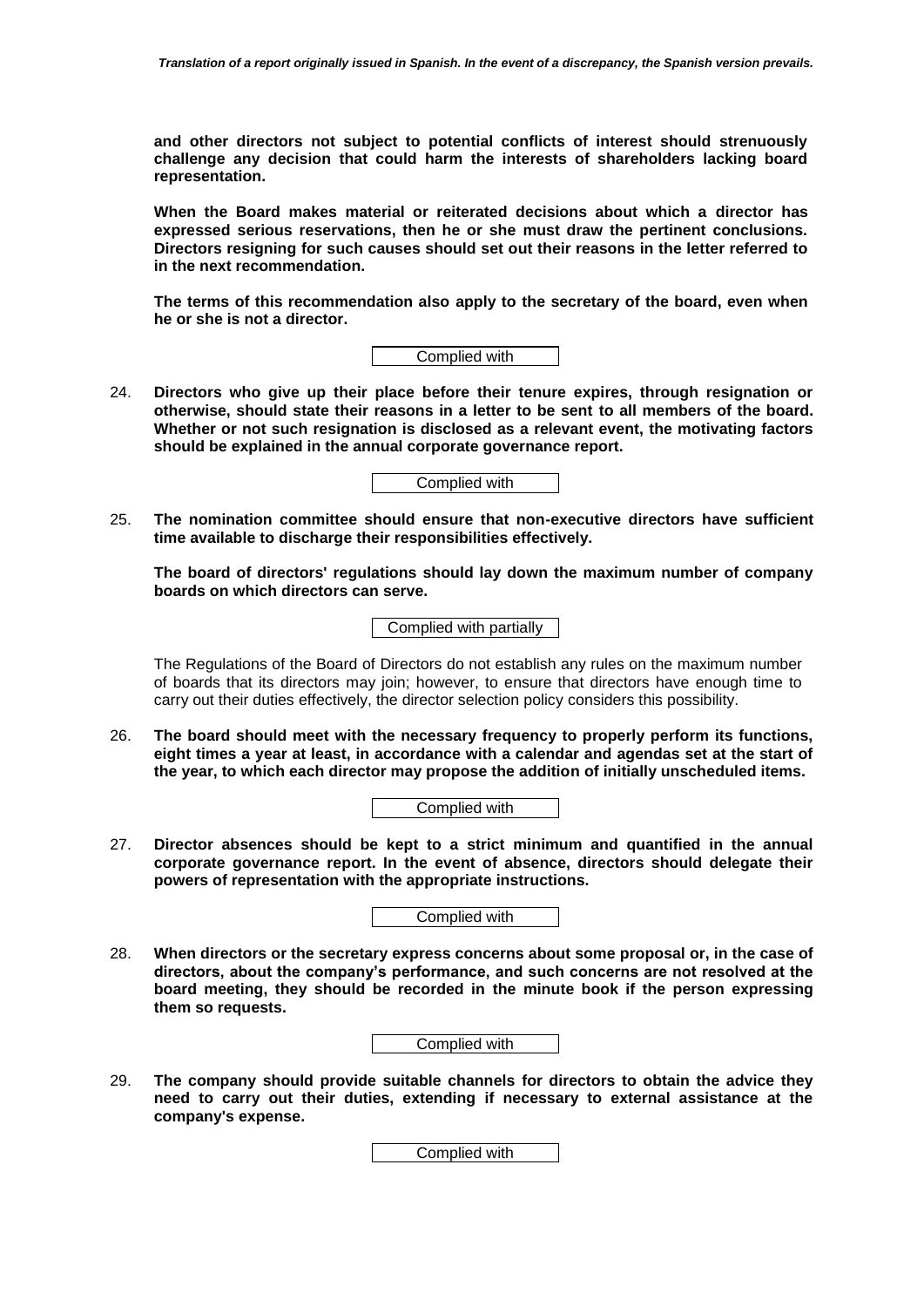**and other directors not subject to potential conflicts of interest should strenuously challenge any decision that could harm the interests of shareholders lacking board representation.** 

**When the Board makes material or reiterated decisions about which a director has expressed serious reservations, then he or she must draw the pertinent conclusions. Directors resigning for such causes should set out their reasons in the letter referred to in the next recommendation.** 

**The terms of this recommendation also apply to the secretary of the board, even when he or she is not a director.**

Complied with

24. **Directors who give up their place before their tenure expires, through resignation or otherwise, should state their reasons in a letter to be sent to all members of the board. Whether or not such resignation is disclosed as a relevant event, the motivating factors should be explained in the annual corporate governance report.** 

Complied with

25. **The nomination committee should ensure that non-executive directors have sufficient time available to discharge their responsibilities effectively.** 

**The board of directors' regulations should lay down the maximum number of company boards on which directors can serve.**

Complied with partially

The Regulations of the Board of Directors do not establish any rules on the maximum number of boards that its directors may join; however, to ensure that directors have enough time to carry out their duties effectively, the director selection policy considers this possibility.

26. **The board should meet with the necessary frequency to properly perform its functions, eight times a year at least, in accordance with a calendar and agendas set at the start of the year, to which each director may propose the addition of initially unscheduled items.**

Complied with

27. **Director absences should be kept to a strict minimum and quantified in the annual corporate governance report. In the event of absence, directors should delegate their powers of representation with the appropriate instructions.**

Complied with

28. **When directors or the secretary express concerns about some proposal or, in the case of directors, about the company's performance, and such concerns are not resolved at the board meeting, they should be recorded in the minute book if the person expressing them so requests.**

Complied with

29. **The company should provide suitable channels for directors to obtain the advice they need to carry out their duties, extending if necessary to external assistance at the company's expense.**

Complied with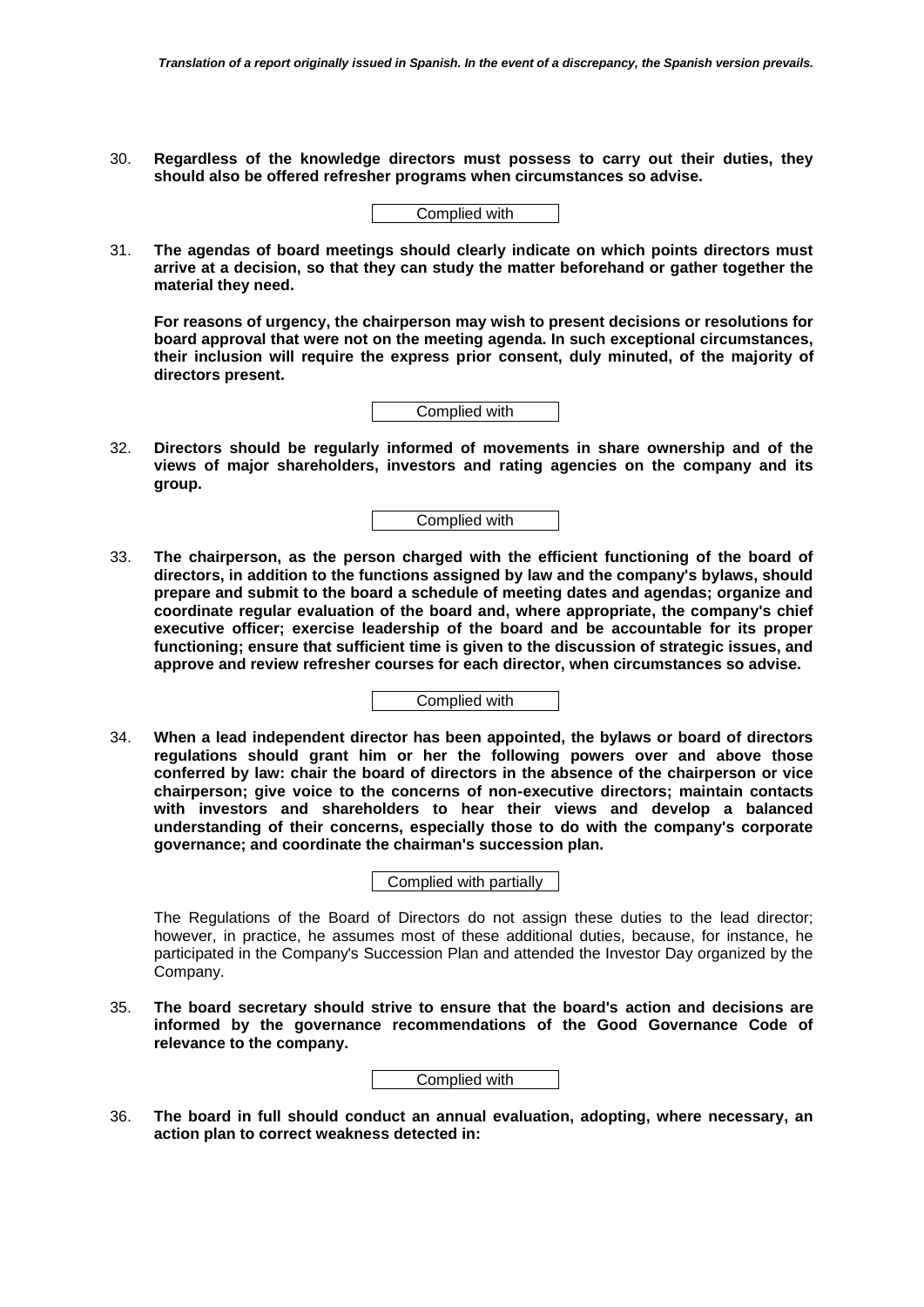30. **Regardless of the knowledge directors must possess to carry out their duties, they should also be offered refresher programs when circumstances so advise.**

31. **The agendas of board meetings should clearly indicate on which points directors must arrive at a decision, so that they can study the matter beforehand or gather together the material they need.** 

**For reasons of urgency, the chairperson may wish to present decisions or resolutions for board approval that were not on the meeting agenda. In such exceptional circumstances, their inclusion will require the express prior consent, duly minuted, of the majority of directors present.**



32. **Directors should be regularly informed of movements in share ownership and of the views of major shareholders, investors and rating agencies on the company and its group.**

Complied with

33. **The chairperson, as the person charged with the efficient functioning of the board of directors, in addition to the functions assigned by law and the company's bylaws, should prepare and submit to the board a schedule of meeting dates and agendas; organize and coordinate regular evaluation of the board and, where appropriate, the company's chief executive officer; exercise leadership of the board and be accountable for its proper functioning; ensure that sufficient time is given to the discussion of strategic issues, and approve and review refresher courses for each director, when circumstances so advise.** 

Complied with

34. **When a lead independent director has been appointed, the bylaws or board of directors regulations should grant him or her the following powers over and above those conferred by law: chair the board of directors in the absence of the chairperson or vice chairperson; give voice to the concerns of non-executive directors; maintain contacts with investors and shareholders to hear their views and develop a balanced understanding of their concerns, especially those to do with the company's corporate governance; and coordinate the chairman's succession plan.**

Complied with partially

The Regulations of the Board of Directors do not assign these duties to the lead director; however, in practice, he assumes most of these additional duties, because, for instance, he participated in the Company's Succession Plan and attended the Investor Day organized by the Company.

35. **The board secretary should strive to ensure that the board's action and decisions are informed by the governance recommendations of the Good Governance Code of relevance to the company.**

Complied with

36. **The board in full should conduct an annual evaluation, adopting, where necessary, an action plan to correct weakness detected in:**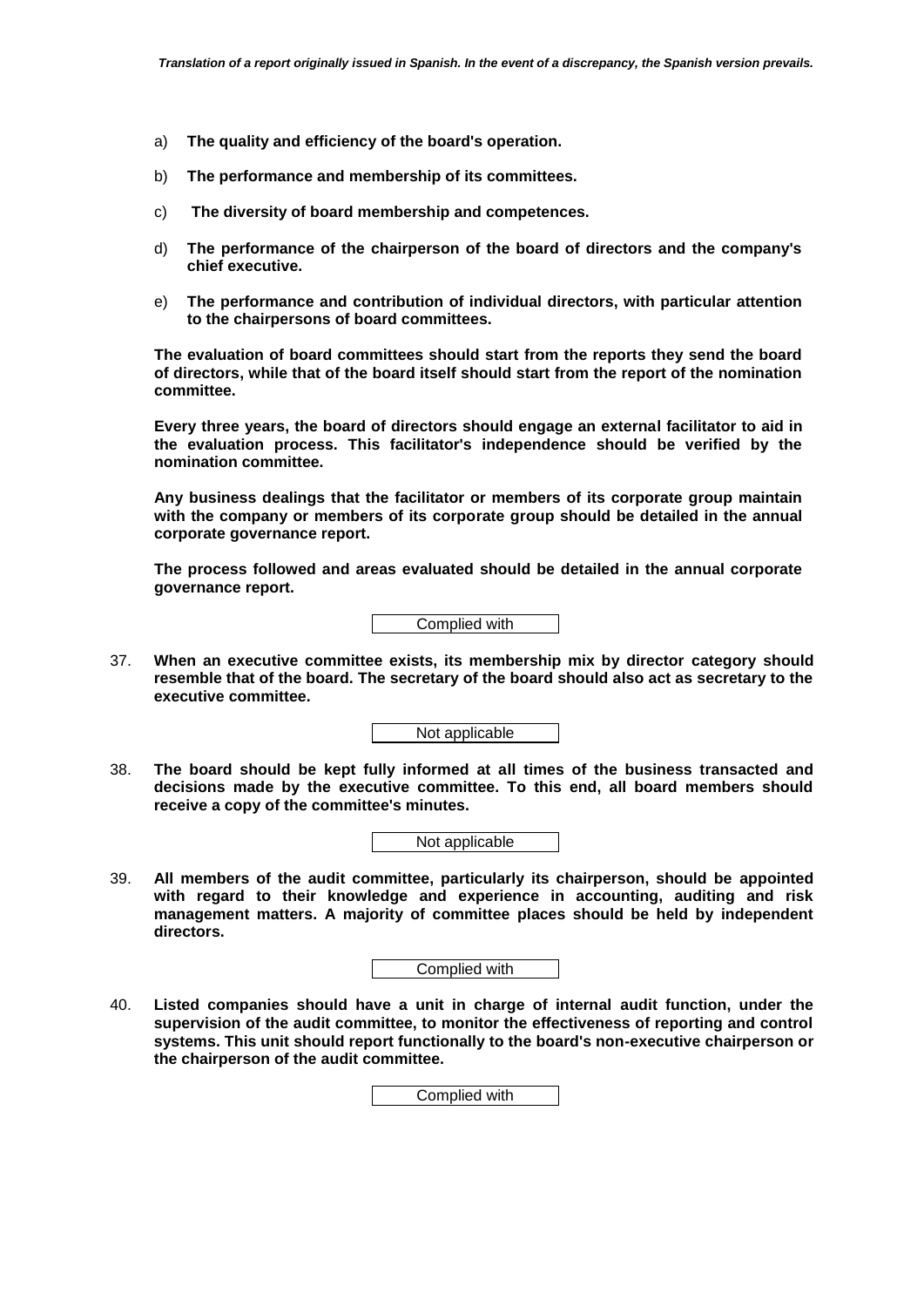- a) **The quality and efficiency of the board's operation.**
- b) **The performance and membership of its committees.**
- c) **The diversity of board membership and competences.**
- d) **The performance of the chairperson of the board of directors and the company's chief executive.**
- e) **The performance and contribution of individual directors, with particular attention to the chairpersons of board committees.**

**The evaluation of board committees should start from the reports they send the board of directors, while that of the board itself should start from the report of the nomination committee.** 

**Every three years, the board of directors should engage an external facilitator to aid in the evaluation process. This facilitator's independence should be verified by the nomination committee.** 

**Any business dealings that the facilitator or members of its corporate group maintain with the company or members of its corporate group should be detailed in the annual corporate governance report.** 

**The process followed and areas evaluated should be detailed in the annual corporate governance report.**



37. **When an executive committee exists, its membership mix by director category should resemble that of the board. The secretary of the board should also act as secretary to the executive committee.**

Not applicable

38. **The board should be kept fully informed at all times of the business transacted and decisions made by the executive committee. To this end, all board members should receive a copy of the committee's minutes.**



39. **All members of the audit committee, particularly its chairperson, should be appointed with regard to their knowledge and experience in accounting, auditing and risk management matters. A majority of committee places should be held by independent directors.** 

Complied with

40. **Listed companies should have a unit in charge of internal audit function, under the supervision of the audit committee, to monitor the effectiveness of reporting and control systems. This unit should report functionally to the board's non-executive chairperson or the chairperson of the audit committee.**

Complied with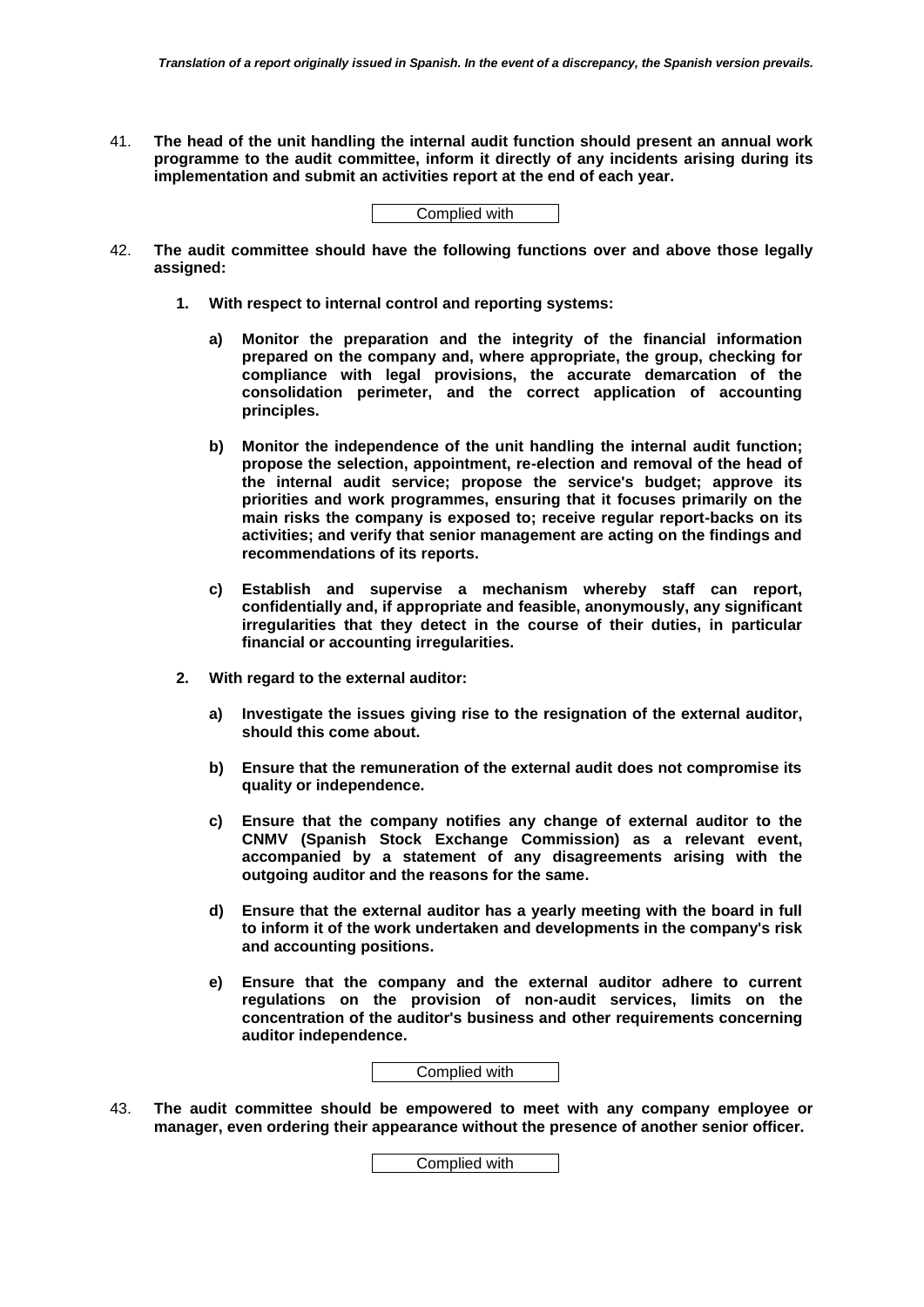41. **The head of the unit handling the internal audit function should present an annual work programme to the audit committee, inform it directly of any incidents arising during its implementation and submit an activities report at the end of each year.**

| Complied with |
|---------------|
|---------------|

- 42. **The audit committee should have the following functions over and above those legally assigned:**
	- **1. With respect to internal control and reporting systems:**
		- **a) Monitor the preparation and the integrity of the financial information prepared on the company and, where appropriate, the group, checking for compliance with legal provisions, the accurate demarcation of the consolidation perimeter, and the correct application of accounting principles.**
		- **b) Monitor the independence of the unit handling the internal audit function; propose the selection, appointment, re-election and removal of the head of the internal audit service; propose the service's budget; approve its priorities and work programmes, ensuring that it focuses primarily on the main risks the company is exposed to; receive regular report-backs on its activities; and verify that senior management are acting on the findings and recommendations of its reports.**
		- **c) Establish and supervise a mechanism whereby staff can report, confidentially and, if appropriate and feasible, anonymously, any significant irregularities that they detect in the course of their duties, in particular financial or accounting irregularities.**
	- **2. With regard to the external auditor:**
		- **a) Investigate the issues giving rise to the resignation of the external auditor, should this come about.**
		- **b) Ensure that the remuneration of the external audit does not compromise its quality or independence.**
		- **c) Ensure that the company notifies any change of external auditor to the CNMV (Spanish Stock Exchange Commission) as a relevant event, accompanied by a statement of any disagreements arising with the outgoing auditor and the reasons for the same.**
		- **d) Ensure that the external auditor has a yearly meeting with the board in full to inform it of the work undertaken and developments in the company's risk and accounting positions.**
		- **e) Ensure that the company and the external auditor adhere to current regulations on the provision of non-audit services, limits on the concentration of the auditor's business and other requirements concerning auditor independence.**



43. **The audit committee should be empowered to meet with any company employee or manager, even ordering their appearance without the presence of another senior officer.**

Complied with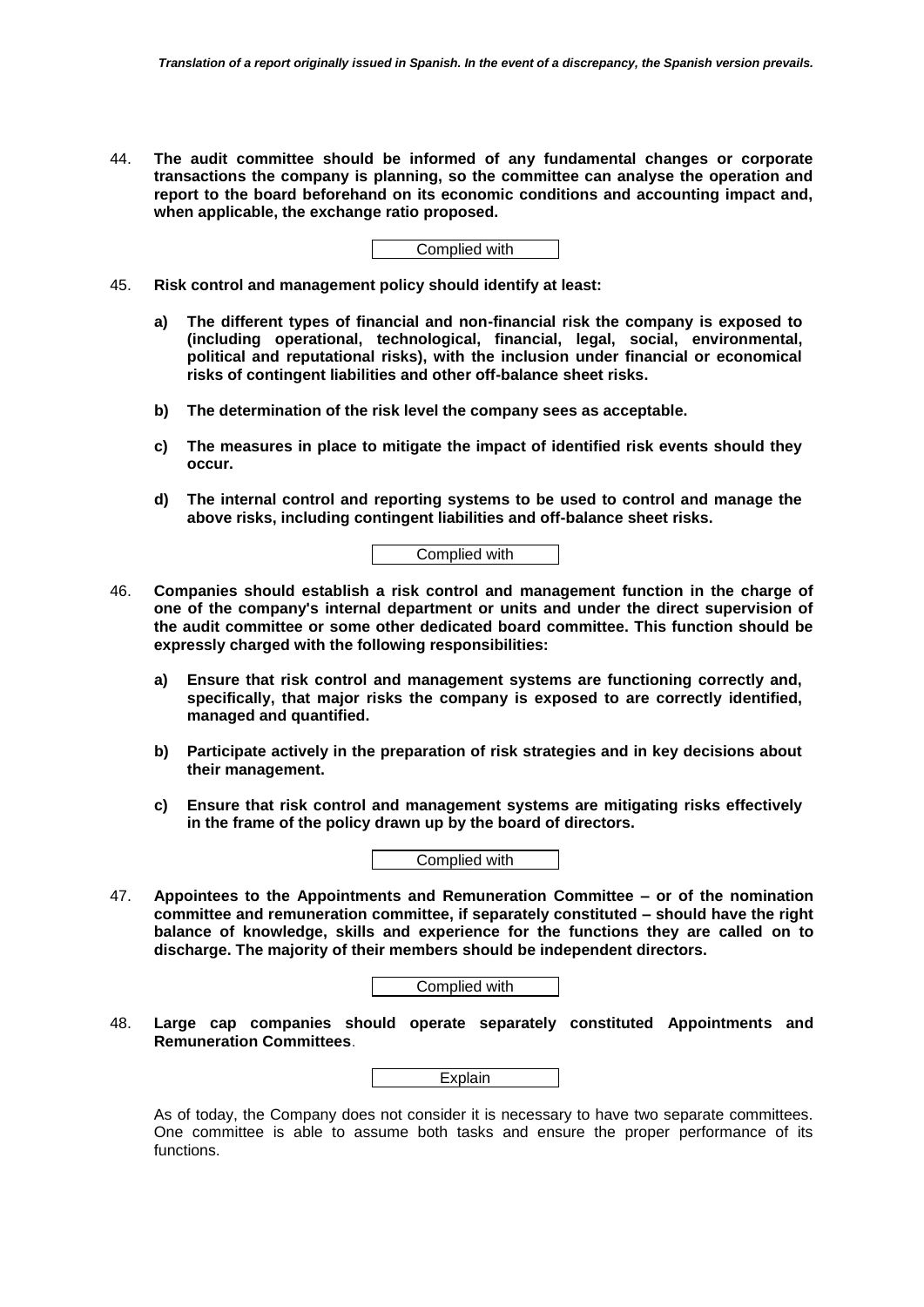44. **The audit committee should be informed of any fundamental changes or corporate transactions the company is planning, so the committee can analyse the operation and report to the board beforehand on its economic conditions and accounting impact and, when applicable, the exchange ratio proposed.**

Complied with

- 45. **Risk control and management policy should identify at least:** 
	- **a) The different types of financial and non-financial risk the company is exposed to (including operational, technological, financial, legal, social, environmental, political and reputational risks), with the inclusion under financial or economical risks of contingent liabilities and other off-balance sheet risks.**
	- **b) The determination of the risk level the company sees as acceptable.**
	- **c) The measures in place to mitigate the impact of identified risk events should they occur.**
	- **d) The internal control and reporting systems to be used to control and manage the above risks, including contingent liabilities and off-balance sheet risks.**

- 46. **Companies should establish a risk control and management function in the charge of one of the company's internal department or units and under the direct supervision of the audit committee or some other dedicated board committee. This function should be expressly charged with the following responsibilities:**
	- **a) Ensure that risk control and management systems are functioning correctly and, specifically, that major risks the company is exposed to are correctly identified, managed and quantified.**
	- **b) Participate actively in the preparation of risk strategies and in key decisions about their management.**
	- **c) Ensure that risk control and management systems are mitigating risks effectively in the frame of the policy drawn up by the board of directors.**



47. **Appointees to the Appointments and Remuneration Committee – or of the nomination committee and remuneration committee, if separately constituted – should have the right balance of knowledge, skills and experience for the functions they are called on to discharge. The majority of their members should be independent directors.** 

| Complied with |  |
|---------------|--|
|---------------|--|

48. **Large cap companies should operate separately constituted Appointments and Remuneration Committees**.

As of today, the Company does not consider it is necessary to have two separate committees. One committee is able to assume both tasks and ensure the proper performance of its functions.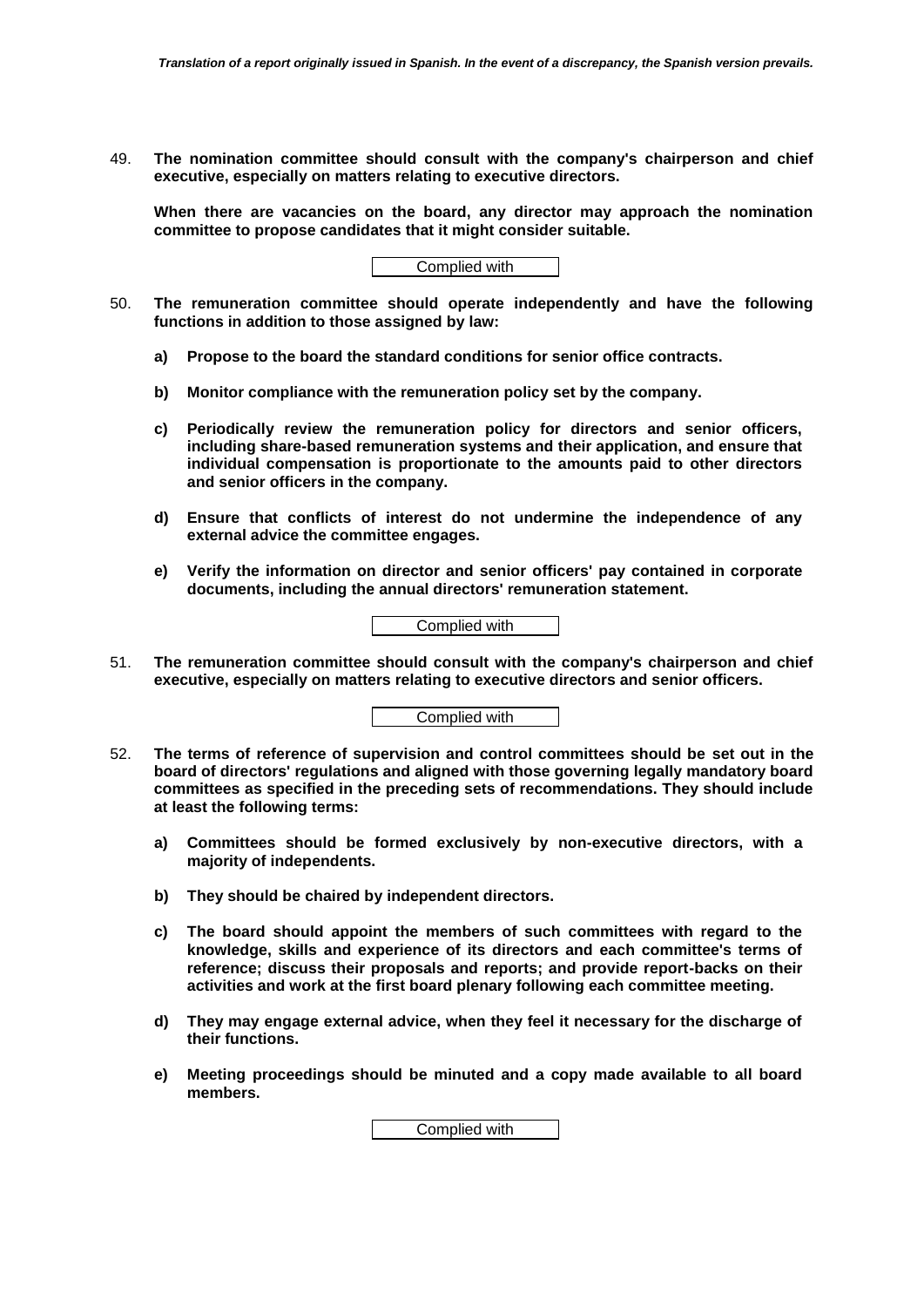49. **The nomination committee should consult with the company's chairperson and chief executive, especially on matters relating to executive directors.** 

**When there are vacancies on the board, any director may approach the nomination committee to propose candidates that it might consider suitable.** 

Complied with

- 50. **The remuneration committee should operate independently and have the following functions in addition to those assigned by law:**
	- **a) Propose to the board the standard conditions for senior office contracts.**
	- **b) Monitor compliance with the remuneration policy set by the company.**
	- **c) Periodically review the remuneration policy for directors and senior officers, including share-based remuneration systems and their application, and ensure that individual compensation is proportionate to the amounts paid to other directors and senior officers in the company.**
	- **d) Ensure that conflicts of interest do not undermine the independence of any external advice the committee engages.**
	- **e) Verify the information on director and senior officers' pay contained in corporate documents, including the annual directors' remuneration statement.**



51. **The remuneration committee should consult with the company's chairperson and chief executive, especially on matters relating to executive directors and senior officers.** 

Complied with

- 52. **The terms of reference of supervision and control committees should be set out in the board of directors' regulations and aligned with those governing legally mandatory board committees as specified in the preceding sets of recommendations. They should include at least the following terms:**
	- **a) Committees should be formed exclusively by non-executive directors, with a majority of independents.**
	- **b) They should be chaired by independent directors.**
	- **c) The board should appoint the members of such committees with regard to the knowledge, skills and experience of its directors and each committee's terms of reference; discuss their proposals and reports; and provide report-backs on their activities and work at the first board plenary following each committee meeting.**
	- **d) They may engage external advice, when they feel it necessary for the discharge of their functions.**
	- **e) Meeting proceedings should be minuted and a copy made available to all board members.**

Complied with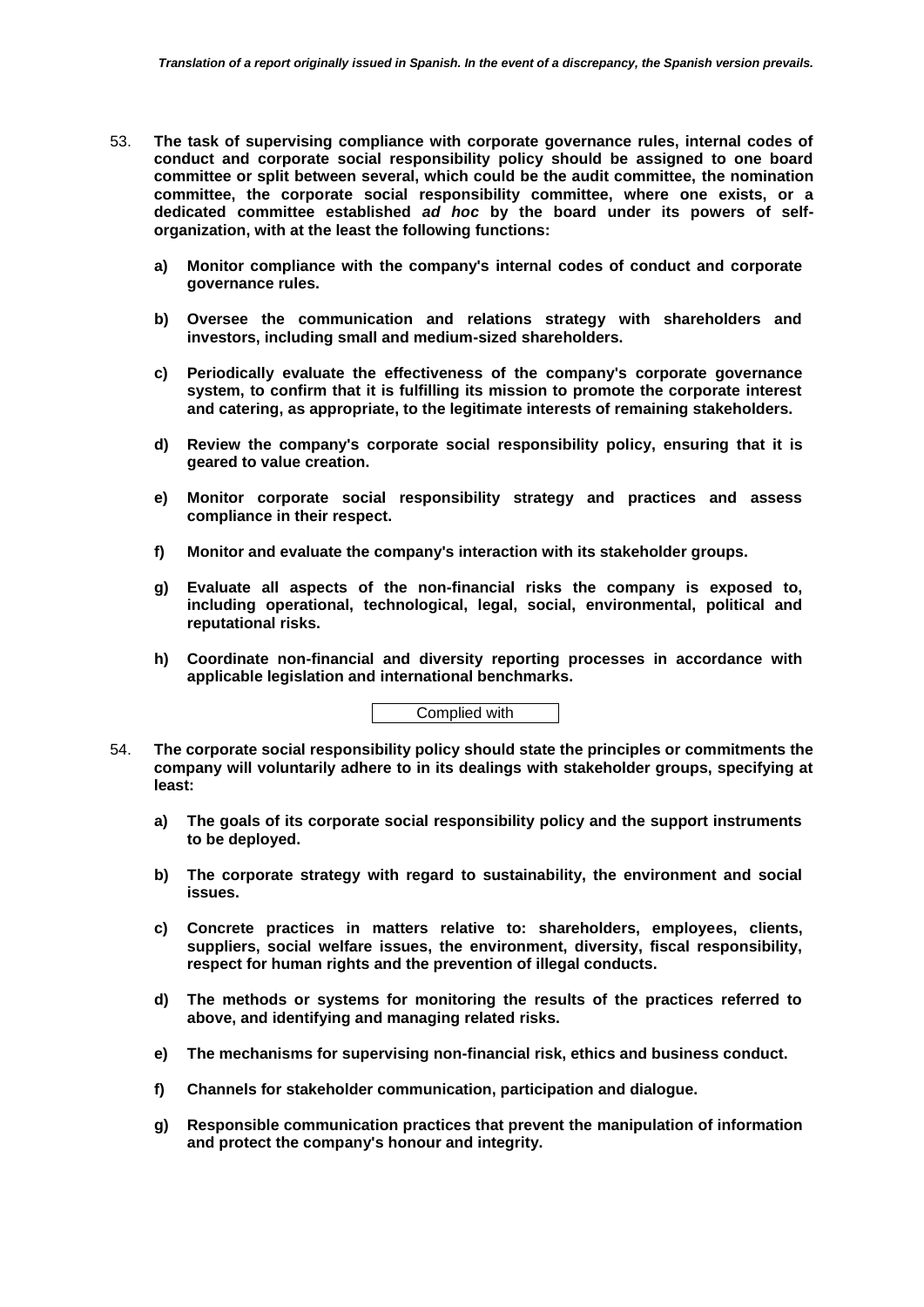- 53. **The task of supervising compliance with corporate governance rules, internal codes of conduct and corporate social responsibility policy should be assigned to one board committee or split between several, which could be the audit committee, the nomination committee, the corporate social responsibility committee, where one exists, or a dedicated committee established** *ad hoc* **by the board under its powers of selforganization, with at the least the following functions:**
	- **a) Monitor compliance with the company's internal codes of conduct and corporate governance rules.**
	- **b) Oversee the communication and relations strategy with shareholders and investors, including small and medium-sized shareholders.**
	- **c) Periodically evaluate the effectiveness of the company's corporate governance system, to confirm that it is fulfilling its mission to promote the corporate interest and catering, as appropriate, to the legitimate interests of remaining stakeholders.**
	- **d) Review the company's corporate social responsibility policy, ensuring that it is geared to value creation.**
	- **e) Monitor corporate social responsibility strategy and practices and assess compliance in their respect.**
	- **f) Monitor and evaluate the company's interaction with its stakeholder groups.**
	- **g) Evaluate all aspects of the non-financial risks the company is exposed to, including operational, technological, legal, social, environmental, political and reputational risks.**
	- **h) Coordinate non-financial and diversity reporting processes in accordance with applicable legislation and international benchmarks.**

Complied with

- 54. **The corporate social responsibility policy should state the principles or commitments the company will voluntarily adhere to in its dealings with stakeholder groups, specifying at least:** 
	- **a) The goals of its corporate social responsibility policy and the support instruments to be deployed.**
	- **b) The corporate strategy with regard to sustainability, the environment and social issues.**
	- **c) Concrete practices in matters relative to: shareholders, employees, clients, suppliers, social welfare issues, the environment, diversity, fiscal responsibility, respect for human rights and the prevention of illegal conducts.**
	- **d) The methods or systems for monitoring the results of the practices referred to above, and identifying and managing related risks.**
	- **e) The mechanisms for supervising non-financial risk, ethics and business conduct.**
	- **f) Channels for stakeholder communication, participation and dialogue.**
	- **g) Responsible communication practices that prevent the manipulation of information and protect the company's honour and integrity.**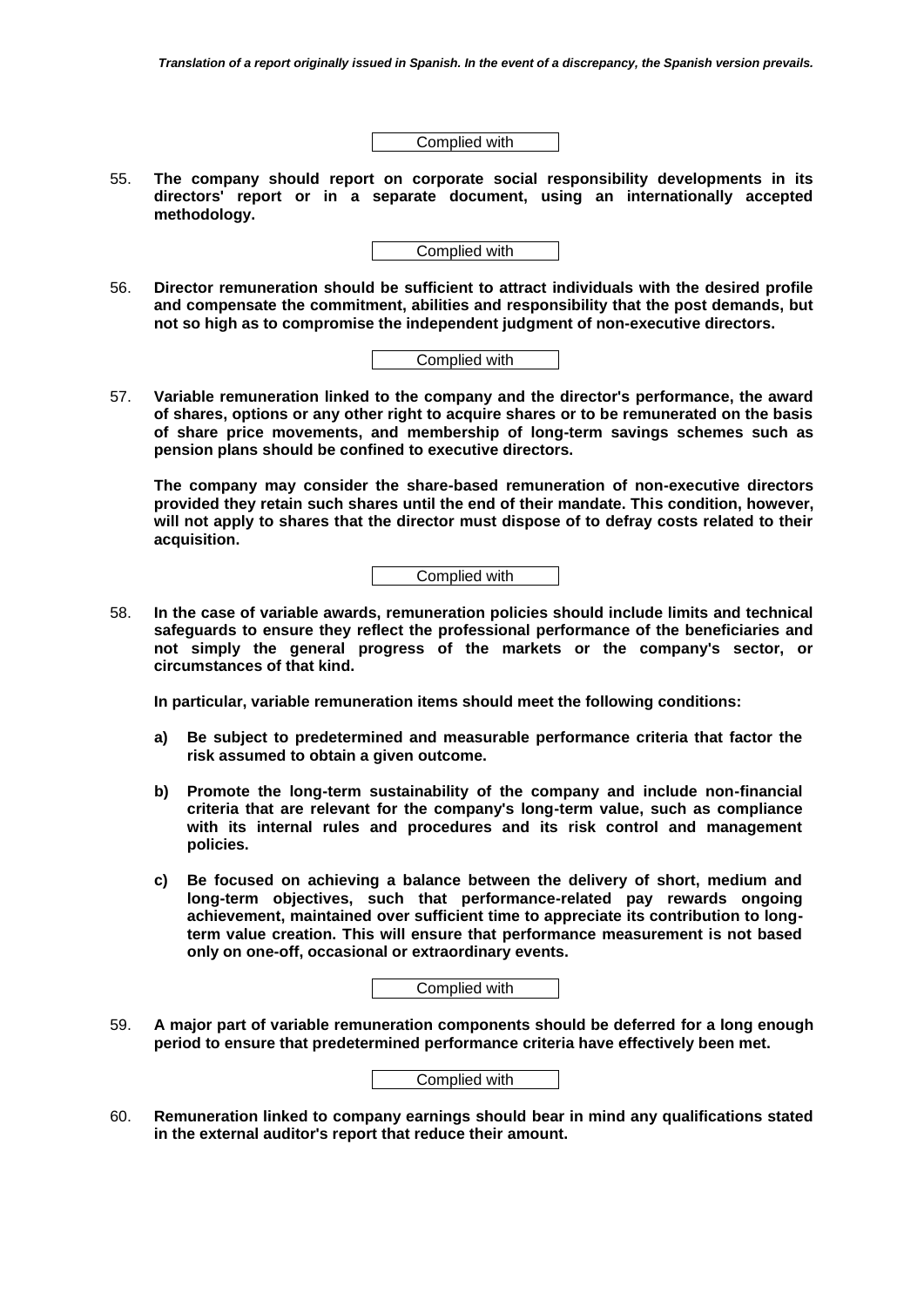Complied with

55. **The company should report on corporate social responsibility developments in its directors' report or in a separate document, using an internationally accepted methodology.**

Complied with

56. **Director remuneration should be sufficient to attract individuals with the desired profile and compensate the commitment, abilities and responsibility that the post demands, but not so high as to compromise the independent judgment of non-executive directors.** 

|--|

57. **Variable remuneration linked to the company and the director's performance, the award of shares, options or any other right to acquire shares or to be remunerated on the basis of share price movements, and membership of long-term savings schemes such as pension plans should be confined to executive directors.** 

**The company may consider the share-based remuneration of non-executive directors provided they retain such shares until the end of their mandate. This condition, however, will not apply to shares that the director must dispose of to defray costs related to their acquisition.**

Complied with

58. **In the case of variable awards, remuneration policies should include limits and technical safeguards to ensure they reflect the professional performance of the beneficiaries and not simply the general progress of the markets or the company's sector, or circumstances of that kind.** 

**In particular, variable remuneration items should meet the following conditions:**

- **a) Be subject to predetermined and measurable performance criteria that factor the risk assumed to obtain a given outcome.**
- **b) Promote the long-term sustainability of the company and include non-financial criteria that are relevant for the company's long-term value, such as compliance with its internal rules and procedures and its risk control and management policies.**
- **c) Be focused on achieving a balance between the delivery of short, medium and long-term objectives, such that performance-related pay rewards ongoing achievement, maintained over sufficient time to appreciate its contribution to longterm value creation. This will ensure that performance measurement is not based only on one-off, occasional or extraordinary events.**

| Complied with |
|---------------|
|---------------|

59. **A major part of variable remuneration components should be deferred for a long enough period to ensure that predetermined performance criteria have effectively been met.** 

60. **Remuneration linked to company earnings should bear in mind any qualifications stated in the external auditor's report that reduce their amount.**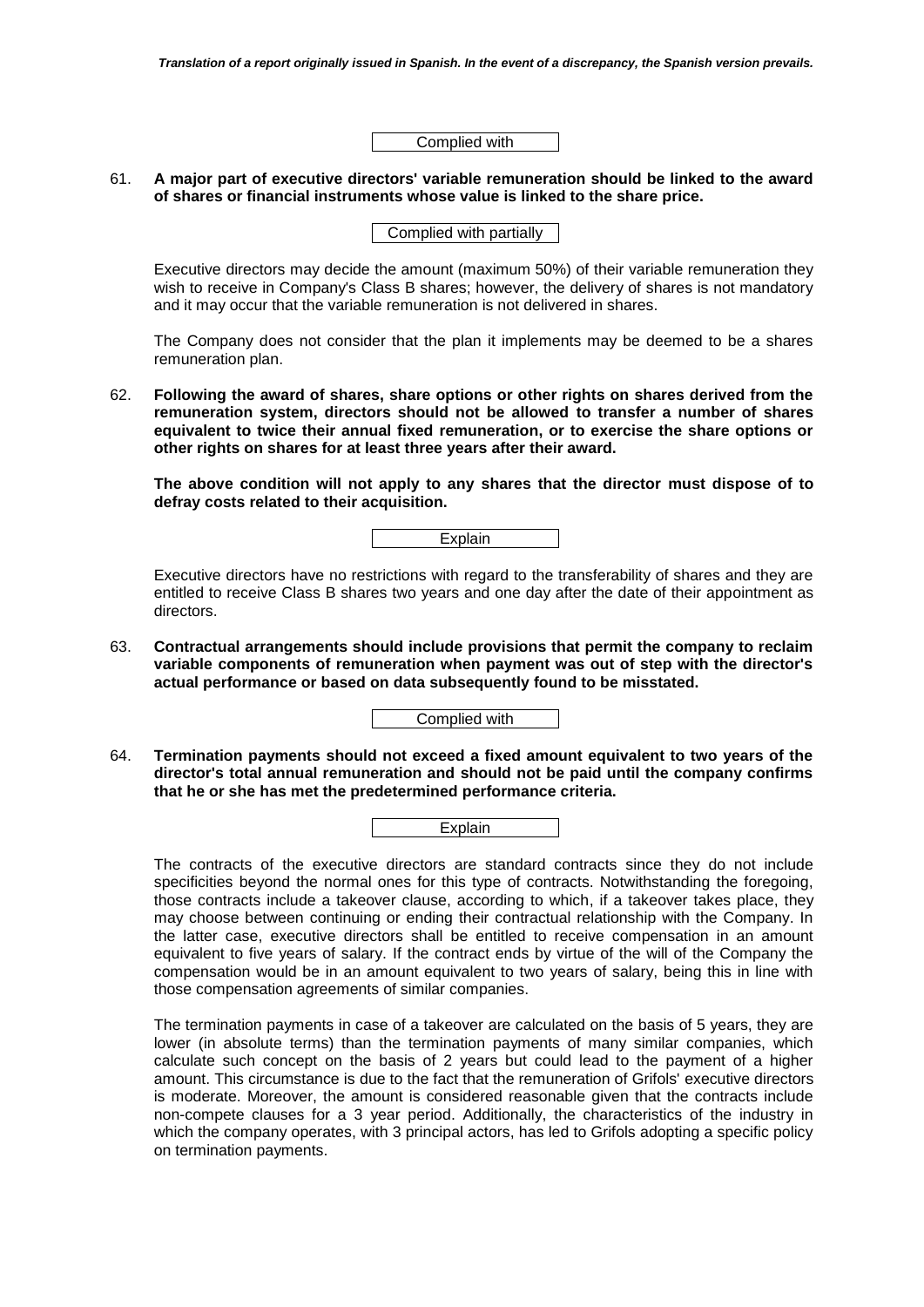Complied with

## 61. **A major part of executive directors' variable remuneration should be linked to the award of shares or financial instruments whose value is linked to the share price.**

Complied with partially

Executive directors may decide the amount (maximum 50%) of their variable remuneration they wish to receive in Company's Class B shares; however, the delivery of shares is not mandatory and it may occur that the variable remuneration is not delivered in shares.

The Company does not consider that the plan it implements may be deemed to be a shares remuneration plan.

62. **Following the award of shares, share options or other rights on shares derived from the remuneration system, directors should not be allowed to transfer a number of shares equivalent to twice their annual fixed remuneration, or to exercise the share options or other rights on shares for at least three years after their award.** 

**The above condition will not apply to any shares that the director must dispose of to defray costs related to their acquisition.**

**Explain** 

Executive directors have no restrictions with regard to the transferability of shares and they are entitled to receive Class B shares two years and one day after the date of their appointment as directors.

63. **Contractual arrangements should include provisions that permit the company to reclaim variable components of remuneration when payment was out of step with the director's actual performance or based on data subsequently found to be misstated.** 

Complied with

64. **Termination payments should not exceed a fixed amount equivalent to two years of the director's total annual remuneration and should not be paid until the company confirms that he or she has met the predetermined performance criteria.**

|--|

The contracts of the executive directors are standard contracts since they do not include specificities beyond the normal ones for this type of contracts. Notwithstanding the foregoing, those contracts include a takeover clause, according to which, if a takeover takes place, they may choose between continuing or ending their contractual relationship with the Company. In the latter case, executive directors shall be entitled to receive compensation in an amount equivalent to five years of salary. If the contract ends by virtue of the will of the Company the compensation would be in an amount equivalent to two years of salary, being this in line with those compensation agreements of similar companies.

The termination payments in case of a takeover are calculated on the basis of 5 years, they are lower (in absolute terms) than the termination payments of many similar companies, which calculate such concept on the basis of 2 years but could lead to the payment of a higher amount. This circumstance is due to the fact that the remuneration of Grifols' executive directors is moderate. Moreover, the amount is considered reasonable given that the contracts include non-compete clauses for a 3 year period. Additionally, the characteristics of the industry in which the company operates, with 3 principal actors, has led to Grifols adopting a specific policy on termination payments.